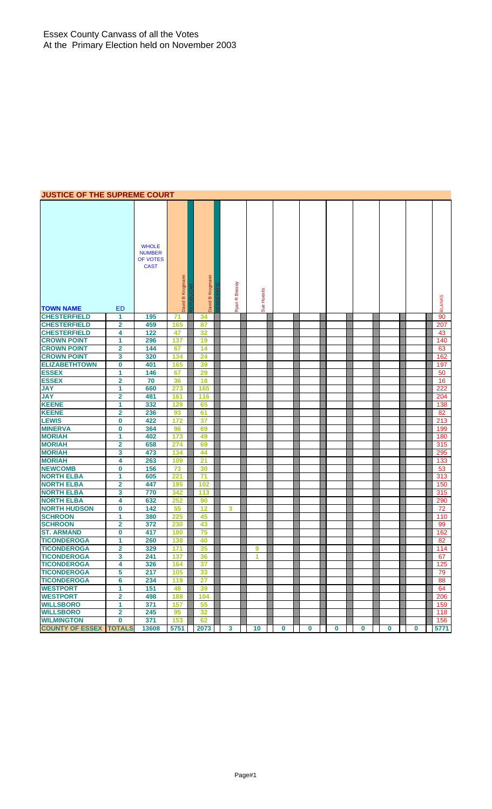# **JUSTICE OF THE SUPREME COURT**

| <b>TOWN NAME</b>                         | <b>ED</b>                    | <b>WHOLE</b><br><b>NUMBER</b><br>OF VOTES<br><b>CAST</b> | David B Krogmann | Krogmann<br>$\pmb{\underline{\omega}}$<br>David | R Bessey<br>Ryan        | Sue Huestis |          |             |             |             |          |          | <b>BLANKS</b> |
|------------------------------------------|------------------------------|----------------------------------------------------------|------------------|-------------------------------------------------|-------------------------|-------------|----------|-------------|-------------|-------------|----------|----------|---------------|
| <b>CHESTERFIELD</b>                      | 1                            | 195                                                      | 71               | 34                                              |                         |             |          |             |             |             |          |          | 90            |
| <b>CHESTERFIELD</b>                      | 2                            | 459                                                      | 165              | 87                                              |                         |             |          |             |             |             |          |          | 207           |
| <b>CHESTERFIELD</b>                      | 4                            | 122                                                      | 47               | 32                                              |                         |             |          |             |             |             |          |          | 43            |
| <b>CROWN POINT</b>                       | 1                            | 296                                                      | 137              | 19                                              |                         |             |          |             |             |             |          |          | 140           |
| <b>CROWN POINT</b>                       | $\overline{\mathbf{2}}$      | 144                                                      | 67               | 14                                              |                         |             |          |             |             |             |          |          | 63            |
| <b>CROWN POINT</b>                       | 3                            | 320                                                      | 134              | 24                                              |                         |             |          |             |             |             |          |          | 162           |
| <b>ELIZABETHTOWN</b>                     | 0                            | 401                                                      | 165              | 39                                              |                         |             |          |             |             |             |          |          | 197           |
| <b>ESSEX</b>                             | 1                            | 146                                                      | 67               | 29                                              |                         |             |          |             |             |             |          |          | 50            |
| <b>ESSEX</b>                             | $\overline{\mathbf{2}}$      | 70                                                       | 36               | 18                                              |                         |             |          |             |             |             |          |          | 16            |
| <b>JAY</b>                               | 1                            | 660                                                      | 273              | 165                                             |                         |             |          |             |             |             |          |          | 222           |
| <b>JAY</b>                               | $\overline{\mathbf{2}}$      | 481                                                      | 161              | 116                                             |                         |             |          |             |             |             |          |          | 204           |
| <b>KEENE</b>                             | 1                            | 332                                                      | 129              | 65                                              |                         |             |          |             |             |             |          |          | 138           |
| <b>KEENE</b>                             | $\overline{\mathbf{2}}$      | 236                                                      | 93               | 61                                              |                         |             |          |             |             |             |          |          | 82            |
| <b>LEWIS</b>                             | 0                            | 422                                                      | 172              | 37                                              |                         |             |          |             |             |             |          |          | 213           |
| <b>MINERVA</b>                           | 0                            | 364                                                      | 96               | 69                                              |                         |             |          |             |             |             |          |          | 199           |
| <b>MORIAH</b>                            | 1                            | 402                                                      | 173              | 49                                              |                         |             |          |             |             |             |          |          | 180           |
| <b>MORIAH</b>                            | $\overline{2}$               | 658                                                      | 274              | 69                                              |                         |             |          |             |             |             |          |          | 315           |
| <b>MORIAH</b>                            | 3                            | 473                                                      | 134              | 44                                              |                         |             |          |             |             |             |          |          | 295           |
| <b>MORIAH</b>                            | 4                            | 263                                                      | 109              | 21                                              |                         |             |          |             |             |             |          |          | 133           |
| <b>NEWCOMB</b>                           | 0                            | 156                                                      | 73               | 30                                              |                         |             |          |             |             |             |          |          | 53            |
| <b>NORTH ELBA</b>                        | 1                            | 605                                                      | 221              | 71                                              |                         |             |          |             |             |             |          |          | 313           |
| <b>NORTH ELBA</b>                        | $\overline{\mathbf{2}}$      | 447                                                      | 195              | 102                                             |                         |             |          |             |             |             |          |          | 150           |
| <b>NORTH ELBA</b>                        | 3                            | 770                                                      | 342              | 113                                             |                         |             |          |             |             |             |          |          | 315           |
| <b>NORTH ELBA</b>                        | 4                            | 632                                                      | 252              | 90                                              |                         |             |          |             |             |             |          |          | 290           |
| <b>NORTH HUDSON</b>                      | 0                            | 142                                                      | 55               | 12                                              | 3                       |             |          |             |             |             |          |          | 72            |
| <b>SCHROON</b>                           | $\mathbf{1}$                 | 380                                                      | 225              | 45                                              |                         |             |          |             |             |             |          |          | 110           |
| <b>SCHROON</b>                           | $\overline{\mathbf{2}}$      | 372                                                      | 230              | 43                                              |                         |             |          |             |             |             |          |          | 99            |
| <b>ST. ARMAND</b>                        | 0                            | 417                                                      | 180              | 75                                              |                         |             |          |             |             |             |          |          | 162           |
| <b>TICONDEROGA</b><br><b>TICONDEROGA</b> | 1                            | 260<br>329                                               | 138<br>171       | 40                                              |                         |             |          |             |             |             |          |          | 82            |
| <b>TICONDEROGA</b>                       | $\overline{\mathbf{2}}$<br>3 |                                                          |                  | 35                                              |                         | 9<br>1      |          |             |             |             |          |          | 114           |
| <b>TICONDEROGA</b>                       |                              | 241                                                      | 137              | 36                                              |                         |             |          |             |             |             |          |          | 67            |
| <b>TICONDEROGA</b>                       | 4<br>5                       | 326<br>217                                               | 164<br>105       | 37<br>33                                        |                         |             |          |             |             |             |          |          | 125           |
| <b>TICONDEROGA</b>                       | 6                            | 234                                                      | 119              | 27                                              |                         |             |          |             |             |             |          |          | 79<br>88      |
| <b>WESTPORT</b>                          | 1                            | 151                                                      | 48               | 39                                              |                         |             |          |             |             |             |          |          | 64            |
| <b>WESTPORT</b>                          | $\overline{\mathbf{2}}$      | 498                                                      | 188              | 104                                             |                         |             |          |             |             |             |          |          | 206           |
| <b>WILLSBORO</b>                         | 1                            | 371                                                      | 157              | 55                                              |                         |             |          |             |             |             |          |          | 159           |
| <b>WILLSBORO</b>                         | $\overline{\mathbf{2}}$      | 245                                                      | 95               | 32                                              |                         |             |          |             |             |             |          |          | 118           |
| <b>WILMINGTON</b>                        | $\bf{0}$                     | 371                                                      | 153              | 62                                              |                         |             |          |             |             |             |          |          | 156           |
| <b>COUNTY OF ESSEX TOTALS</b>            |                              | 13608                                                    | 5751             | 2073                                            | $\overline{\mathbf{3}}$ | 10          | $\bf{0}$ | $\mathbf 0$ | $\mathbf 0$ | $\mathbf 0$ | $\bf{0}$ | $\bf{0}$ | 5771          |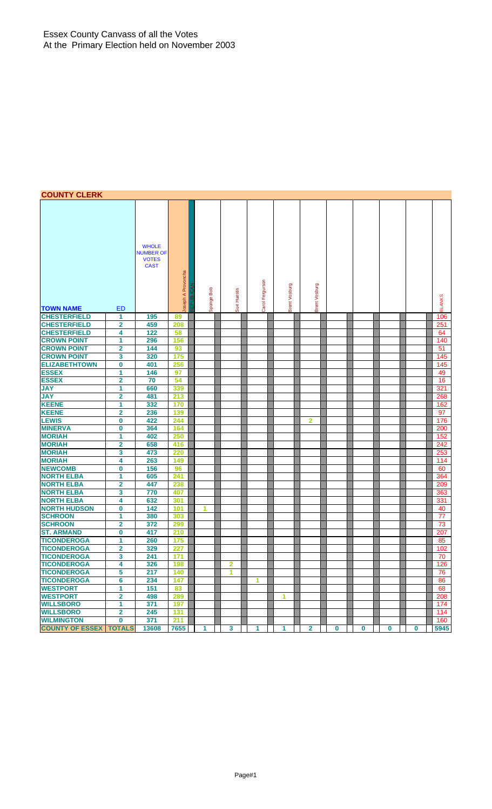## **COUNTY CLERK**

| UUUNII ULLINI          |                         |                                                                 |                   |               |                         |                      |               |                |   |   |   |             |               |
|------------------------|-------------------------|-----------------------------------------------------------------|-------------------|---------------|-------------------------|----------------------|---------------|----------------|---|---|---|-------------|---------------|
| <b>TOWN NAME</b>       | ED                      | <b>WHOLE</b><br><b>NUMBER OF</b><br><b>VOTES</b><br><b>CAST</b> | oseph A Provoncha | Bob<br>Sponge | Sue Huestis             | Carol Fergurson      | Brent Vosburg | Brent Vosburg  |   |   |   |             | <b>BLANKS</b> |
| <b>CHESTERFIELD</b>    | 1                       | 195                                                             | 89                |               |                         |                      |               |                |   |   |   |             | 106           |
| <b>CHESTERFIELD</b>    | $\overline{\mathbf{2}}$ | 459                                                             | 208               |               |                         |                      |               |                |   |   |   |             | 251           |
| <b>CHESTERFIELD</b>    | 4                       | 122                                                             | 58                |               |                         |                      |               |                |   |   |   |             | 64            |
| <b>CROWN POINT</b>     | 1                       | 296                                                             | 156               |               |                         |                      |               |                |   |   |   |             | 140           |
| <b>CROWN POINT</b>     | $\overline{\mathbf{2}}$ | 144                                                             | 93                |               |                         |                      |               |                |   |   |   |             | 51            |
| <b>CROWN POINT</b>     | 3                       | 320                                                             | 175               |               |                         |                      |               |                |   |   |   |             | 145           |
| <b>ELIZABETHTOWN</b>   | $\bf{0}$                | 401                                                             | 256               |               |                         |                      |               |                |   |   |   |             | 145           |
| <b>ESSEX</b>           | 1                       | 146                                                             | 97                |               |                         |                      |               |                |   |   |   |             | 49            |
| <b>ESSEX</b>           | $\overline{\mathbf{2}}$ | 70                                                              | 54                |               |                         |                      |               |                |   |   |   |             | 16            |
| <b>JAY</b>             | 1                       | 660                                                             | 339               |               |                         |                      |               |                |   |   |   |             | 321           |
| <b>JAY</b>             | $\overline{\mathbf{2}}$ | 481                                                             | 213               |               |                         |                      |               |                |   |   |   |             | 268           |
| <b>KEENE</b>           | 1                       | 332                                                             | 170               |               |                         |                      |               |                |   |   |   |             | 162           |
| <b>KEENE</b>           | $\overline{2}$          | 236                                                             | 139               |               |                         |                      |               |                |   |   |   |             | 97            |
| <b>LEWIS</b>           | $\bf{0}$                | 422                                                             | 244               |               |                         |                      |               | 2              |   |   |   |             | 176           |
| <b>MINERVA</b>         | $\bf{0}$                | 364                                                             | 164               |               |                         |                      |               |                |   |   |   |             | 200           |
| <b>MORIAH</b>          | 1                       | 402                                                             | 250               |               |                         |                      |               |                |   |   |   |             | 152           |
| <b>MORIAH</b>          | $\overline{\mathbf{2}}$ | 658                                                             | 416               |               |                         |                      |               |                |   |   |   |             | 242           |
| <b>MORIAH</b>          | 3                       | 473                                                             | 220               |               |                         |                      |               |                |   |   |   |             | 253           |
| <b>MORIAH</b>          | 4                       | 263                                                             | 149               |               |                         |                      |               |                |   |   |   |             | 114           |
| <b>NEWCOMB</b>         | $\bf{0}$                | 156                                                             | 96                |               |                         |                      |               |                |   |   |   |             | 60            |
| <b>NORTH ELBA</b>      | 1                       | 605                                                             | 241               |               |                         |                      |               |                |   |   |   |             | 364           |
| <b>NORTH ELBA</b>      | $\overline{\mathbf{2}}$ | 447                                                             | 238               |               |                         |                      |               |                |   |   |   |             | 209           |
| <b>NORTH ELBA</b>      | 3                       | 770                                                             | 407               |               |                         |                      |               |                |   |   |   |             | 363           |
| <b>NORTH ELBA</b>      | 4                       | 632                                                             | 301               |               |                         |                      |               |                |   |   |   |             | 331           |
| <b>NORTH HUDSON</b>    | $\bf{0}$                | 142                                                             | 101               | 1             |                         |                      |               |                |   |   |   |             | 40            |
| <b>SCHROON</b>         | 1                       | 380                                                             | 303               |               |                         |                      |               |                |   |   |   |             | 77            |
| <b>SCHROON</b>         | $\overline{2}$          | 372                                                             | 299               |               |                         |                      |               |                |   |   |   |             | 73            |
| <b>ST. ARMAND</b>      | $\bf{0}$                | 417                                                             | 210               |               |                         |                      |               |                |   |   |   |             | 207           |
| <b>TICONDEROGA</b>     | 1                       | 260                                                             | 175               |               |                         |                      |               |                |   |   |   |             | 85            |
| <b>TICONDEROGA</b>     | $\overline{\mathbf{2}}$ | 329                                                             | 227               |               |                         |                      |               |                |   |   |   |             | 102           |
| <b>TICONDEROGA</b>     | 3                       | 241                                                             | 171               |               |                         |                      |               |                |   |   |   |             | 70            |
| <b>TICONDEROGA</b>     | 4                       | 326                                                             | 198               |               | $\overline{\mathbf{2}}$ |                      |               |                |   |   |   |             | 126           |
| <b>TICONDEROGA</b>     | 5                       | 217                                                             | 140               |               | 1                       |                      |               |                |   |   |   |             | 76            |
| <b>TICONDEROGA</b>     | 6                       | 234                                                             | 147               |               |                         | $\blacktriangleleft$ |               |                |   |   |   |             | 86            |
| <b>WESTPORT</b>        | 1                       | 151                                                             | 83                |               |                         |                      |               |                |   |   |   |             | 68            |
| <b>WESTPORT</b>        | $\mathbf{2}$            | 498                                                             | 289               |               |                         |                      | 1             |                |   |   |   |             | 208           |
| <b>WILLSBORO</b>       | $\overline{1}$          | 371                                                             | 197               |               |                         |                      |               |                |   |   |   |             | 174           |
| <b>WILLSBORO</b>       | $\overline{\mathbf{2}}$ | 245                                                             | 131               |               |                         |                      |               |                |   |   |   |             | 114           |
| <b>WILMINGTON</b>      | $\mathbf 0$             | 371                                                             | 211               |               |                         |                      |               |                |   |   |   |             | 160           |
| <b>COUNTY OF ESSEX</b> | <b>TOTALS</b>           | 13608                                                           | 7655              | $\mathbf{1}$  | $\mathbf{3}$            | 1                    | $\mathbf{1}$  | $\overline{2}$ | 0 | 0 | 0 | $\mathbf 0$ | 5945          |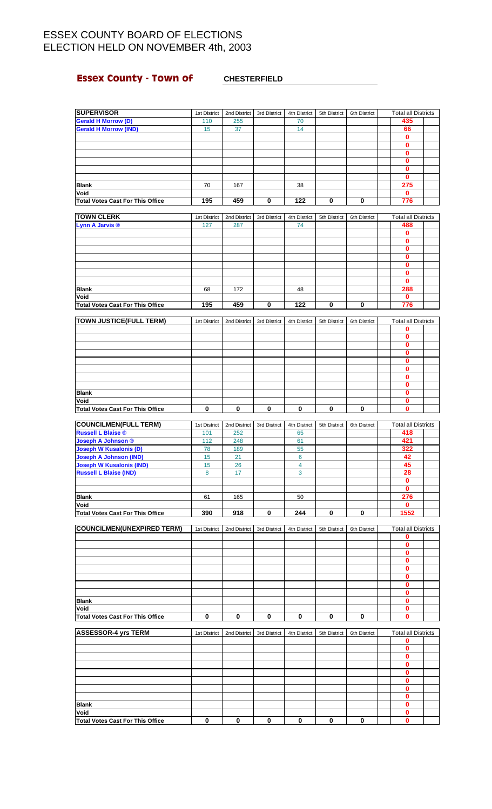# **Essex County - Town of CHESTERFIELD**

| <b>SUPERVISOR</b>                                         | 1st District | 2nd District | 3rd District | 4th District   | 5th District | 6th District | <b>Total all Districts</b> |  |
|-----------------------------------------------------------|--------------|--------------|--------------|----------------|--------------|--------------|----------------------------|--|
| <b>Gerald H Morrow (D)</b>                                | 110          | 255          |              | 70             |              |              | 435                        |  |
| <b>Gerald H Morrow (IND)</b>                              | 15           | 37           |              | 14             |              |              | 66                         |  |
|                                                           |              |              |              |                |              |              | 0                          |  |
|                                                           |              |              |              |                |              |              | $\bf{0}$                   |  |
|                                                           |              |              |              |                |              |              | $\bf{0}$                   |  |
|                                                           |              |              |              |                |              |              | 0                          |  |
|                                                           |              |              |              |                |              |              | $\bf{0}$                   |  |
|                                                           |              |              |              |                |              |              | $\bf{0}$                   |  |
|                                                           |              |              |              |                |              |              | 275                        |  |
| <b>Blank</b>                                              | 70           | 167          |              | 38             |              |              |                            |  |
| Void                                                      |              |              |              |                |              |              | $\mathbf 0$                |  |
| <b>Total Votes Cast For This Office</b>                   | 195          | 459          | $\pmb{0}$    | 122            | 0            | 0            | 776                        |  |
|                                                           |              |              |              |                |              |              |                            |  |
| <b>TOWN CLERK</b>                                         | 1st District | 2nd District | 3rd District | 4th District   | 5th District | 6th District | <b>Total all Districts</b> |  |
| Lynn A Jarvis <sup>®</sup>                                | 127          | 287          |              | 74             |              |              | 488                        |  |
|                                                           |              |              |              |                |              |              | $\mathbf 0$                |  |
|                                                           |              |              |              |                |              |              | $\bf{0}$                   |  |
|                                                           |              |              |              |                |              |              | 0                          |  |
|                                                           |              |              |              |                |              |              | $\bf{0}$                   |  |
|                                                           |              |              |              |                |              |              | $\bf{0}$                   |  |
|                                                           |              |              |              |                |              |              | $\mathbf 0$                |  |
|                                                           |              |              |              |                |              |              | $\mathbf{0}$               |  |
| <b>Blank</b>                                              | 68           | 172          |              | 48             |              |              | 288                        |  |
| Void                                                      |              |              |              |                |              |              | $\mathbf 0$                |  |
| <b>Total Votes Cast For This Office</b>                   | 195          | 459          | 0            | 122            | 0            | 0            | 776                        |  |
|                                                           |              |              |              |                |              |              |                            |  |
| <b>TOWN JUSTICE(FULL TERM)</b>                            | 1st District | 2nd District | 3rd District | 4th District   | 5th District | 6th District | <b>Total all Districts</b> |  |
|                                                           |              |              |              |                |              |              | 0                          |  |
|                                                           |              |              |              |                |              |              |                            |  |
|                                                           |              |              |              |                |              |              | $\mathbf{0}$               |  |
|                                                           |              |              |              |                |              |              | $\mathbf 0$                |  |
|                                                           |              |              |              |                |              |              | $\bf{0}$                   |  |
|                                                           |              |              |              |                |              |              | $\bf{0}$                   |  |
|                                                           |              |              |              |                |              |              | 0                          |  |
|                                                           |              |              |              |                |              |              | $\mathbf{0}$               |  |
|                                                           |              |              |              |                |              |              | $\mathbf 0$                |  |
| <b>Blank</b>                                              |              |              |              |                |              |              | 0                          |  |
| Void                                                      |              |              |              |                |              |              | $\pmb{0}$                  |  |
| <b>Total Votes Cast For This Office</b>                   | 0            | 0            | 0            | 0              | 0            | 0            | $\mathbf 0$                |  |
|                                                           |              |              |              |                |              |              |                            |  |
|                                                           |              |              |              |                |              |              |                            |  |
|                                                           | 1st District | 2nd District | 3rd District | 4th District   | 5th District | 6th District | <b>Total all Districts</b> |  |
| <b>COUNCILMEN(FULL TERM)</b><br><b>Russell L Blaise ®</b> | 101          | 252          |              | 65             |              |              | 418                        |  |
|                                                           |              |              |              |                |              |              | 421                        |  |
| Joseph A Johnson ®                                        | 112          | 248          |              | 61             |              |              |                            |  |
| <b>Joseph W Kusalonis (D)</b>                             | 78           | 189          |              | 55             |              |              | 322                        |  |
| <b>Joseph A Johnson (IND)</b>                             | 15           | 21           |              | 6              |              |              | 42                         |  |
| <b>Joseph W Kusalonis (IND)</b>                           | 15           | 26           |              | $\overline{4}$ |              |              | 45                         |  |
| <b>Russell L Blaise (IND)</b>                             | 8            | 17           |              | 3              |              |              | 28                         |  |
|                                                           |              |              |              |                |              |              | 0                          |  |
|                                                           |              |              |              |                |              |              | 0                          |  |
| <b>Blank</b>                                              | 61           | 165          |              | 50             |              |              | 276                        |  |
| Void                                                      |              |              |              |                |              |              | $\mathbf 0$                |  |
| <b>Total Votes Cast For This Office</b>                   | 390          | 918          | 0            | 244            | 0            | $\bf{0}$     | 1552                       |  |
|                                                           |              |              |              |                |              |              |                            |  |
| <b>COUNCILMEN(UNEXPIRED TERM)</b>                         | 1st District | 2nd District | 3rd District | 4th District   | 5th District | 6th District | <b>Total all Districts</b> |  |
|                                                           |              |              |              |                |              |              | 0                          |  |
|                                                           |              |              |              |                |              |              | $\mathbf{0}$               |  |
|                                                           |              |              |              |                |              |              | 0                          |  |
|                                                           |              |              |              |                |              |              | 0                          |  |
|                                                           |              |              |              |                |              |              | 0                          |  |
|                                                           |              |              |              |                |              |              | 0                          |  |
|                                                           |              |              |              |                |              |              | $\mathbf 0$                |  |
|                                                           |              |              |              |                |              |              | 0                          |  |
|                                                           |              |              |              |                |              |              |                            |  |
| Blank                                                     |              |              |              |                |              |              | $\bf{0}$                   |  |
| Void                                                      |              |              |              |                |              |              | $\mathbf 0$                |  |
| <b>Total Votes Cast For This Office</b>                   | 0            | 0            | 0            | 0              | 0            | 0            | $\mathbf 0$                |  |
|                                                           |              |              |              |                |              |              |                            |  |
| <b>ASSESSOR-4 yrs TERM</b>                                | 1st District | 2nd District | 3rd District | 4th District   | 5th District | 6th District | <b>Total all Districts</b> |  |
|                                                           |              |              |              |                |              |              | 0                          |  |
|                                                           |              |              |              |                |              |              | 0                          |  |
|                                                           |              |              |              |                |              |              | $\bf{0}$                   |  |
|                                                           |              |              |              |                |              |              | 0                          |  |
|                                                           |              |              |              |                |              |              | 0                          |  |
|                                                           |              |              |              |                |              |              | $\bf{0}$                   |  |
|                                                           |              |              |              |                |              |              | $\bf{0}$                   |  |
|                                                           |              |              |              |                |              |              | 0                          |  |
| Blank                                                     |              |              |              |                |              |              | $\bf{0}$                   |  |
| Void                                                      |              |              |              |                |              |              | $\bf{0}$                   |  |
| <b>Total Votes Cast For This Office</b>                   | 0            | 0            | 0            | 0              | 0            | 0            | $\mathbf 0$                |  |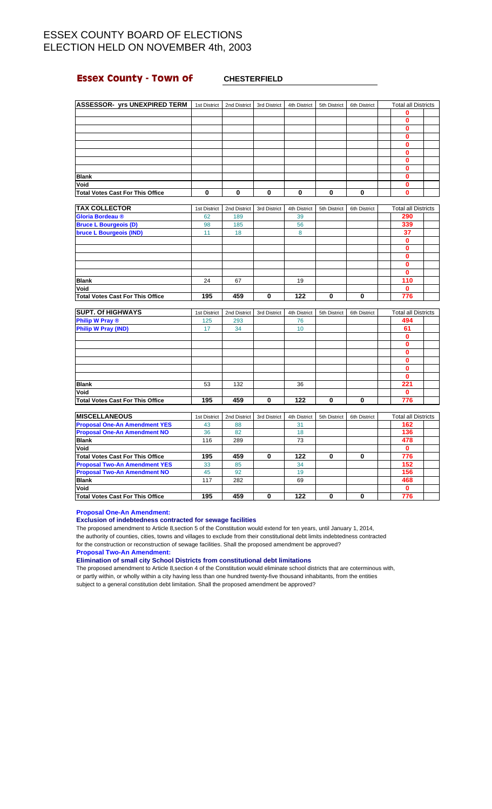## **Essex County - Town of CHESTERFIELD**

| <b>ASSESSOR- yrs UNEXPIRED TERM</b>     | 1st District | 2nd District | 3rd District | 4th District | 5th District | 6th District | <b>Total all Districts</b> |  |
|-----------------------------------------|--------------|--------------|--------------|--------------|--------------|--------------|----------------------------|--|
|                                         |              |              |              |              |              |              |                            |  |
|                                         |              |              |              |              |              |              |                            |  |
|                                         |              |              |              |              |              |              |                            |  |
|                                         |              |              |              |              |              |              |                            |  |
|                                         |              |              |              |              |              |              |                            |  |
|                                         |              |              |              |              |              |              |                            |  |
|                                         |              |              |              |              |              |              |                            |  |
|                                         |              |              |              |              |              |              |                            |  |
| <b>Blank</b>                            |              |              |              |              |              |              |                            |  |
| Void                                    |              |              |              |              |              |              |                            |  |
| <b>Total Votes Cast For This Office</b> | 0            |              | $\bf{0}$     | $\mathbf{0}$ | 0            |              |                            |  |

| <b>TAX COLLECTOR</b>                    | 1st District | 2nd District | 3rd District | 4th District | 5th District | 6th District | <b>Total all Districts</b> |
|-----------------------------------------|--------------|--------------|--------------|--------------|--------------|--------------|----------------------------|
| Gloria Bordeau ®                        | 62           | 189          |              | 39           |              |              | 290                        |
| <b>Bruce L Bourgeois (D)</b>            | 98           | 185          |              | 56           |              |              | 339                        |
| bruce L Bourgeois (IND)                 | 11           | 18           |              | 8            |              |              | 37                         |
|                                         |              |              |              |              |              |              | 0                          |
|                                         |              |              |              |              |              |              | 0                          |
|                                         |              |              |              |              |              |              | 0                          |
|                                         |              |              |              |              |              |              | o                          |
|                                         |              |              |              |              |              |              | 0                          |
| <b>Blank</b>                            | 24           | 67           |              | 19           |              |              | 110                        |
| Void                                    |              |              |              |              |              |              | 0                          |
| <b>Total Votes Cast For This Office</b> | 195          | 459          | 0            | 122          | 0            | 0            | 776                        |

| <b>SUPT. Of HIGHWAYS</b>         | 1st District | 2nd District | 3rd District | 4th District | 5th District | 6th District | <b>Total all Districts</b> |  |
|----------------------------------|--------------|--------------|--------------|--------------|--------------|--------------|----------------------------|--|
| <b>Philip W Pray ®</b>           | 125          | 293          |              | 76           |              |              | 494                        |  |
| <b>Philip W Pray (IND)</b>       | 17           | 34           |              | 10           |              |              | 61                         |  |
|                                  |              |              |              |              |              |              |                            |  |
|                                  |              |              |              |              |              |              |                            |  |
|                                  |              |              |              |              |              |              |                            |  |
|                                  |              |              |              |              |              |              |                            |  |
|                                  |              |              |              |              |              |              |                            |  |
|                                  |              |              |              |              |              |              |                            |  |
| <b>Blank</b>                     | 53           | 132          |              | 36           |              |              | 221                        |  |
| Void                             |              |              |              |              |              |              |                            |  |
| Total Votes Cast For This Office | 195          | 459          | $\bf{0}$     | 122          | 0            | O            | 776                        |  |

| <b>MISCELLANEOUS</b>                    | 1st District | 2nd District | 3rd District | 4th District | 5th District | 6th District | <b>Total all Districts</b> |  |
|-----------------------------------------|--------------|--------------|--------------|--------------|--------------|--------------|----------------------------|--|
| <b>Proposal One-An Amendment YES</b>    | 43           | 88           |              | 31           |              |              | 162                        |  |
| <b>Proposal One-An Amendment NO</b>     | 36           | 82           |              | 18           |              |              | 136                        |  |
| <b>Blank</b>                            | 116          | 289          |              | 73           |              |              | 478                        |  |
| Void                                    |              |              |              |              |              |              |                            |  |
| <b>Total Votes Cast For This Office</b> | 195          | 459          | 0            | 122          | 0            |              | 776                        |  |
| <b>Proposal Two-An Amendment YES</b>    | 33           | 85           |              | 34           |              |              | 152                        |  |
| <b>Proposal Two-An Amendment NO</b>     | 45           | 92           |              | 19           |              |              | 156                        |  |
| <b>Blank</b>                            | 117          | 282          |              | 69           |              |              | 468                        |  |
| Void                                    |              |              |              |              |              |              |                            |  |
| <b>Total Votes Cast For This Office</b> | 195          | 459          | 0            | 122          | 0            |              | 776                        |  |

**Proposal One-An Amendment:**

### **Exclusion of indebtedness contracted for sewage facilities**

The proposed amendment to Article 8,section 5 of the Constitution would extend for ten years, until January 1, 2014, the authority of counties, cities, towns and villages to exclude from their constitutional debt limits indebtedness contracted for the construction or reconstruction of sewage facilities. Shall the proposed amendment be approved?

**Proposal Two-An Amendment:**

**Elimination of small city School Districts from constitutional debt limitations**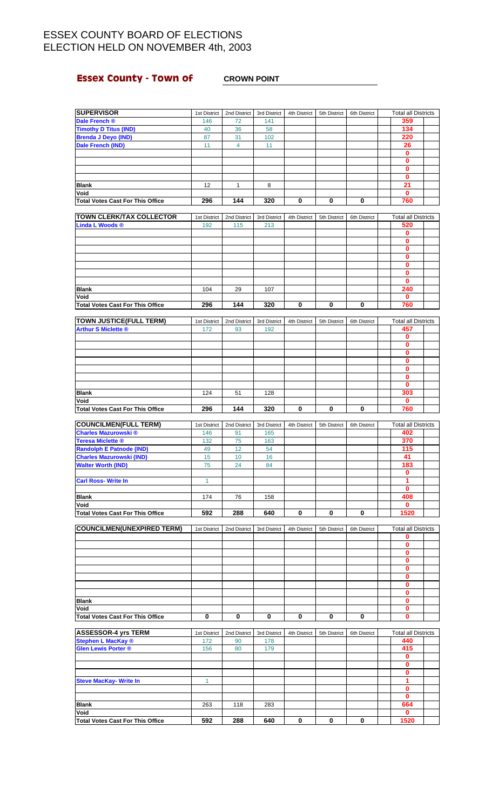# **Essex County - Town of CROWN POINT**

| <b>SUPERVISOR</b>                                            | 1st District        | 2nd District       | 3rd District        | 4th District | 5th District | 6th District | <b>Total all Districts</b>        |  |
|--------------------------------------------------------------|---------------------|--------------------|---------------------|--------------|--------------|--------------|-----------------------------------|--|
| Dale French ®                                                | 146                 | 72                 | 141                 |              |              |              | 359<br>134                        |  |
| <b>Timothy D Titus (IND)</b><br><b>Brenda J Deyo (IND)</b>   | 40<br>87            | 36<br>31           | 58<br>102           |              |              |              | 220                               |  |
| Dale French (IND)                                            | 11                  | $\overline{4}$     | 11                  |              |              |              | 26                                |  |
|                                                              |                     |                    |                     |              |              |              | 0                                 |  |
|                                                              |                     |                    |                     |              |              |              | $\mathbf{0}$                      |  |
|                                                              |                     |                    |                     |              |              |              | 0                                 |  |
|                                                              |                     |                    |                     |              |              |              | $\mathbf{0}$                      |  |
| <b>Blank</b>                                                 | 12                  | $\mathbf{1}$       | 8                   |              |              |              | $\overline{21}$                   |  |
| Void                                                         |                     |                    |                     |              |              |              | 0                                 |  |
| <b>Total Votes Cast For This Office</b>                      | 296                 | 144                | 320                 | 0            | 0            | 0            | 760                               |  |
| <b>TOWN CLERK/TAX COLLECTOR</b>                              | 1st District        | 2nd District       | 3rd District        | 4th District | 5th District | 6th District | <b>Total all Districts</b>        |  |
| <b>Linda L Woods ®</b>                                       | 192                 | 115                | 213                 |              |              |              | 520                               |  |
|                                                              |                     |                    |                     |              |              |              | 0                                 |  |
|                                                              |                     |                    |                     |              |              |              | 0                                 |  |
|                                                              |                     |                    |                     |              |              |              | $\mathbf{0}$                      |  |
|                                                              |                     |                    |                     |              |              |              | $\mathbf{0}$                      |  |
|                                                              |                     |                    |                     |              |              |              | 0<br>$\mathbf{0}$                 |  |
|                                                              |                     |                    |                     |              |              |              | 0                                 |  |
| <b>Blank</b>                                                 | 104                 | 29                 | 107                 |              |              |              | 240                               |  |
| Void                                                         |                     |                    |                     |              |              |              | $\mathbf{0}$                      |  |
| <b>Total Votes Cast For This Office</b>                      | 296                 | 144                | 320                 | 0            | 0            | 0            | 760                               |  |
|                                                              |                     |                    |                     |              |              |              |                                   |  |
| <b>TOWN JUSTICE(FULL TERM)</b><br><b>Arthur S Miclette ®</b> | 1st District<br>172 | 2nd District<br>93 | 3rd District<br>192 | 4th District | 5th District | 6th District | <b>Total all Districts</b><br>457 |  |
|                                                              |                     |                    |                     |              |              |              | 0                                 |  |
|                                                              |                     |                    |                     |              |              |              | 0                                 |  |
|                                                              |                     |                    |                     |              |              |              | $\mathbf 0$                       |  |
|                                                              |                     |                    |                     |              |              |              | 0                                 |  |
|                                                              |                     |                    |                     |              |              |              | $\bf{0}$                          |  |
|                                                              |                     |                    |                     |              |              |              | 0                                 |  |
| <b>Blank</b>                                                 | 124                 | 51                 | 128                 |              |              |              | 0<br>303                          |  |
| Void                                                         |                     |                    |                     |              |              |              | 0                                 |  |
|                                                              | 296                 | 144                | 320                 | 0            | 0            | 0            | 760                               |  |
| <b>Total Votes Cast For This Office</b>                      |                     |                    |                     |              |              |              |                                   |  |
|                                                              |                     |                    |                     |              |              |              |                                   |  |
| <b>COUNCILMEN(FULL TERM)</b>                                 | 1st District        | 2nd District       | 3rd District        | 4th District | 5th District | 6th District | <b>Total all Districts</b>        |  |
| <b>Charles Mazurowski</b> ®                                  | 146                 | 91                 | 165                 |              |              |              | 402                               |  |
| <b>Teresa Miclette ®</b>                                     | 132                 | 75                 | 163                 |              |              |              | 370                               |  |
| <b>Randolph E Patnode (IND)</b>                              | 49<br>15            | 12<br>10           | 54<br>16            |              |              |              | 115<br>41                         |  |
| <b>Charles Mazurowski (IND)</b><br><b>Walter Worth (IND)</b> | 75                  | 24                 | 84                  |              |              |              | 183                               |  |
|                                                              |                     |                    |                     |              |              |              | 0                                 |  |
| <b>Carl Ross-Write In</b>                                    | $\mathbf{1}$        |                    |                     |              |              |              | 1                                 |  |
|                                                              |                     |                    |                     |              |              |              | 0                                 |  |
| <b>Blank</b>                                                 | 174                 | 76                 | 158                 |              |              |              | 408                               |  |
| Void                                                         |                     |                    |                     |              | 0            | 0            | 0                                 |  |
| <b>Total Votes Cast For This Office</b>                      | 592                 | 288                | 640                 | 0            |              |              | 1520                              |  |
| <b>COUNCILMEN(UNEXPIRED TERM)</b>                            | 1st District        | 2nd District       | 3rd District        | 4th District | 5th District | 6th District | <b>Total all Districts</b>        |  |
|                                                              |                     |                    |                     |              |              |              | 0                                 |  |
|                                                              |                     |                    |                     |              |              |              | 0                                 |  |
|                                                              |                     |                    |                     |              |              |              | 0                                 |  |
|                                                              |                     |                    |                     |              |              |              | $\pmb{0}$<br>0                    |  |
|                                                              |                     |                    |                     |              |              |              | 0                                 |  |
|                                                              |                     |                    |                     |              |              |              | 0                                 |  |
|                                                              |                     |                    |                     |              |              |              | 0                                 |  |
| <b>Blank</b>                                                 |                     |                    |                     |              |              |              | 0                                 |  |
| Void                                                         |                     |                    |                     |              |              |              | 0                                 |  |
| <b>Total Votes Cast For This Office</b>                      | 0                   | 0                  | 0                   | 0            | 0            | 0            | 0                                 |  |
| <b>ASSESSOR-4 yrs TERM</b>                                   | 1st District        | 2nd District       | 3rd District        | 4th District | 5th District | 6th District | <b>Total all Districts</b>        |  |
| <b>Stephen L MacKay ®</b>                                    | 172                 | 90                 | 178                 |              |              |              | 440                               |  |
| <b>Glen Lewis Porter ®</b>                                   | 156                 | 80                 | 179                 |              |              |              | 415                               |  |
|                                                              |                     |                    |                     |              |              |              | 0                                 |  |
|                                                              |                     |                    |                     |              |              |              | 0                                 |  |
| <b>Steve MacKay- Write In</b>                                | $\mathbf{1}$        |                    |                     |              |              |              | 0<br>1                            |  |
|                                                              |                     |                    |                     |              |              |              | 0                                 |  |
|                                                              |                     |                    |                     |              |              |              | $\bf{0}$                          |  |
| <b>Blank</b><br>Void                                         | 263                 | 118                | 283                 |              |              |              | 664<br>0                          |  |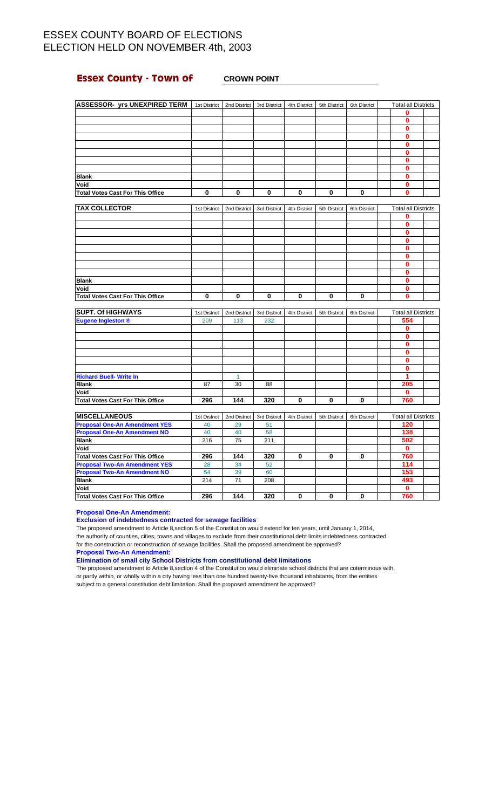## **Essex County - Town of CROWN POINT**

| <b>ASSESSOR- yrs UNEXPIRED TERM</b>     | 1st District | 2nd District | 3rd District | 4th District | 5th District | 6th District | <b>Total all Districts</b> |  |
|-----------------------------------------|--------------|--------------|--------------|--------------|--------------|--------------|----------------------------|--|
|                                         |              |              |              |              |              |              | 0                          |  |
|                                         |              |              |              |              |              |              | 0                          |  |
|                                         |              |              |              |              |              |              | 0                          |  |
|                                         |              |              |              |              |              |              | 0                          |  |
|                                         |              |              |              |              |              |              | 0                          |  |
|                                         |              |              |              |              |              |              | 0                          |  |
|                                         |              |              |              |              |              |              |                            |  |
|                                         |              |              |              |              |              |              |                            |  |
| <b>Blank</b>                            |              |              |              |              |              |              | Ω                          |  |
| Void                                    |              |              |              |              |              |              | Ω                          |  |
| <b>Total Votes Cast For This Office</b> | 0            | 0            | 0            | 0            | 0            | 0            | 0                          |  |
|                                         |              |              |              |              |              |              |                            |  |
| <b>TAX COLLECTOR</b>                    | 1st District | 2nd District | 3rd District | 4th District | 5th District | 6th District | <b>Total all Districts</b> |  |
|                                         |              |              |              |              |              |              | 0                          |  |

| <b>Blank</b>                            |  |  |  |  |  |
|-----------------------------------------|--|--|--|--|--|
| Void                                    |  |  |  |  |  |
| <b>Total Votes Cast For This Office</b> |  |  |  |  |  |

| <b>SUPT. Of HIGHWAYS</b>                | 1st District | 2nd District | 3rd District | 4th District | 5th District | 6th District | <b>Total all Districts</b> |  |
|-----------------------------------------|--------------|--------------|--------------|--------------|--------------|--------------|----------------------------|--|
| <b>Eugene Ingleston ®</b>               | 209          | 113          | 232          |              |              |              | 554                        |  |
|                                         |              |              |              |              |              |              | 0                          |  |
|                                         |              |              |              |              |              |              | 0                          |  |
|                                         |              |              |              |              |              |              |                            |  |
|                                         |              |              |              |              |              |              | 0                          |  |
|                                         |              |              |              |              |              |              |                            |  |
|                                         |              |              |              |              |              |              |                            |  |
| <b>Richard Buell- Write In</b>          |              |              |              |              |              |              |                            |  |
| <b>Blank</b>                            | 87           | 30           | 88           |              |              |              | 205                        |  |
| Void                                    |              |              |              |              |              |              | 0                          |  |
| <b>Total Votes Cast For This Office</b> | 296          | 144          | 320          | 0            | 0            |              | 760                        |  |

| <b>MISCELLANEOUS</b>                 | 1st District | 2nd District | 3rd District | 4th District | 5th District | 6th District | <b>Total all Districts</b> |  |
|--------------------------------------|--------------|--------------|--------------|--------------|--------------|--------------|----------------------------|--|
| <b>Proposal One-An Amendment YES</b> | 40           | 29           | 51           |              |              |              | 120                        |  |
| <b>Proposal One-An Amendment NO</b>  | 40           | 40           | 58           |              |              |              | 138                        |  |
| <b>Blank</b>                         | 216          | 75           | 211          |              |              |              | 502                        |  |
| Void                                 |              |              |              |              |              |              |                            |  |
| Total Votes Cast For This Office     | 296          | 144          | 320          | 0            | 0            |              | 760                        |  |
| <b>Proposal Two-An Amendment YES</b> | 28           | 34           | 52           |              |              |              | 114                        |  |
| <b>Proposal Two-An Amendment NO</b>  | 54           | 39           | 60           |              |              |              | 153                        |  |
| <b>Blank</b>                         | 214          | 71           | 208          |              |              |              | 493                        |  |
| Void                                 |              |              |              |              |              |              |                            |  |
| Total Votes Cast For This Office     | 296          | 144          | 320          | 0            | 0            |              | 760                        |  |

**Proposal One-An Amendment:**

### **Exclusion of indebtedness contracted for sewage facilities**

The proposed amendment to Article 8,section 5 of the Constitution would extend for ten years, until January 1, 2014, the authority of counties, cities, towns and villages to exclude from their constitutional debt limits indebtedness contracted for the construction or reconstruction of sewage facilities. Shall the proposed amendment be approved?

**Proposal Two-An Amendment:**

**Elimination of small city School Districts from constitutional debt limitations**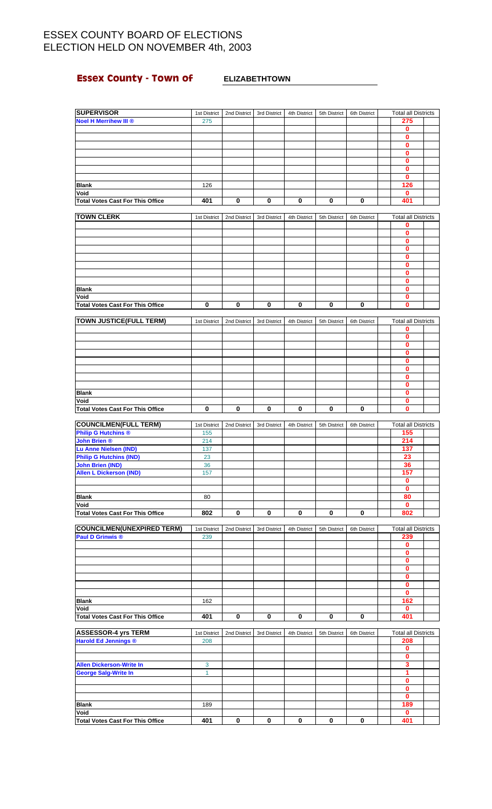# **Essex County - Town of ELIZABETHTOWN**

| <b>SUPERVISOR</b>                       | 1st District | 2nd District | 3rd District | 4th District | 5th District | 6th District | <b>Total all Districts</b> |  |
|-----------------------------------------|--------------|--------------|--------------|--------------|--------------|--------------|----------------------------|--|
| <b>Noel H Merrihew III ®</b>            | 275          |              |              |              |              |              | 275                        |  |
|                                         |              |              |              |              |              |              | 0                          |  |
|                                         |              |              |              |              |              |              | 0                          |  |
|                                         |              |              |              |              |              |              |                            |  |
|                                         |              |              |              |              |              |              | 0                          |  |
|                                         |              |              |              |              |              |              | 0                          |  |
|                                         |              |              |              |              |              |              | 0                          |  |
|                                         |              |              |              |              |              |              | 0                          |  |
|                                         |              |              |              |              |              |              | 0                          |  |
| <b>Blank</b>                            | 126          |              |              |              |              |              | 126                        |  |
|                                         |              |              |              |              |              |              |                            |  |
| Void                                    |              |              |              |              |              |              | $\mathbf{0}$               |  |
| <b>Total Votes Cast For This Office</b> | 401          | 0            | 0            | 0            | 0            | 0            | 401                        |  |
|                                         |              |              |              |              |              |              |                            |  |
| <b>TOWN CLERK</b>                       | 1st District | 2nd District | 3rd District | 4th District | 5th District | 6th District | <b>Total all Districts</b> |  |
|                                         |              |              |              |              |              |              | 0                          |  |
|                                         |              |              |              |              |              |              | 0                          |  |
|                                         |              |              |              |              |              |              |                            |  |
|                                         |              |              |              |              |              |              | 0                          |  |
|                                         |              |              |              |              |              |              | 0                          |  |
|                                         |              |              |              |              |              |              | 0                          |  |
|                                         |              |              |              |              |              |              | 0                          |  |
|                                         |              |              |              |              |              |              | 0                          |  |
|                                         |              |              |              |              |              |              | 0                          |  |
|                                         |              |              |              |              |              |              |                            |  |
| <b>Blank</b>                            |              |              |              |              |              |              | 0                          |  |
| Void                                    |              |              |              |              |              |              | 0                          |  |
| <b>Total Votes Cast For This Office</b> | $\bf{0}$     | 0            | 0            | 0            | 0            | 0            | $\mathbf{0}$               |  |
|                                         |              |              |              |              |              |              |                            |  |
| <b>TOWN JUSTICE(FULL TERM)</b>          | 1st District | 2nd District | 3rd District | 4th District | 5th District | 6th District | <b>Total all Districts</b> |  |
|                                         |              |              |              |              |              |              |                            |  |
|                                         |              |              |              |              |              |              | 0                          |  |
|                                         |              |              |              |              |              |              | 0                          |  |
|                                         |              |              |              |              |              |              | 0                          |  |
|                                         |              |              |              |              |              |              | $\bf{0}$                   |  |
|                                         |              |              |              |              |              |              | 0                          |  |
|                                         |              |              |              |              |              |              | 0                          |  |
|                                         |              |              |              |              |              |              |                            |  |
|                                         |              |              |              |              |              |              | 0                          |  |
|                                         |              |              |              |              |              |              | $\bf{0}$                   |  |
| <b>Blank</b>                            |              |              |              |              |              |              | 0                          |  |
| Void                                    |              |              |              |              |              |              | 0                          |  |
| <b>Total Votes Cast For This Office</b> | $\bf{0}$     | 0            | 0            | $\bf{0}$     | 0            | 0            | 0                          |  |
|                                         |              |              |              |              |              |              |                            |  |
|                                         |              |              |              |              |              |              |                            |  |
| <b>COUNCILMEN(FULL TERM)</b>            | 1st District | 2nd District | 3rd District | 4th District | 5th District | 6th District | <b>Total all Districts</b> |  |
| <b>Philip G Hutchins ®</b>              | 155          |              |              |              |              |              | 155                        |  |
| <b>John Brien ®</b>                     | 214          |              |              |              |              |              | 214                        |  |
| <b>Lu Anne Nielsen (IND)</b>            | 137          |              |              |              |              |              | 137                        |  |
| <b>Philip G Hutchins (IND)</b>          | 23           |              |              |              |              |              | 23                         |  |
|                                         |              |              |              |              |              |              |                            |  |
| <b>John Brien (IND)</b>                 | 36           |              |              |              |              |              | 36                         |  |
| <b>Allen L Dickerson (IND)</b>          | 157          |              |              |              |              |              | 157                        |  |
|                                         |              |              |              |              |              |              | 0                          |  |
|                                         |              |              |              |              |              |              | 0                          |  |
| <b>Blank</b>                            | 80           |              |              |              |              |              | 80                         |  |
|                                         |              |              |              |              |              |              |                            |  |
| Void                                    |              |              |              |              |              |              | 0                          |  |
| <b>Total Votes Cast For This Office</b> | 802          | 0            | 0            | 0            | 0            | 0            | 802                        |  |
|                                         |              |              |              |              |              |              |                            |  |
| <b>COUNCILMEN(UNEXPIRED TERM)</b>       | 1st District | 2nd District | 3rd District | 4th District | 5th District | 6th District | <b>Total all Districts</b> |  |
| <b>Paul D Grinwis ®</b>                 | 239          |              |              |              |              |              | 239                        |  |
|                                         |              |              |              |              |              |              | 0                          |  |
|                                         |              |              |              |              |              |              |                            |  |
|                                         |              |              |              |              |              |              | 0                          |  |
|                                         |              |              |              |              |              |              | 0                          |  |
|                                         |              |              |              |              |              |              | $\mathbf 0$                |  |
|                                         |              |              |              |              |              |              | 0                          |  |
|                                         |              |              |              |              |              |              | $\mathbf 0$                |  |
|                                         |              |              |              |              |              |              | $\pmb{0}$                  |  |
|                                         |              |              |              |              |              |              |                            |  |
| <b>Blank</b>                            | 162          |              |              |              |              |              | 162                        |  |
| Void                                    |              |              |              |              |              |              | 0                          |  |
| <b>Total Votes Cast For This Office</b> | 401          | 0            | 0            | $\bf{0}$     | 0            | $\mathbf 0$  | 401                        |  |
|                                         |              |              |              |              |              |              |                            |  |
| <b>ASSESSOR-4 yrs TERM</b>              | 1st District | 2nd District | 3rd District | 4th District | 5th District | 6th District | <b>Total all Districts</b> |  |
| <b>Harold Ed Jennings ®</b>             | 208          |              |              |              |              |              | 208                        |  |
|                                         |              |              |              |              |              |              |                            |  |
|                                         |              |              |              |              |              |              | 0                          |  |
|                                         |              |              |              |              |              |              | $\mathbf{0}$               |  |
| <b>Allen Dickerson-Write In</b>         | 3            |              |              |              |              |              | 3                          |  |
| <b>George Salg-Write In</b>             | $\mathbf{1}$ |              |              |              |              |              | 1                          |  |
|                                         |              |              |              |              |              |              | 0                          |  |
|                                         |              |              |              |              |              |              |                            |  |
|                                         |              |              |              |              |              |              | $\mathbf 0$                |  |
|                                         |              |              |              |              |              |              | 0                          |  |
| <b>Blank</b>                            | 189          |              |              |              |              |              | 189                        |  |
| Void                                    |              |              |              |              |              |              | 0                          |  |
|                                         |              |              |              |              |              |              |                            |  |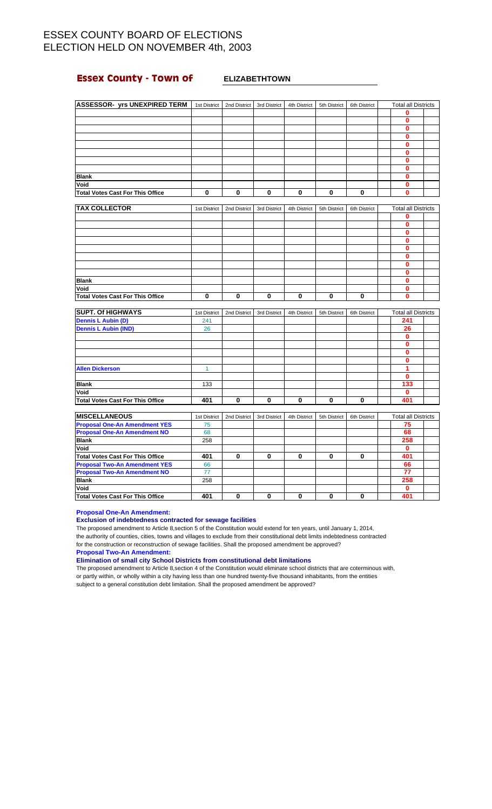## **Essex County - Town of ELIZABETHTOWN**

| <b>ASSESSOR- yrs UNEXPIRED TERM</b>     | 1st District | 2nd District | 3rd District | 4th District | 5th District | 6th District | <b>Total all Districts</b> |  |
|-----------------------------------------|--------------|--------------|--------------|--------------|--------------|--------------|----------------------------|--|
|                                         |              |              |              |              |              |              | 0                          |  |
|                                         |              |              |              |              |              |              | 0                          |  |
|                                         |              |              |              |              |              |              | 0                          |  |
|                                         |              |              |              |              |              |              | 0                          |  |
|                                         |              |              |              |              |              |              | Λ                          |  |
|                                         |              |              |              |              |              |              | o                          |  |
|                                         |              |              |              |              |              |              |                            |  |
|                                         |              |              |              |              |              |              | 0                          |  |
| <b>Blank</b>                            |              |              |              |              |              |              |                            |  |
| Void                                    |              |              |              |              |              |              | Ω                          |  |
| <b>Total Votes Cast For This Office</b> | 0            | 0            | $\bf{0}$     | 0            | 0            | 0            | 0                          |  |
|                                         |              |              |              |              |              |              |                            |  |
| <b>TAX COLLECTOR</b>                    | 1st District | 2nd District | 3rd District | 4th District | 5th District | 6th District | <b>Total all Districts</b> |  |
|                                         |              |              |              |              |              |              | n                          |  |

| <b>Blank</b>                            |  |  |  |  |  |
|-----------------------------------------|--|--|--|--|--|
| Void                                    |  |  |  |  |  |
| <b>Total Votes Cast For This Office</b> |  |  |  |  |  |

| <b>SUPT. Of HIGHWAYS</b>         | 1st District | 2nd District | 3rd District | 4th District | 5th District | 6th District | <b>Total all Districts</b> |  |
|----------------------------------|--------------|--------------|--------------|--------------|--------------|--------------|----------------------------|--|
| <b>Dennis L Aubin (D)</b>        | 241          |              |              |              |              |              | 241                        |  |
| <b>Dennis L Aubin (IND)</b>      | 26           |              |              |              |              |              | 26                         |  |
|                                  |              |              |              |              |              |              |                            |  |
|                                  |              |              |              |              |              |              |                            |  |
|                                  |              |              |              |              |              |              |                            |  |
|                                  |              |              |              |              |              |              |                            |  |
| <b>Allen Dickerson</b>           |              |              |              |              |              |              |                            |  |
|                                  |              |              |              |              |              |              |                            |  |
| <b>Blank</b>                     | 133          |              |              |              |              |              | 133                        |  |
| Void                             |              |              |              |              |              |              |                            |  |
| Total Votes Cast For This Office | 401          | 0            | O            | 0            | 0            |              | 401                        |  |

| <b>IMISCELLANEOUS</b>                   | 1st District | 2nd District | 3rd District | 4th District | 5th District | 6th District | <b>Total all Districts</b> |  |
|-----------------------------------------|--------------|--------------|--------------|--------------|--------------|--------------|----------------------------|--|
| <b>Proposal One-An Amendment YES</b>    | 75           |              |              |              |              |              | 75                         |  |
| <b>Proposal One-An Amendment NO</b>     | 68           |              |              |              |              |              | 68                         |  |
| <b>Blank</b>                            | 258          |              |              |              |              |              | 258                        |  |
| Void                                    |              |              |              |              |              |              |                            |  |
| <b>Total Votes Cast For This Office</b> | 401          |              | 0            | 0            | 0            |              | 401                        |  |
| <b>Proposal Two-An Amendment YES</b>    | 66           |              |              |              |              |              | 66                         |  |
| <b>Proposal Two-An Amendment NO</b>     | 77           |              |              |              |              |              | 77                         |  |
| <b>Blank</b>                            | 258          |              |              |              |              |              | 258                        |  |
| Void                                    |              |              |              |              |              |              |                            |  |
| Total Votes Cast For This Office        | 401          |              |              | 0            | 0            |              | 401                        |  |

**Proposal One-An Amendment:**

### **Exclusion of indebtedness contracted for sewage facilities**

The proposed amendment to Article 8,section 5 of the Constitution would extend for ten years, until January 1, 2014, the authority of counties, cities, towns and villages to exclude from their constitutional debt limits indebtedness contracted for the construction or reconstruction of sewage facilities. Shall the proposed amendment be approved?

**Proposal Two-An Amendment:**

**Elimination of small city School Districts from constitutional debt limitations**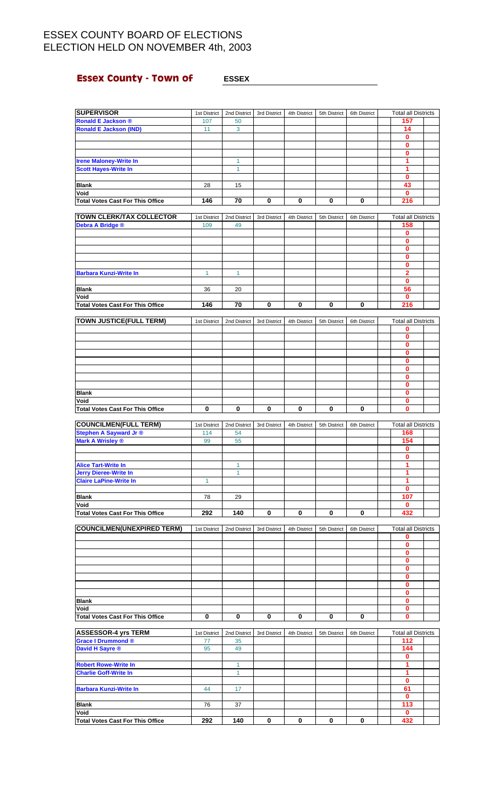## **Essex County - Town of ESSEX**

| <b>SUPERVISOR</b>                               | 1st District        | 2nd District       | 3rd District | 4th District | 5th District | 6th District | <b>Total all Districts</b>        |  |
|-------------------------------------------------|---------------------|--------------------|--------------|--------------|--------------|--------------|-----------------------------------|--|
| <b>Ronald E Jackson ®</b>                       | 107                 | 50                 |              |              |              |              | 157                               |  |
| <b>Ronald E Jackson (IND)</b>                   | 11                  | 3                  |              |              |              |              | 14                                |  |
|                                                 |                     |                    |              |              |              |              | 0                                 |  |
|                                                 |                     |                    |              |              |              |              | $\mathbf{0}$                      |  |
|                                                 |                     |                    |              |              |              |              | 0                                 |  |
| <b>Irene Maloney-Write In</b>                   |                     | 1                  |              |              |              |              | 1                                 |  |
| <b>Scott Hayes-Write In</b>                     |                     | $\mathbf{1}$       |              |              |              |              | 1<br>0                            |  |
| <b>Blank</b>                                    | 28                  | 15                 |              |              |              |              | 43                                |  |
| Void                                            |                     |                    |              |              |              |              | $\mathbf{0}$                      |  |
| <b>Total Votes Cast For This Office</b>         | 146                 | 70                 | 0            | 0            | 0            | 0            | 216                               |  |
|                                                 |                     |                    |              |              |              |              |                                   |  |
| TOWN CLERK/TAX COLLECTOR                        | 1st District        | 2nd District       | 3rd District | 4th District | 5th District | 6th District | <b>Total all Districts</b>        |  |
| Debra A Bridge ®                                | 109                 | 49                 |              |              |              |              | 158                               |  |
|                                                 |                     |                    |              |              |              |              | 0                                 |  |
|                                                 |                     |                    |              |              |              |              | $\mathbf{0}$<br>0                 |  |
|                                                 |                     |                    |              |              |              |              | 0                                 |  |
|                                                 |                     |                    |              |              |              |              | 0                                 |  |
| <b>Barbara Kunzi-Write In</b>                   | $\mathbf{1}$        | $\mathbf{1}$       |              |              |              |              | 2                                 |  |
|                                                 |                     |                    |              |              |              |              | 0                                 |  |
| Blank                                           | 36                  | 20                 |              |              |              |              | 56                                |  |
| Void                                            |                     |                    |              |              |              |              | 0                                 |  |
| <b>Total Votes Cast For This Office</b>         | 146                 | 70                 | 0            | 0            | 0            | 0            | 216                               |  |
| TOWN JUSTICE(FULL TERM)                         | 1st District        | 2nd District       | 3rd District | 4th District | 5th District | 6th District | <b>Total all Districts</b>        |  |
|                                                 |                     |                    |              |              |              |              | 0                                 |  |
|                                                 |                     |                    |              |              |              |              | $\bf{0}$                          |  |
|                                                 |                     |                    |              |              |              |              | 0                                 |  |
|                                                 |                     |                    |              |              |              |              | 0                                 |  |
|                                                 |                     |                    |              |              |              |              | 0<br>0                            |  |
|                                                 |                     |                    |              |              |              |              | 0                                 |  |
|                                                 |                     |                    |              |              |              |              | 0                                 |  |
| <b>Blank</b>                                    |                     |                    |              |              |              |              | 0                                 |  |
| Void                                            |                     |                    |              |              |              |              | 0                                 |  |
| <b>Total Votes Cast For This Office</b>         | 0                   | 0                  | 0            | 0            | 0            | 0            | 0                                 |  |
| <b>COUNCILMEN(FULL TERM)</b>                    |                     |                    |              |              |              |              |                                   |  |
| <b>Stephen A Sayward Jr ®</b>                   | 1st District<br>114 | 2nd District<br>54 | 3rd District | 4th District | 5th District | 6th District | <b>Total all Districts</b><br>168 |  |
| <b>Mark A Wrisley ®</b>                         | 99                  | 55                 |              |              |              |              | 154                               |  |
|                                                 |                     |                    |              |              |              |              | 0                                 |  |
|                                                 |                     |                    |              |              |              |              | 0                                 |  |
| <b>Alice Tart-Write In</b>                      |                     |                    |              |              |              |              |                                   |  |
|                                                 |                     | 1                  |              |              |              |              | 1                                 |  |
| <b>Jerry Dieree-Write In</b>                    |                     | $\mathbf{1}$       |              |              |              |              | 1                                 |  |
| <b>Claire LaPine-Write In</b>                   | $\mathbf{1}$        |                    |              |              |              |              | 1                                 |  |
|                                                 |                     |                    |              |              |              |              | 0                                 |  |
| <b>Blank</b>                                    | 78                  | 29                 |              |              |              |              | 107                               |  |
| Void<br><b>Total Votes Cast For This Office</b> | 292                 | 140                | 0            | 0            | 0            | 0            | 0<br>432                          |  |
|                                                 |                     |                    |              |              |              |              |                                   |  |
| <b>COUNCILMEN(UNEXPIRED TERM)</b>               | 1st District        | 2nd District       | 3rd District | 4th District | 5th District | 6th District | <b>Total all Districts</b>        |  |
|                                                 |                     |                    |              |              |              |              | 0                                 |  |
|                                                 |                     |                    |              |              |              |              | $\bf{0}$                          |  |
|                                                 |                     |                    |              |              |              |              | 0                                 |  |
|                                                 |                     |                    |              |              |              |              | 0<br>0                            |  |
|                                                 |                     |                    |              |              |              |              | 0                                 |  |
|                                                 |                     |                    |              |              |              |              | 0                                 |  |
|                                                 |                     |                    |              |              |              |              | 0                                 |  |
| <b>Blank</b>                                    |                     |                    |              |              |              |              | 0                                 |  |
| Void                                            |                     |                    |              |              |              |              | 0                                 |  |
| <b>Total Votes Cast For This Office</b>         | 0                   | 0                  | 0            | 0            | 0            | 0            | $\mathbf{0}$                      |  |
| <b>ASSESSOR-4 yrs TERM</b>                      | 1st District        | 2nd District       | 3rd District | 4th District | 5th District | 6th District | <b>Total all Districts</b>        |  |
| Grace I Drummond ®                              | 77                  | 35                 |              |              |              |              | 112                               |  |
| David H Sayre ®                                 | 95                  | 49                 |              |              |              |              | 144                               |  |
|                                                 |                     |                    |              |              |              |              | 0                                 |  |
| <b>Robert Rowe-Write In</b>                     |                     | $\mathbf{1}$       |              |              |              |              | 1                                 |  |
| <b>Charlie Goff-Write In</b>                    |                     | $\mathbf{1}$       |              |              |              |              | 1<br>0                            |  |
| <b>Barbara Kunzi-Write In</b>                   | 44                  | 17                 |              |              |              |              | 61                                |  |
|                                                 |                     |                    |              |              |              |              | 0                                 |  |
| Blank<br>Void                                   | 76                  | 37                 |              |              |              |              | 113<br>0                          |  |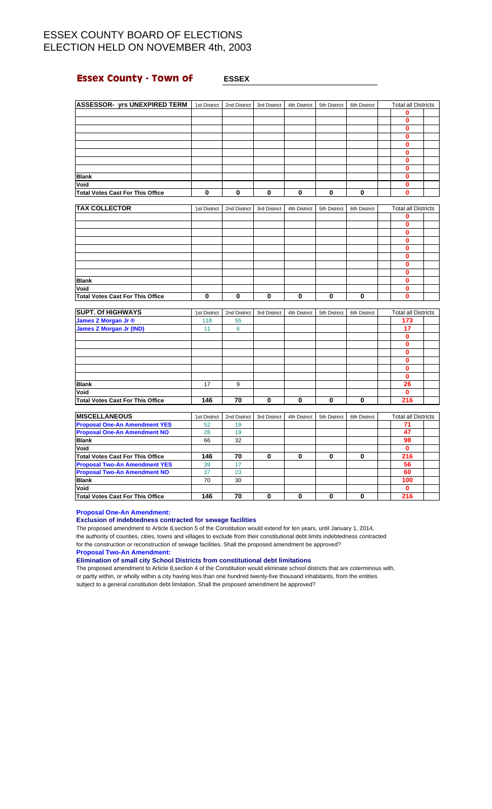## **Essex County - Town of**  $\qquad$  **ESSEX**

| <b>ASSESSOR- yrs UNEXPIRED TERM</b>     | 1st District | 2nd District | 3rd District | 4th District | 5th District | 6th District | <b>Total all Districts</b> |  |
|-----------------------------------------|--------------|--------------|--------------|--------------|--------------|--------------|----------------------------|--|
|                                         |              |              |              |              |              |              | n                          |  |
|                                         |              |              |              |              |              |              |                            |  |
|                                         |              |              |              |              |              |              | 0                          |  |
|                                         |              |              |              |              |              |              | n                          |  |
|                                         |              |              |              |              |              |              | n                          |  |
|                                         |              |              |              |              |              |              |                            |  |
|                                         |              |              |              |              |              |              |                            |  |
|                                         |              |              |              |              |              |              |                            |  |
| <b>Blank</b>                            |              |              |              |              |              |              |                            |  |
| Void                                    |              |              |              |              |              |              |                            |  |
| <b>Total Votes Cast For This Office</b> | 0            | 0            | 0            | $\bf{0}$     | 0            | 0            | 0                          |  |

| <b>TAX COLLECTOR</b>                    | 1st District | 2nd District | 3rd District | 4th District | 5th District | 6th District | <b>Total all Districts</b> |  |  |
|-----------------------------------------|--------------|--------------|--------------|--------------|--------------|--------------|----------------------------|--|--|
|                                         |              |              |              |              |              |              |                            |  |  |
|                                         |              |              |              |              |              |              |                            |  |  |
|                                         |              |              |              |              |              |              |                            |  |  |
|                                         |              |              |              |              |              |              |                            |  |  |
|                                         |              |              |              |              |              |              |                            |  |  |
|                                         |              |              |              |              |              |              |                            |  |  |
|                                         |              |              |              |              |              |              |                            |  |  |
|                                         |              |              |              |              |              |              |                            |  |  |
| <b>Blank</b>                            |              |              |              |              |              |              |                            |  |  |
| Void                                    |              |              |              |              |              |              |                            |  |  |
| <b>Total Votes Cast For This Office</b> | 0            | 0            | 0            | $\mathbf{0}$ | 0            |              |                            |  |  |

| <b>SUPT. Of HIGHWAYS</b>                | 1st District | 2nd District | 3rd District | 4th District | 5th District | 6th District | <b>Total all Districts</b> |  |
|-----------------------------------------|--------------|--------------|--------------|--------------|--------------|--------------|----------------------------|--|
| James Z Morgan Jr ®                     | 118          | 55           |              |              |              |              | 173                        |  |
| <b>James Z Morgan Jr (IND)</b>          | 11           | 6            |              |              |              |              | 17                         |  |
|                                         |              |              |              |              |              |              |                            |  |
|                                         |              |              |              |              |              |              |                            |  |
|                                         |              |              |              |              |              |              |                            |  |
|                                         |              |              |              |              |              |              |                            |  |
|                                         |              |              |              |              |              |              |                            |  |
|                                         |              |              |              |              |              |              |                            |  |
| <b>Blank</b>                            | 17           | 9            |              |              |              |              | 26                         |  |
| Void                                    |              |              |              |              |              |              |                            |  |
| <b>Total Votes Cast For This Office</b> | 146          | 70           | O            | 0            | 0            |              | 216                        |  |

| <b>IMISCELLANEOUS</b>                   | 1st District | 2nd District | 3rd District | 4th District | 5th District | 6th District | <b>Total all Districts</b> |  |
|-----------------------------------------|--------------|--------------|--------------|--------------|--------------|--------------|----------------------------|--|
| <b>Proposal One-An Amendment YES</b>    | 52           | 19           |              |              |              |              |                            |  |
| <b>Proposal One-An Amendment NO</b>     | 28           | 19           |              |              |              |              | 47                         |  |
| <b>Blank</b>                            | 66           | 32           |              |              |              |              | 98                         |  |
| Void                                    |              |              |              |              |              |              | O                          |  |
| Total Votes Cast For This Office        | 146          | 70           | 0            | 0            | 0            |              | 216                        |  |
| <b>Proposal Two-An Amendment YES</b>    | 39           | 17           |              |              |              |              | 56                         |  |
| <b>Proposal Two-An Amendment NO</b>     | 37           | 23           |              |              |              |              | 60                         |  |
| <b>Blank</b>                            | 70           | 30           |              |              |              |              | 100                        |  |
| Void                                    |              |              |              |              |              |              |                            |  |
| <b>Total Votes Cast For This Office</b> | 146          | 70           |              | 0            | 0            |              | 216                        |  |

**Proposal One-An Amendment:**

### **Exclusion of indebtedness contracted for sewage facilities**

The proposed amendment to Article 8,section 5 of the Constitution would extend for ten years, until January 1, 2014, the authority of counties, cities, towns and villages to exclude from their constitutional debt limits indebtedness contracted for the construction or reconstruction of sewage facilities. Shall the proposed amendment be approved?

**Proposal Two-An Amendment:**

**Elimination of small city School Districts from constitutional debt limitations**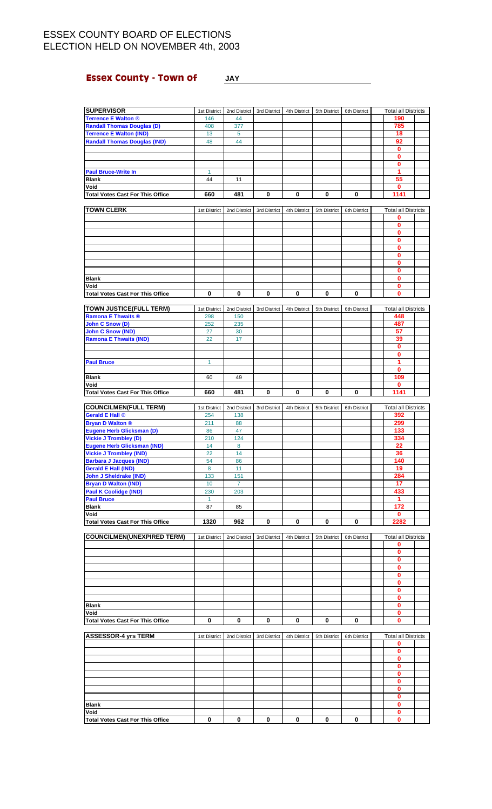### **Essex County - Town of JAY**

### **SUPERVISOR** 1st District 2nd District 3rd District 4th District 5th District 6th District Total all Districts **Terrence E Walton ®** 146 44 **190**<br>**Randall Thomas Douglas (D)** 408 377 **190 Randall Thomas Douglas (D) Terrence E Walton (IND)** 13 5 **1 18 Randall Thomas Douglas (IND)** 48 44 **92 0 0 0 Paul Bruce-Write In** 1 **1 Blank** 44 11 **55 Void 0 Total Votes Cast For This Office 660 481 0 0 0 0 1141 TOWN CLERK** 1st District 2nd District 3rd District 4th District 5th District 6th District Total all Districts **0 0 0 0 0 0 0 0 Blank 0 Void 0 Total Votes Cast For This Office 000000 0 TOWN JUSTICE(FULL TERM)** 1st District 2nd District 3rd District 4th District 6th District 6th District Total all Districts **Ramona E Thwaits ®** 298 150 **448 John C Snow (D)** 252 235 **John C Snow (IND)** 27 30 **57**<br>**Ramona E Thwaits (IND)** 22 17 39 **Ramona E Thwaits (IND)** 22 **0 0** Paul Bruce **1 1 | 1 | | | | | | | | | |** | | | 1 **0 Blank** 60 49 **109 Void 0 Total Votes Cast For This Office 660 481 0 0 0 0 1141 COUNCILMEN(FULL TERM)** 1st District 2nd District 3rd District 4th District 5th District 6th District Total all Districts **Gerald E Hall ® 254 254 254 254 254 254 254 265 266 276 276 276 277 278 279 279 279 279 279 279 279 279 289 289 Bryan D Walton ®** 211 88 **299 Eugene Herb Glicksman (D)** 86 47 **133 Vickie J Trombley (D)** 210 124 **334 Eugene Herb Glicksman (IND)** 14 8 **22 Vickie J Trombley (IND)** 22 14 **36 Barbara J Jacques (IND)** 54 86 **140 Gerald E Hall (IND) John J Sheldrake (IND)** 133 151 **151 134 151 134 151 1284 Bryan D Walton (IND)** 10 7 **17**<br>**Paul K Coolidge (IND)** 230 203 203 **1999 203 433 Paul K Coolidge (IND)** 230 203<br>**Paul Bruce** 1 Paul Bruce **1 1 | 1 | | | | | | | | | |** | | | 1 **Blank** 87 85 **172 Void 0 Total Votes Cast For This Office 1320 962 0000 2282 COUNCILMEN(UNEXPIRED TERM)** 1st District 2nd District 3rd District 4th District 5th District 6th District Total all Districts **0 0 0 0 0 0 0 0 Blank 0 Void 0 Total Votes Cast For This Office 000000 0**

| <b>ASSESSOR-4 yrs TERM</b>              | 1st District | 2nd District 3rd District | 4th District | 5th District | 6th District | <b>Total all Districts</b> |  |  |
|-----------------------------------------|--------------|---------------------------|--------------|--------------|--------------|----------------------------|--|--|
|                                         |              |                           |              |              |              |                            |  |  |
|                                         |              |                           |              |              |              |                            |  |  |
|                                         |              |                           |              |              |              |                            |  |  |
|                                         |              |                           |              |              |              |                            |  |  |
|                                         |              |                           |              |              |              |                            |  |  |
|                                         |              |                           |              |              |              |                            |  |  |
|                                         |              |                           |              |              |              |                            |  |  |
|                                         |              |                           |              |              |              |                            |  |  |
| <b>Blank</b>                            |              |                           |              |              |              |                            |  |  |
| Void                                    |              |                           |              |              |              |                            |  |  |
| <b>Total Votes Cast For This Office</b> |              | 0                         | 0            | 0            |              |                            |  |  |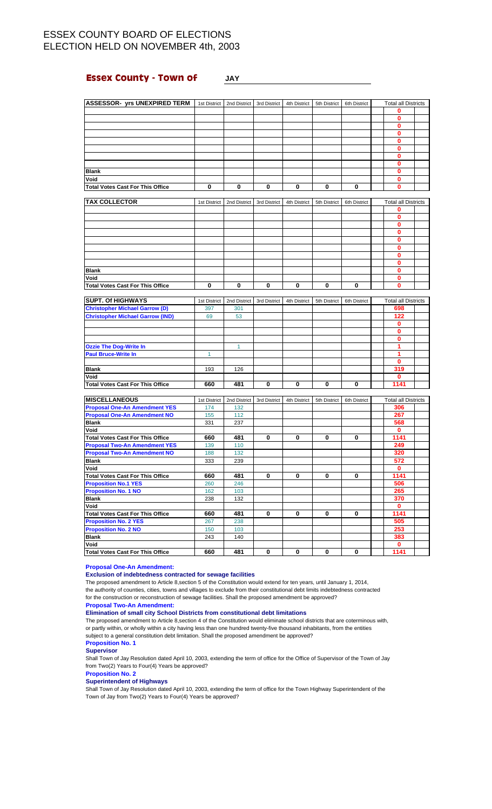### **Essex County - Town of JAY**

| <b>ASSESSOR- yrs UNEXPIRED TERM</b>             |              | 1st District   2nd District | 3rd District | 4th District | 5th District | 6th District | <b>Total all Districts</b> |  |
|-------------------------------------------------|--------------|-----------------------------|--------------|--------------|--------------|--------------|----------------------------|--|
|                                                 |              |                             |              |              |              |              | 0                          |  |
|                                                 |              |                             |              |              |              |              | $\mathbf 0$                |  |
|                                                 |              |                             |              |              |              |              | $\bf{0}$                   |  |
|                                                 |              |                             |              |              |              |              | 0                          |  |
|                                                 |              |                             |              |              |              |              | $\mathbf 0$                |  |
|                                                 |              |                             |              |              |              |              | 0                          |  |
|                                                 |              |                             |              |              |              |              | 0                          |  |
|                                                 |              |                             |              |              |              |              | $\mathbf{0}$               |  |
| <b>Blank</b>                                    |              |                             |              |              |              |              | $\bf{0}$                   |  |
| Void                                            |              |                             |              |              |              |              | $\mathbf{0}$               |  |
| <b>Total Votes Cast For This Office</b>         | $\bf{0}$     | 0                           | $\bf{0}$     | 0            | $\mathbf 0$  | $\bf{0}$     | $\mathbf 0$                |  |
|                                                 |              |                             |              |              |              |              |                            |  |
| <b>TAX COLLECTOR</b>                            | 1st District | 2nd District                | 3rd District | 4th District | 5th District | 6th District | <b>Total all Districts</b> |  |
|                                                 |              |                             |              |              |              |              | 0                          |  |
|                                                 |              |                             |              |              |              |              | 0                          |  |
|                                                 |              |                             |              |              |              |              | 0                          |  |
|                                                 |              |                             |              |              |              |              | $\bf{0}$                   |  |
|                                                 |              |                             |              |              |              |              | 0                          |  |
|                                                 |              |                             |              |              |              |              | $\mathbf{0}$               |  |
|                                                 |              |                             |              |              |              |              | $\bf{0}$                   |  |
|                                                 |              |                             |              |              |              |              | $\mathbf{0}$               |  |
| <b>Blank</b>                                    |              |                             |              |              |              |              | $\bf{0}$                   |  |
| Void                                            |              |                             |              |              |              |              | 0                          |  |
| <b>Total Votes Cast For This Office</b>         | 0            | 0                           | 0            | 0            | 0            | 0            | $\mathbf{0}$               |  |
|                                                 |              |                             |              |              |              |              |                            |  |
| <b>SUPT. Of HIGHWAYS</b>                        | 1st District | 2nd District                | 3rd District | 4th District | 5th District | 6th District | <b>Total all Districts</b> |  |
| <b>Christopher Michael Garrow (D)</b>           | 397          | 301                         |              |              |              |              | 698                        |  |
| <b>Christopher Michael Garrow (IND)</b>         | 69           | 53                          |              |              |              |              | 122                        |  |
|                                                 |              |                             |              |              |              |              | $\bf{0}$                   |  |
|                                                 |              |                             |              |              |              |              | $\mathbf{0}$               |  |
|                                                 |              |                             |              |              |              |              | 0<br>1                     |  |
| <b>Ozzie The Dog-Write In</b>                   |              | $\overline{1}$              |              |              |              |              |                            |  |
| <b>Paul Bruce-Write In</b>                      | 1            |                             |              |              |              |              | 1                          |  |
|                                                 |              |                             |              |              |              |              | 0                          |  |
| <b>Blank</b>                                    | 193          | 126                         |              |              |              |              | 319                        |  |
| Void<br><b>Total Votes Cast For This Office</b> | 660          | 481                         | 0            | 0            | 0            | $\bf{0}$     | $\bf{0}$<br>1141           |  |
|                                                 |              |                             |              |              |              |              |                            |  |
| <b>MISCELLANEOUS</b>                            | 1st District | 2nd District                | 3rd District | 4th District | 5th District | 6th District | <b>Total all Districts</b> |  |
| <b>Proposal One-An Amendment YES</b>            | 174          | 132                         |              |              |              |              | 306                        |  |
| <b>Proposal One-An Amendment NO</b>             | 155          | 112                         |              |              |              |              | 267                        |  |
| <b>Blank</b>                                    | 331          | 237                         |              |              |              |              | 568                        |  |
| Void                                            |              |                             |              |              |              |              | $\bf{0}$                   |  |
| <b>Total Votes Cast For This Office</b>         | 660          | 481                         | 0            | 0            | 0            | $\bf{0}$     | 1141                       |  |
| <b>Proposal Two-An Amendment YES</b>            | 139          | 110                         |              |              |              |              | 249                        |  |
| <b>Proposal Two-An Amendment NO</b>             | 188          | 132                         |              |              |              |              | 320                        |  |
| <b>Blank</b>                                    | 333          | 239                         |              |              |              |              | 572                        |  |
| Void                                            |              |                             |              |              |              |              | $\mathbf 0$                |  |
| <b>Total Votes Cast For This Office</b>         | 660          | 481                         | 0            | 0            | 0            | 0            | 1141                       |  |
| <b>Proposition No.1 YES</b>                     | 260          | 246                         |              |              |              |              | 506                        |  |
| <b>Proposition No. 1 NO</b>                     | 162          | 103                         |              |              |              |              | 265                        |  |
| <b>Blank</b>                                    | 238          | 132                         |              |              |              |              | 370                        |  |
| Void                                            |              |                             |              |              |              |              | 0                          |  |
| <b>Total Votes Cast For This Office</b>         | 660          | 481                         | 0            | 0            | 0            | 0            | 1141                       |  |

### **Proposal One-An Amendment:**

**Exclusion of indebtedness contracted for sewage facilities**

The proposed amendment to Article 8,section 5 of the Constitution would extend for ten years, until January 1, 2014, the authority of counties, cities, towns and villages to exclude from their constitutional debt limits indebtedness contracted for the construction or reconstruction of sewage facilities. Shall the proposed amendment be approved?

**Proposition No. 2 YES** 267 238 **505 Proposition No. 2 NO** 150 103 **253 Blank** 243 140 **383 Void 0 Total Votes Cast For This Office 660 481 0 0 0 0 1141**

**Proposal Two-An Amendment:**

### **Elimination of small city School Districts from constitutional debt limitations**

The proposed amendment to Article 8,section 4 of the Constitution would eliminate school districts that are coterminous with, or partly within, or wholly within a city having less than one hundred twenty-five thousand inhabitants, from the entities subject to a general constitution debt limitation. Shall the proposed amendment be approved?

### **Proposition No. 1**

**Supervisor**

Shall Town of Jay Resolution dated April 10, 2003, extending the term of office for the Office of Supervisor of the Town of Jay from Two(2) Years to Four(4) Years be approved?

**Proposition No. 2**

**Superintendent of Highways**

Shall Town of Jay Resolution dated April 10, 2003, extending the term of office for the Town Highway Superintendent of the Town of Jay from Two(2) Years to Four(4) Years be approved?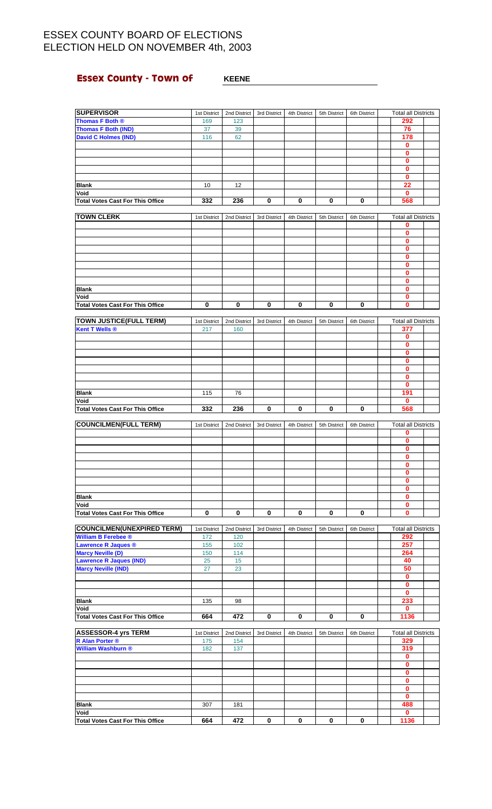# **Essex County - Town of KEENE**

| <b>SUPERVISOR</b>                                               | 1st District        | 2nd District        | 3rd District | 4th District | 5th District | 6th District | <b>Total all Districts</b>        |  |
|-----------------------------------------------------------------|---------------------|---------------------|--------------|--------------|--------------|--------------|-----------------------------------|--|
| Thomas F Both ®                                                 | 169                 | 123                 |              |              |              |              | 292                               |  |
| <b>Thomas F Both (IND)</b>                                      | 37                  | 39                  |              |              |              |              | 76                                |  |
| <b>David C Holmes (IND)</b>                                     | 116                 | 62                  |              |              |              |              | 178                               |  |
|                                                                 |                     |                     |              |              |              |              | $\mathbf 0$                       |  |
|                                                                 |                     |                     |              |              |              |              | $\mathbf 0$<br>$\mathbf 0$        |  |
|                                                                 |                     |                     |              |              |              |              | $\mathbf{0}$                      |  |
|                                                                 |                     |                     |              |              |              |              | $\mathbf 0$                       |  |
| <b>Blank</b>                                                    | 10                  | 12                  |              |              |              |              | 22                                |  |
| Void                                                            |                     |                     |              |              |              |              | $\bf{0}$                          |  |
| <b>Total Votes Cast For This Office</b>                         | 332                 | 236                 | 0            | 0            | 0            | 0            | 568                               |  |
| <b>TOWN CLERK</b>                                               | 1st District        | 2nd District        | 3rd District | 4th District | 5th District | 6th District | <b>Total all Districts</b>        |  |
|                                                                 |                     |                     |              |              |              |              | 0                                 |  |
|                                                                 |                     |                     |              |              |              |              | 0                                 |  |
|                                                                 |                     |                     |              |              |              |              | $\bf{0}$                          |  |
|                                                                 |                     |                     |              |              |              |              | 0<br>$\mathbf 0$                  |  |
|                                                                 |                     |                     |              |              |              |              | $\bf{0}$                          |  |
|                                                                 |                     |                     |              |              |              |              | $\mathbf 0$                       |  |
|                                                                 |                     |                     |              |              |              |              | 0                                 |  |
| <b>Blank</b>                                                    |                     |                     |              |              |              |              | $\bf{0}$                          |  |
| Void<br><b>Total Votes Cast For This Office</b>                 | 0                   | 0                   | 0            | 0            | 0            | 0            | 0<br>$\mathbf 0$                  |  |
|                                                                 |                     |                     |              |              |              |              |                                   |  |
| <b>TOWN JUSTICE(FULL TERM)</b>                                  | 1st District        | 2nd District        | 3rd District | 4th District | 5th District | 6th District | <b>Total all Districts</b>        |  |
| <b>Kent T Wells ®</b>                                           | 217                 | 160                 |              |              |              |              | 377                               |  |
|                                                                 |                     |                     |              |              |              |              | 0                                 |  |
|                                                                 |                     |                     |              |              |              |              | 0<br>0                            |  |
|                                                                 |                     |                     |              |              |              |              | 0                                 |  |
|                                                                 |                     |                     |              |              |              |              | $\mathbf 0$                       |  |
|                                                                 |                     |                     |              |              |              |              | $\mathbf 0$                       |  |
|                                                                 |                     |                     |              |              |              |              | $\bf{0}$                          |  |
| <b>Blank</b><br>Void                                            | 115                 | 76                  |              |              |              |              | 191<br>$\bf{0}$                   |  |
| <b>Total Votes Cast For This Office</b>                         | 332                 | 236                 | 0            | 0            | 0            | 0            | 568                               |  |
|                                                                 |                     |                     |              |              |              |              |                                   |  |
| <b>COUNCILMEN(FULL TERM)</b>                                    | 1st District        | 2nd District        | 3rd District | 4th District | 5th District | 6th District | <b>Total all Districts</b><br>0   |  |
|                                                                 |                     |                     |              |              |              |              | $\mathbf 0$                       |  |
|                                                                 |                     |                     |              |              |              |              | $\mathbf 0$                       |  |
|                                                                 |                     |                     |              |              |              |              | 0                                 |  |
|                                                                 |                     |                     |              |              |              |              | 0                                 |  |
|                                                                 |                     |                     |              |              |              |              | $\bf{0}$<br>$\mathbf 0$           |  |
|                                                                 |                     |                     |              |              |              |              |                                   |  |
| <b>Blank</b>                                                    |                     |                     |              |              |              |              | $\mathbf 0$                       |  |
| Void                                                            |                     |                     |              |              |              |              | 0                                 |  |
| <b>Total Votes Cast For This Office</b>                         |                     |                     |              |              |              |              | $\mathbf 0$                       |  |
|                                                                 | 0                   | 0                   | 0            | 0            | 0            | 0            | 0                                 |  |
|                                                                 |                     |                     |              |              |              |              |                                   |  |
| <b>COUNCILMEN(UNEXPIRED TERM)</b><br><b>William B Ferebee ®</b> | 1st District<br>172 | 2nd District<br>120 | 3rd District | 4th District | 5th District | 6th District | <b>Total all Districts</b><br>292 |  |
| <b>Lawrence R Jaques ®</b>                                      | 155                 | 102                 |              |              |              |              | 257                               |  |
| <b>Marcy Neville (D)</b>                                        | 150                 | 114                 |              |              |              |              | 264                               |  |
| <b>Lawrence R Jaques (IND)</b>                                  | 25                  | 15                  |              |              |              |              | 40                                |  |
| <b>Marcy Neville (IND)</b>                                      | 27                  | 23                  |              |              |              |              | 50<br>$\mathbf{0}$                |  |
|                                                                 |                     |                     |              |              |              |              | 0                                 |  |
|                                                                 |                     |                     |              |              |              |              | $\mathbf{0}$                      |  |
| <b>Blank</b>                                                    | 135                 | 98                  |              |              |              |              | 233                               |  |
| Void                                                            |                     |                     |              |              |              |              | 0                                 |  |
| <b>Total Votes Cast For This Office</b>                         | 664                 | 472                 | 0            | 0            | 0            | 0            | 1136                              |  |
| <b>ASSESSOR-4 yrs TERM</b>                                      | 1st District        | 2nd District        | 3rd District | 4th District | 5th District | 6th District | <b>Total all Districts</b>        |  |
| <b>R Alan Porter ®</b>                                          | 175                 | 154                 |              |              |              |              | 329                               |  |
| William Washburn ®                                              | 182                 | 137                 |              |              |              |              | 319                               |  |
|                                                                 |                     |                     |              |              |              |              | 0<br>$\mathbf{0}$                 |  |
|                                                                 |                     |                     |              |              |              |              | 0                                 |  |
|                                                                 |                     |                     |              |              |              |              | 0                                 |  |
|                                                                 |                     |                     |              |              |              |              | $\mathbf{0}$                      |  |
|                                                                 |                     |                     |              |              |              |              | 0                                 |  |
| <b>Blank</b><br>Void                                            | 307                 | 181                 |              |              |              |              | 488<br>$\bf{0}$                   |  |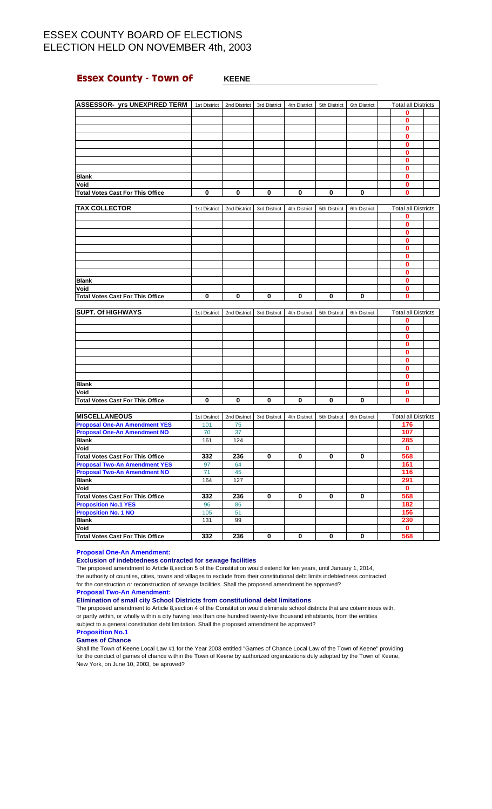## **Essex County - Town of WHEENE**

| <b>ASSESSOR- yrs UNEXPIRED TERM</b>                        | 1st District | 2nd District | 3rd District | 4th District | 5th District | 6th District | <b>Total all Districts</b> |  |
|------------------------------------------------------------|--------------|--------------|--------------|--------------|--------------|--------------|----------------------------|--|
|                                                            |              |              |              |              |              |              | 0                          |  |
|                                                            |              |              |              |              |              |              | $\mathbf 0$                |  |
|                                                            |              |              |              |              |              |              | 0                          |  |
|                                                            |              |              |              |              |              |              | $\bf{0}$                   |  |
|                                                            |              |              |              |              |              |              | $\bf{0}$                   |  |
|                                                            |              |              |              |              |              |              | 0                          |  |
|                                                            |              |              |              |              |              |              | $\bf{0}$                   |  |
|                                                            |              |              |              |              |              |              | $\bf{0}$                   |  |
| <b>Blank</b>                                               |              |              |              |              |              |              | 0                          |  |
| Void                                                       |              |              |              |              |              |              | $\bf{0}$                   |  |
| <b>Total Votes Cast For This Office</b>                    | 0            | 0            | 0            | 0            | 0            | 0            | $\bf{0}$                   |  |
|                                                            |              |              |              |              |              |              |                            |  |
| <b>TAX COLLECTOR</b>                                       | 1st District | 2nd District | 3rd District | 4th District | 5th District | 6th District | <b>Total all Districts</b> |  |
|                                                            |              |              |              |              |              |              | 0                          |  |
|                                                            |              |              |              |              |              |              | 0                          |  |
|                                                            |              |              |              |              |              |              | $\bf{0}$                   |  |
|                                                            |              |              |              |              |              |              | $\mathbf 0$                |  |
|                                                            |              |              |              |              |              |              | $\bf{0}$                   |  |
|                                                            |              |              |              |              |              |              | $\bf{0}$                   |  |
|                                                            |              |              |              |              |              |              | 0                          |  |
|                                                            |              |              |              |              |              |              | $\bf{0}$                   |  |
| <b>Blank</b>                                               |              |              |              |              |              |              | $\bf{0}$                   |  |
| Void                                                       |              |              |              |              |              |              | 0                          |  |
| <b>Total Votes Cast For This Office</b>                    | 0            | 0            | 0            | 0            | 0            | 0            | $\bf{0}$                   |  |
|                                                            |              |              |              |              |              |              |                            |  |
| <b>SUPT. Of HIGHWAYS</b>                                   | 1st District | 2nd District | 3rd District | 4th District | 5th District | 6th District | <b>Total all Districts</b> |  |
|                                                            |              |              |              |              |              |              | 0                          |  |
|                                                            |              |              |              |              |              |              | $\bf{0}$                   |  |
|                                                            |              |              |              |              |              |              | $\bf{0}$                   |  |
|                                                            |              |              |              |              |              |              | $\mathbf 0$                |  |
|                                                            |              |              |              |              |              |              | $\bf{0}$                   |  |
|                                                            |              |              |              |              |              |              | $\bf{0}$                   |  |
|                                                            |              |              |              |              |              |              | $\bf{0}$                   |  |
|                                                            |              |              |              |              |              |              | $\bf{0}$                   |  |
| <b>Blank</b>                                               |              |              |              |              |              |              | $\bf{0}$                   |  |
| Void                                                       |              |              |              |              |              |              | $\bf{0}$                   |  |
| <b>Total Votes Cast For This Office</b>                    | 0            | $\bf{0}$     | 0            | 0            | $\mathbf 0$  | 0            | $\bf{0}$                   |  |
|                                                            |              |              |              |              |              |              |                            |  |
| <b>MISCELLANEOUS</b>                                       | 1st District | 2nd District | 3rd District | 4th District | 5th District | 6th District | <b>Total all Districts</b> |  |
| <b>Proposal One-An Amendment YES</b>                       | 101          | 75           |              |              |              |              | 176                        |  |
| <b>Proposal One-An Amendment NO</b>                        | 70           | 37           |              |              |              |              | 107                        |  |
| <b>Blank</b>                                               | 161          | 124          |              |              |              |              | 285                        |  |
| Void                                                       |              |              |              |              |              |              | $\mathbf 0$                |  |
| <b>Total Votes Cast For This Office</b>                    | 332          | 236          | 0            | 0            | 0            | 0            | 568                        |  |
| <b>Proposal Two-An Amendment YES</b>                       | 97           | 64           |              |              |              |              | 161                        |  |
|                                                            |              |              |              |              |              |              |                            |  |
|                                                            |              |              |              |              |              |              |                            |  |
| <b>Proposal Two-An Amendment NO</b><br><b>Blank</b>        | 71           | 45           |              |              |              |              | 116                        |  |
|                                                            | 164          | 127          |              |              |              |              | 291                        |  |
| Void                                                       |              |              |              |              |              |              | $\mathbf 0$                |  |
| <b>Total Votes Cast For This Office</b>                    | 332          | 236          | $\mathbf 0$  | 0            | 0            | $\mathbf 0$  | 568                        |  |
| <b>Proposition No.1 YES</b><br><b>Proposition No. 1 NO</b> | 96<br>105    | 86<br>51     |              |              |              |              | 182<br>156                 |  |

### **Proposal One-An Amendment:**

**Exclusion of indebtedness contracted for sewage facilities**

The proposed amendment to Article 8,section 5 of the Constitution would extend for ten years, until January 1, 2014, the authority of counties, cities, towns and villages to exclude from their constitutional debt limits indebtedness contracted for the construction or reconstruction of sewage facilities. Shall the proposed amendment be approved?

**Total Votes Cast For This Office 332 236 0 0 0 0 0** 

**Blank** 131 99 **230 Void 0**

**Proposal Two-An Amendment:**

### **Elimination of small city School Districts from constitutional debt limitations**

The proposed amendment to Article 8,section 4 of the Constitution would eliminate school districts that are coterminous with, or partly within, or wholly within a city having less than one hundred twenty-five thousand inhabitants, from the entities subject to a general constitution debt limitation. Shall the proposed amendment be approved?

### **Proposition No.1**

### **Games of Chance**

Shall the Town of Keene Local Law #1 for the Year 2003 entitled "Games of Chance Local Law of the Town of Keene" providing for the conduct of games of chance within the Town of Keene by authorized organizations duly adopted by the Town of Keene, New York, on June 10, 2003, be aproved?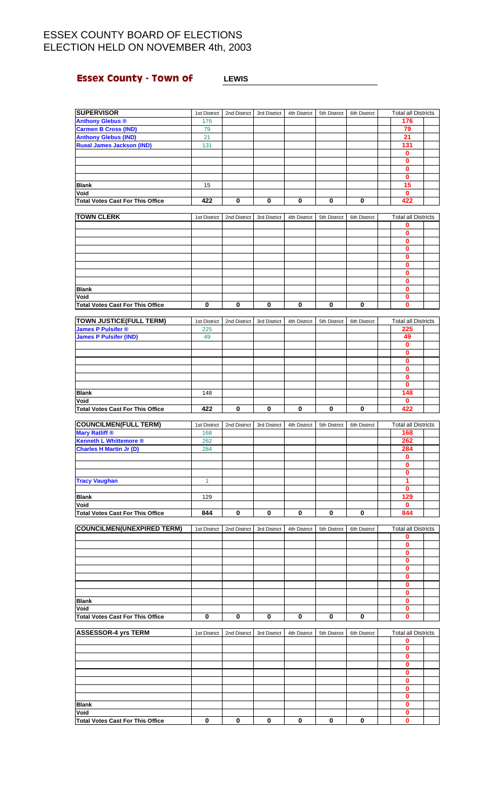# **Essex County - Town of LEWIS**

| <b>SUPERVISOR</b>                               | 1st District | 2nd District | 3rd District | 4th District | 5th District | 6th District | <b>Total all Districts</b> |  |
|-------------------------------------------------|--------------|--------------|--------------|--------------|--------------|--------------|----------------------------|--|
| <b>Anthony Glebus ®</b>                         | 176          |              |              |              |              |              | 176                        |  |
| <b>Carmen B Cross (IND)</b>                     | 79           |              |              |              |              |              | 79                         |  |
| <b>Anthony Glebus (IND)</b>                     | 21           |              |              |              |              |              | 21                         |  |
| <b>Rueal James Jackson (IND)</b>                | 131          |              |              |              |              |              | 131                        |  |
|                                                 |              |              |              |              |              |              | 0                          |  |
|                                                 |              |              |              |              |              |              | $\bf{0}$                   |  |
|                                                 |              |              |              |              |              |              | $\bf{0}$                   |  |
|                                                 |              |              |              |              |              |              | $\mathbf{0}$               |  |
| <b>Blank</b>                                    | 15           |              |              |              |              |              | 15                         |  |
| Void                                            |              |              |              |              |              |              | 0                          |  |
| <b>Total Votes Cast For This Office</b>         | 422          | 0            | 0            | 0            | 0            | 0            | 422                        |  |
|                                                 |              |              |              |              |              |              |                            |  |
| <b>TOWN CLERK</b>                               | 1st District | 2nd District | 3rd District | 4th District | 5th District | 6th District | <b>Total all Districts</b> |  |
|                                                 |              |              |              |              |              |              | 0                          |  |
|                                                 |              |              |              |              |              |              | $\pmb{0}$                  |  |
|                                                 |              |              |              |              |              |              | 0                          |  |
|                                                 |              |              |              |              |              |              | $\bf{0}$                   |  |
|                                                 |              |              |              |              |              |              | $\overline{\mathbf{0}}$    |  |
|                                                 |              |              |              |              |              |              | 0                          |  |
|                                                 |              |              |              |              |              |              | 0                          |  |
|                                                 |              |              |              |              |              |              | $\overline{\mathbf{0}}$    |  |
|                                                 |              |              |              |              |              |              |                            |  |
| <b>Blank</b>                                    |              |              |              |              |              |              | 0                          |  |
| Void                                            |              |              |              |              |              |              | 0                          |  |
| <b>Total Votes Cast For This Office</b>         | 0            | 0            | 0            | 0            | 0            | 0            | $\mathbf{0}$               |  |
|                                                 |              |              |              |              |              |              |                            |  |
| <b>TOWN JUSTICE(FULL TERM)</b>                  | 1st District | 2nd District | 3rd District | 4th District | 5th District | 6th District | <b>Total all Districts</b> |  |
| <b>James P Pulsifer ®</b>                       | 225          |              |              |              |              |              | 225                        |  |
| <b>James P Pulsifer (IND)</b>                   | 49           |              |              |              |              |              | 49                         |  |
|                                                 |              |              |              |              |              |              | $\mathbf{0}$               |  |
|                                                 |              |              |              |              |              |              | 0                          |  |
|                                                 |              |              |              |              |              |              | 0                          |  |
|                                                 |              |              |              |              |              |              | $\overline{\mathbf{0}}$    |  |
|                                                 |              |              |              |              |              |              | $\overline{\mathbf{0}}$    |  |
|                                                 |              |              |              |              |              |              | 0                          |  |
| <b>Blank</b>                                    | 148          |              |              |              |              |              | 148                        |  |
| Void                                            |              |              |              |              |              |              | $\mathbf{0}$               |  |
| <b>Total Votes Cast For This Office</b>         | 422          | $\mathbf 0$  | $\pmb{0}$    | $\pmb{0}$    | 0            | 0            | 422                        |  |
|                                                 |              |              |              |              |              |              |                            |  |
| <b>COUNCILMEN(FULL TERM)</b>                    | 1st District | 2nd District | 3rd District | 4th District | 5th District | 6th District | <b>Total all Districts</b> |  |
| Mary Ratliff ®                                  | 168          |              |              |              |              |              | 168                        |  |
| <b>Kenneth L Whittemore ®</b>                   | 262          |              |              |              |              |              | 262                        |  |
| <b>Charles H Martin Jr (D)</b>                  | 284          |              |              |              |              |              | 284                        |  |
|                                                 |              |              |              |              |              |              | $\mathbf 0$                |  |
|                                                 |              |              |              |              |              |              | $\mathbf 0$                |  |
|                                                 |              |              |              |              |              |              | 0                          |  |
| <b>Tracy Vaughan</b>                            | $\mathbf{1}$ |              |              |              |              |              | 1                          |  |
|                                                 |              |              |              |              |              |              | 0                          |  |
| <b>Blank</b>                                    | 129          |              |              |              |              |              | 129                        |  |
| Void                                            |              |              |              |              |              |              | 0                          |  |
| <b>Total Votes Cast For This Office</b>         | 844          | 0            | $\pmb{0}$    | 0            | 0            | 0            | 844                        |  |
|                                                 |              |              |              |              |              |              |                            |  |
| <b>COUNCILMEN(UNEXPIRED TERM)</b>               | 1st District | 2nd District | 3rd District | 4th District | 5th District | 6th District | <b>Total all Districts</b> |  |
|                                                 |              |              |              |              |              |              | 0                          |  |
|                                                 |              |              |              |              |              |              | 0                          |  |
|                                                 |              |              |              |              |              |              | 0                          |  |
|                                                 |              |              |              |              |              |              | $\mathbf{0}$               |  |
|                                                 |              |              |              |              |              |              | 0                          |  |
|                                                 |              |              |              |              |              |              | $\mathbf{0}$               |  |
|                                                 |              |              |              |              |              |              | 0                          |  |
|                                                 |              |              |              |              |              |              | 0                          |  |
| <b>Blank</b>                                    |              |              |              |              |              |              | $\mathbf{0}$               |  |
| Void                                            |              |              |              |              |              |              | 0                          |  |
| <b>Total Votes Cast For This Office</b>         | 0            | 0            | 0            | 0            | 0            | 0            | 0                          |  |
|                                                 |              |              |              |              |              |              |                            |  |
| <b>ASSESSOR-4 yrs TERM</b>                      | 1st District | 2nd District | 3rd District | 4th District | 5th District | 6th District | <b>Total all Districts</b> |  |
|                                                 |              |              |              |              |              |              | 0                          |  |
|                                                 |              |              |              |              |              |              | 0                          |  |
|                                                 |              |              |              |              |              |              | $\overline{\mathbf{0}}$    |  |
|                                                 |              |              |              |              |              |              | 0                          |  |
|                                                 |              |              |              |              |              |              | 0                          |  |
|                                                 |              |              |              |              |              |              | 0                          |  |
|                                                 |              |              |              |              |              |              | 0                          |  |
|                                                 |              |              |              |              |              |              | 0                          |  |
|                                                 |              |              |              |              |              |              | 0                          |  |
| <b>Blank</b>                                    |              |              |              |              |              |              |                            |  |
|                                                 |              |              |              |              |              |              |                            |  |
| Void<br><b>Total Votes Cast For This Office</b> | $\bf{0}$     | $\bf{0}$     | 0            | 0            | 0            | 0            | 0<br>$\mathbf{0}$          |  |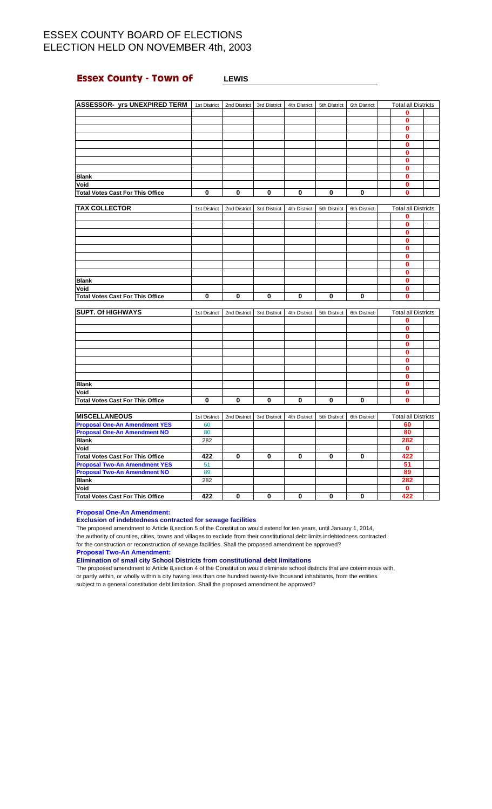## **Essex County - Town of LEWIS**

| <b>ASSESSOR- yrs UNEXPIRED TERM</b>     | 1st District   | 2nd District            | 3rd District            | 4th District | 5th District | 6th District            | <b>Total all Districts</b> |  |
|-----------------------------------------|----------------|-------------------------|-------------------------|--------------|--------------|-------------------------|----------------------------|--|
|                                         |                |                         |                         |              |              |                         | 0                          |  |
|                                         |                |                         |                         |              |              |                         | 0                          |  |
|                                         |                |                         |                         |              |              |                         | $\bf{0}$                   |  |
|                                         |                |                         |                         |              |              |                         | $\bf{0}$                   |  |
|                                         |                |                         |                         |              |              |                         | 0                          |  |
|                                         |                |                         |                         |              |              |                         | $\mathbf{0}$               |  |
|                                         |                |                         |                         |              |              |                         | $\mathbf 0$                |  |
|                                         |                |                         |                         |              |              |                         | $\mathbf{0}$               |  |
| <b>Blank</b>                            |                |                         |                         |              |              |                         | 0                          |  |
| Void                                    |                |                         |                         |              |              |                         | $\mathbf{0}$               |  |
| <b>Total Votes Cast For This Office</b> | $\overline{0}$ | $\overline{\mathbf{0}}$ | $\overline{\mathbf{0}}$ | $\bf{0}$     | 0            | $\overline{\mathbf{0}}$ | Ō                          |  |
|                                         |                |                         |                         |              |              |                         |                            |  |
| <b>TAX COLLECTOR</b>                    | 1st District   | 2nd District            | 3rd District            | 4th District | 5th District | 6th District            | <b>Total all Districts</b> |  |
|                                         |                |                         |                         |              |              |                         | 0                          |  |
|                                         |                |                         |                         |              |              |                         | 0                          |  |
|                                         |                |                         |                         |              |              |                         | 0                          |  |
|                                         |                |                         |                         |              |              |                         | 0                          |  |
|                                         |                |                         |                         |              |              |                         | 0                          |  |
|                                         |                |                         |                         |              |              |                         | 0                          |  |
|                                         |                |                         |                         |              |              |                         | 0                          |  |
|                                         |                |                         |                         |              |              |                         | 0                          |  |
| <b>Blank</b>                            |                |                         |                         |              |              |                         | $\bf{0}$                   |  |
| Void                                    |                |                         |                         |              |              |                         | 0                          |  |
| <b>Total Votes Cast For This Office</b> | $\bf{0}$       | $\mathbf 0$             | $\bf{0}$                | $\pmb{0}$    | 0            | 0                       | 0                          |  |
|                                         |                |                         |                         |              |              |                         |                            |  |
| <b>SUPT. Of HIGHWAYS</b>                | 1st District   | 2nd District            | 3rd District            | 4th District | 5th District | 6th District            | <b>Total all Districts</b> |  |
|                                         |                |                         |                         |              |              |                         | 0                          |  |
|                                         |                |                         |                         |              |              |                         | 0                          |  |
|                                         |                |                         |                         |              |              |                         | $\mathbf{0}$               |  |
|                                         |                |                         |                         |              |              |                         | $\mathbf{0}$               |  |
|                                         |                |                         |                         |              |              |                         | $\mathbf{0}$               |  |
|                                         |                |                         |                         |              |              |                         | $\bf{0}$                   |  |
|                                         |                |                         |                         |              |              |                         | 0                          |  |
|                                         |                |                         |                         |              |              |                         | $\bf{0}$                   |  |
| <b>Blank</b>                            |                |                         |                         |              |              |                         | 0                          |  |
| Void                                    |                |                         |                         |              |              |                         | 0                          |  |
| <b>Total Votes Cast For This Office</b> | 0              | 0                       | 0                       | $\bf{0}$     | 0            | 0                       | 0                          |  |
|                                         |                |                         |                         |              |              |                         |                            |  |
| <b>MISCELLANEOUS</b>                    | 1st District   | 2nd District            | 3rd District            | 4th District | 5th District | 6th District            | <b>Total all Districts</b> |  |
| <b>Proposal One-An Amendment YES</b>    | 60             |                         |                         |              |              |                         | 60                         |  |
| <b>Proposal One-An Amendment NO</b>     | 80             |                         |                         |              |              |                         | 80                         |  |
| <b>Plank</b>                            | າຂາ            |                         |                         |              |              |                         | $282 -$                    |  |

| IMIUULLLAINLUUJ                         | ist District | ZHU DISTICI | <b>JIU DISUI</b> UL | 40 DISORU | <b>JULLUSULU</b> | <b>UUI DISUILL</b> | TULAI AII DISLIILLS |  |
|-----------------------------------------|--------------|-------------|---------------------|-----------|------------------|--------------------|---------------------|--|
| <b>Proposal One-An Amendment YES</b>    | 60           |             |                     |           |                  |                    | 60                  |  |
| <b>Proposal One-An Amendment NO</b>     | 80           |             |                     |           |                  |                    | 80                  |  |
| <b>Blank</b>                            | 282          |             |                     |           |                  |                    | 282                 |  |
| Void                                    |              |             |                     |           |                  |                    |                     |  |
| <b>Total Votes Cast For This Office</b> | 422          |             |                     |           |                  |                    | 422                 |  |
| <b>Proposal Two-An Amendment YES</b>    | 51           |             |                     |           |                  |                    | 51                  |  |
| <b>Proposal Two-An Amendment NO</b>     | 89           |             |                     |           |                  |                    | 89                  |  |
| <b>Blank</b>                            | 282          |             |                     |           |                  |                    | 282                 |  |
| Void                                    |              |             |                     |           |                  |                    |                     |  |
| Total Votes Cast For This Office        | 422          |             |                     | 0         |                  |                    | 422                 |  |

**Proposal One-An Amendment:**

### **Exclusion of indebtedness contracted for sewage facilities**

The proposed amendment to Article 8,section 5 of the Constitution would extend for ten years, until January 1, 2014, the authority of counties, cities, towns and villages to exclude from their constitutional debt limits indebtedness contracted for the construction or reconstruction of sewage facilities. Shall the proposed amendment be approved?

**Proposal Two-An Amendment:**

**Elimination of small city School Districts from constitutional debt limitations**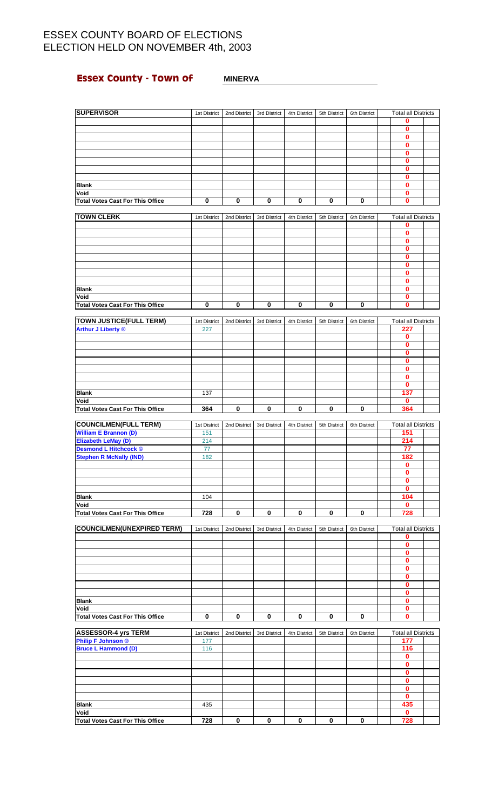## **Essex County - Town of MINERVA**

| <b>SUPERVISOR</b>                                           | 1st District        | 2nd District | 3rd District | 4th District | 5th District | 6th District | <b>Total all Districts</b>        |  |
|-------------------------------------------------------------|---------------------|--------------|--------------|--------------|--------------|--------------|-----------------------------------|--|
|                                                             |                     |              |              |              |              |              | 0<br>0                            |  |
|                                                             |                     |              |              |              |              |              | 0                                 |  |
|                                                             |                     |              |              |              |              |              | 0                                 |  |
|                                                             |                     |              |              |              |              |              | 0                                 |  |
|                                                             |                     |              |              |              |              |              | 0                                 |  |
|                                                             |                     |              |              |              |              |              | 0<br>0                            |  |
| <b>Blank</b>                                                |                     |              |              |              |              |              | 0                                 |  |
| Void                                                        |                     |              |              |              |              |              | 0                                 |  |
| <b>Total Votes Cast For This Office</b>                     | 0                   | 0            | 0            | 0            | 0            | $\pmb{0}$    | 0                                 |  |
| <b>TOWN CLERK</b>                                           |                     |              |              |              |              |              |                                   |  |
|                                                             | 1st District        | 2nd District | 3rd District | 4th District | 5th District | 6th District | <b>Total all Districts</b><br>0   |  |
|                                                             |                     |              |              |              |              |              | 0                                 |  |
|                                                             |                     |              |              |              |              |              | 0                                 |  |
|                                                             |                     |              |              |              |              |              | $\bf{0}$                          |  |
|                                                             |                     |              |              |              |              |              | 0<br>0                            |  |
|                                                             |                     |              |              |              |              |              | $\bf{0}$                          |  |
|                                                             |                     |              |              |              |              |              | 0                                 |  |
| <b>Blank</b>                                                |                     |              |              |              |              |              | 0                                 |  |
| Void                                                        |                     | 0            |              |              |              |              | 0<br>0                            |  |
| <b>Total Votes Cast For This Office</b>                     | 0                   |              | 0            | 0            | 0            | 0            |                                   |  |
| <b>TOWN JUSTICE(FULL TERM)</b><br><b>Arthur J Liberty ®</b> | 1st District<br>227 | 2nd District | 3rd District | 4th District | 5th District | 6th District | <b>Total all Districts</b><br>227 |  |
|                                                             |                     |              |              |              |              |              | 0                                 |  |
|                                                             |                     |              |              |              |              |              | 0                                 |  |
|                                                             |                     |              |              |              |              |              | 0<br>0                            |  |
|                                                             |                     |              |              |              |              |              | 0                                 |  |
|                                                             |                     |              |              |              |              |              | 0                                 |  |
|                                                             |                     |              |              |              |              |              | $\bf{0}$                          |  |
| <b>Blank</b>                                                | 137                 |              |              |              |              |              | 137                               |  |
| Void<br><b>Total Votes Cast For This Office</b>             | 364                 | 0            | 0            | 0            | 0            | 0            | 0<br>364                          |  |
|                                                             |                     |              |              |              |              |              |                                   |  |
| <b>COUNCILMEN(FULL TERM)</b>                                | 1st District        | 2nd District | 3rd District | 4th District | 5th District | 6th District | <b>Total all Districts</b>        |  |
| <b>William E Brannon (D)</b><br>Elizabeth LeMay (D)         | 151<br>214          |              |              |              |              |              | 151<br>214                        |  |
| <b>Desmond L Hitchcock ©</b>                                | 77                  |              |              |              |              |              | 77                                |  |
| <b>Stephen R McNally (IND)</b>                              | 182                 |              |              |              |              |              | 182                               |  |
|                                                             |                     |              |              |              |              |              | 0                                 |  |
|                                                             |                     |              |              |              |              |              | $\bf{0}$<br>$\bf{0}$              |  |
|                                                             |                     |              |              |              |              |              | 0                                 |  |
| <b>Blank</b>                                                | 104                 |              |              |              |              |              | 104                               |  |
| Void                                                        |                     |              |              |              |              |              | $\bf{0}$                          |  |
| <b>Total Votes Cast For This Office</b>                     | 728                 | 0            | 0            | 0            | 0            | 0            | 728                               |  |
| <b>COUNCILMEN(UNEXPIRED TERM)</b>                           | 1st District        | 2nd District | 3rd District | 4th District | 5th District | 6th District | <b>Total all Districts</b>        |  |
|                                                             |                     |              |              |              |              |              | 0                                 |  |
|                                                             |                     |              |              |              |              |              | 0                                 |  |
|                                                             |                     |              |              |              |              |              | $\bf{0}$                          |  |
|                                                             |                     |              |              |              |              |              | 0<br>0                            |  |
|                                                             |                     |              |              |              |              |              | 0                                 |  |
|                                                             |                     |              |              |              |              |              | 0                                 |  |
|                                                             |                     |              |              |              |              |              | 0<br>0                            |  |
| <b>Blank</b><br>Void                                        |                     |              |              |              |              |              | 0                                 |  |
| <b>Total Votes Cast For This Office</b>                     | 0                   | 0            | 0            | 0            | 0            | 0            | $\bf{0}$                          |  |
| <b>ASSESSOR-4 yrs TERM</b>                                  | 1st District        | 2nd District | 3rd District | 4th District | 5th District | 6th District | <b>Total all Districts</b>        |  |
| <b>Philip F Johnson ®</b>                                   | 177                 |              |              |              |              |              | 177                               |  |
| <b>Bruce L Hammond (D)</b>                                  | 116                 |              |              |              |              |              | 116                               |  |
|                                                             |                     |              |              |              |              |              | 0                                 |  |
|                                                             |                     |              |              |              |              |              | 0<br>$\bf{0}$                     |  |
|                                                             |                     |              |              |              |              |              | 0                                 |  |
|                                                             |                     |              |              |              |              |              | 0                                 |  |
|                                                             |                     |              |              |              |              |              | $\mathbf{0}$                      |  |
| <b>Blank</b><br>Void                                        | 435                 |              |              |              |              |              | 435<br>0                          |  |
|                                                             |                     |              |              |              |              |              |                                   |  |

**Total Votes Cast For This Office 728 0 0 0 0 0 728**

 $\sim$  1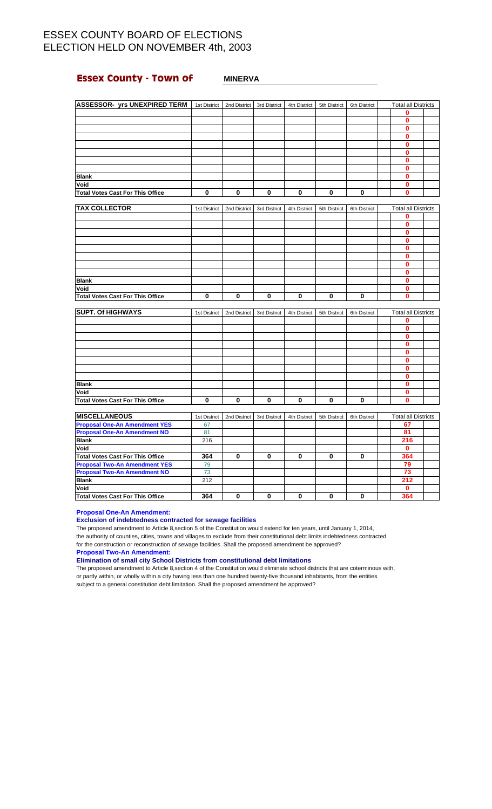## **Essex County - Town of MINERVA**

| <b>ASSESSOR- yrs UNEXPIRED TERM</b>             | 1st District | 2nd District | 3rd District            | 4th District | 5th District | 6th District | <b>Total all Districts</b> |  |
|-------------------------------------------------|--------------|--------------|-------------------------|--------------|--------------|--------------|----------------------------|--|
|                                                 |              |              |                         |              |              |              | 0                          |  |
|                                                 |              |              |                         |              |              |              | $\bf{0}$                   |  |
|                                                 |              |              |                         |              |              |              | $\bf{0}$                   |  |
|                                                 |              |              |                         |              |              |              | $\bf{0}$                   |  |
|                                                 |              |              |                         |              |              |              | 0                          |  |
|                                                 |              |              |                         |              |              |              | 0                          |  |
|                                                 |              |              |                         |              |              |              | $\bf{0}$                   |  |
|                                                 |              |              |                         |              |              |              | $\bf{0}$                   |  |
| <b>Blank</b>                                    |              |              |                         |              |              |              | 0                          |  |
| Void                                            |              |              |                         |              |              |              | 0                          |  |
| <b>Total Votes Cast For This Office</b>         | $\bf{0}$     | $\mathbf 0$  | $\overline{\mathbf{0}}$ | $\bf{0}$     | 0            | $\bf{0}$     | 0                          |  |
|                                                 |              |              |                         |              |              |              |                            |  |
| <b>TAX COLLECTOR</b>                            | 1st District | 2nd District | 3rd District            | 4th District | 5th District | 6th District | <b>Total all Districts</b> |  |
|                                                 |              |              |                         |              |              |              | 0                          |  |
|                                                 |              |              |                         |              |              |              | 0                          |  |
|                                                 |              |              |                         |              |              |              | 0                          |  |
|                                                 |              |              |                         |              |              |              | $\mathbf{0}$               |  |
|                                                 |              |              |                         |              |              |              | 0                          |  |
|                                                 |              |              |                         |              |              |              | 0                          |  |
|                                                 |              |              |                         |              |              |              | 0                          |  |
|                                                 |              |              |                         |              |              |              | 0                          |  |
| <b>Blank</b>                                    |              |              |                         |              |              |              | 0<br>$\bf{0}$              |  |
| Void<br><b>Total Votes Cast For This Office</b> | $\mathbf 0$  | $\bf{0}$     | $\pmb{0}$               | $\bf{0}$     | 0            | $\mathbf 0$  | $\mathbf 0$                |  |
|                                                 |              |              |                         |              |              |              |                            |  |
| <b>SUPT. Of HIGHWAYS</b>                        | 1st District | 2nd District | 3rd District            | 4th District | 5th District | 6th District | <b>Total all Districts</b> |  |
|                                                 |              |              |                         |              |              |              | 0                          |  |
|                                                 |              |              |                         |              |              |              | 0                          |  |
|                                                 |              |              |                         |              |              |              | $\bf{0}$                   |  |
|                                                 |              |              |                         |              |              |              | 0                          |  |
|                                                 |              |              |                         |              |              |              | 0                          |  |
|                                                 |              |              |                         |              |              |              | $\bf{0}$                   |  |
|                                                 |              |              |                         |              |              |              | $\bf{0}$                   |  |
|                                                 |              |              |                         |              |              |              | $\bf{0}$                   |  |
| <b>Blank</b>                                    |              |              |                         |              |              |              | 0                          |  |
| Void                                            |              |              |                         |              |              |              | 0                          |  |
| <b>Total Votes Cast For This Office</b>         | $\mathbf 0$  | $\pmb{0}$    | $\pmb{0}$               | $\bf{0}$     | 0            | $\pmb{0}$    | $\mathbf 0$                |  |
|                                                 |              |              |                         |              |              |              |                            |  |
| <b>MISCELLANEOUS</b>                            | 1st District | 2nd District | 3rd District            | 4th District | 5th District | 6th District | <b>Total all Districts</b> |  |
| <b>Proposal One-An Amendment YES</b>            | 67           |              |                         |              |              |              | 67                         |  |

| <b>IMISCELLANEOUS</b>                   | 1st District | 2nd District | 3rd District | 4th District | 5th District | 6th District | Total all Districts |  |
|-----------------------------------------|--------------|--------------|--------------|--------------|--------------|--------------|---------------------|--|
| <b>Proposal One-An Amendment YES</b>    | 67           |              |              |              |              |              | 67                  |  |
| <b>Proposal One-An Amendment NO</b>     | 81           |              |              |              |              |              | 81                  |  |
| <b>Blank</b>                            | 216          |              |              |              |              |              | 216                 |  |
| Void                                    |              |              |              |              |              |              |                     |  |
| <b>Total Votes Cast For This Office</b> | 364          |              | 0            | 0            | o            |              | 364                 |  |
| <b>Proposal Two-An Amendment YES</b>    | 79           |              |              |              |              |              | 79                  |  |
| <b>Proposal Two-An Amendment NO</b>     | 73           |              |              |              |              |              | 73                  |  |
| <b>Blank</b>                            | 212          |              |              |              |              |              | 212                 |  |
| Void                                    |              |              |              |              |              |              |                     |  |
| <b>Total Votes Cast For This Office</b> | 364          |              | 0            |              |              |              | 364                 |  |

**Proposal One-An Amendment:**

### **Exclusion of indebtedness contracted for sewage facilities**

The proposed amendment to Article 8,section 5 of the Constitution would extend for ten years, until January 1, 2014, the authority of counties, cities, towns and villages to exclude from their constitutional debt limits indebtedness contracted for the construction or reconstruction of sewage facilities. Shall the proposed amendment be approved?

**Proposal Two-An Amendment:**

**Elimination of small city School Districts from constitutional debt limitations**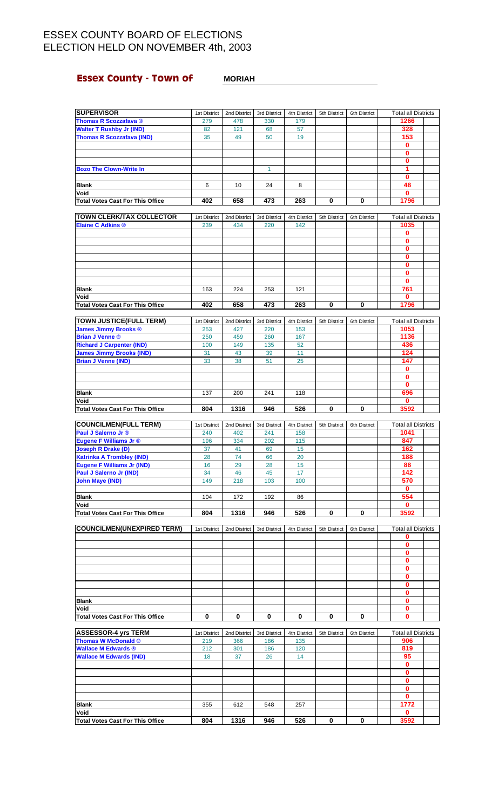## **Essex County - Town of MORIAH**

| <b>SUPERVISOR</b>                                           | 1st District        | 2nd District        | 3rd District        | 4th District        | 5th District | 6th District | <b>Total all Districts</b>         |  |
|-------------------------------------------------------------|---------------------|---------------------|---------------------|---------------------|--------------|--------------|------------------------------------|--|
| <b>Thomas R Scozzafava</b> ®                                | 279                 | 478                 | 330                 | 179                 |              |              | 1266                               |  |
| <b>Walter T Rushby Jr (IND)</b>                             | 82                  | 121                 | 68                  | 57                  |              |              | 328                                |  |
| <b>Thomas R Scozzafava (IND)</b>                            | 35                  | 49                  | 50                  | 19                  |              |              | 153<br>$\mathbf 0$                 |  |
|                                                             |                     |                     |                     |                     |              |              | $\bf{0}$                           |  |
|                                                             |                     |                     |                     |                     |              |              | 0                                  |  |
| <b>Bozo The Clown-Write In</b>                              |                     |                     | $\mathbf{1}$        |                     |              |              | 1                                  |  |
| <b>Blank</b>                                                | 6                   | 10                  | 24                  | 8                   |              |              | $\mathbf{0}$<br>48                 |  |
| Void                                                        |                     |                     |                     |                     |              |              | $\mathbf 0$                        |  |
| <b>Total Votes Cast For This Office</b>                     | 402                 | 658                 | 473                 | 263                 | 0            | 0            | 1796                               |  |
|                                                             |                     |                     |                     |                     |              |              |                                    |  |
| <b>TOWN CLERK/TAX COLLECTOR</b><br><b>Elaine C Adkins ®</b> | 1st District<br>239 | 2nd District<br>434 | 3rd District<br>220 | 4th District<br>142 | 5th District | 6th District | <b>Total all Districts</b><br>1035 |  |
|                                                             |                     |                     |                     |                     |              |              | 0                                  |  |
|                                                             |                     |                     |                     |                     |              |              | 0                                  |  |
|                                                             |                     |                     |                     |                     |              |              | $\bf{0}$<br>$\mathbf 0$            |  |
|                                                             |                     |                     |                     |                     |              |              | $\bf{0}$                           |  |
|                                                             |                     |                     |                     |                     |              |              | $\mathbf{0}$                       |  |
|                                                             |                     |                     |                     |                     |              |              | 0                                  |  |
| <b>Blank</b><br>Void                                        | 163                 | 224                 | 253                 | 121                 |              |              | 761<br>$\mathbf{0}$                |  |
| <b>Total Votes Cast For This Office</b>                     | 402                 | 658                 | 473                 | 263                 | 0            | 0            | 1796                               |  |
|                                                             |                     |                     |                     |                     |              |              |                                    |  |
| <b>TOWN JUSTICE(FULL TERM)</b>                              | 1st District        | 2nd District        | 3rd District        | 4th District        | 5th District | 6th District | <b>Total all Districts</b>         |  |
| <b>James Jimmy Brooks ®</b><br><b>Brian J Venne ®</b>       | 253<br>250          | 427<br>459          | 220<br>260          | 153<br>167          |              |              | 1053<br>1136                       |  |
| <b>Richard J Carpenter (IND)</b>                            | 100                 | 149                 | 135                 | 52                  |              |              | 436                                |  |
| <b>James Jimmy Brooks (IND)</b>                             | 31                  | 43                  | 39                  | 11                  |              |              | 124                                |  |
| <b>Brian J Venne (IND)</b>                                  | 33                  | 38                  | 51                  | 25                  |              |              | 147                                |  |
|                                                             |                     |                     |                     |                     |              |              | $\mathbf 0$<br>$\mathbf 0$         |  |
|                                                             |                     |                     |                     |                     |              |              | $\bf{0}$                           |  |
| <b>Blank</b>                                                | 137                 | 200                 | 241                 | 118                 |              |              | 696                                |  |
| Void                                                        |                     |                     |                     |                     |              |              | 0                                  |  |
| <b>Total Votes Cast For This Office</b>                     | 804                 | 1316                | 946                 | 526                 | 0            | 0            | 3592                               |  |
| <b>COUNCILMEN(FULL TERM)</b>                                | 1st District        | 2nd District        | 3rd District        | 4th District        | 5th District | 6th District | <b>Total all Districts</b>         |  |
| Paul J Salerno Jr ®                                         | 240                 | 402                 | 241                 | 158                 |              |              | 1041                               |  |
| Eugene F Williams Jr ®<br><b>Joseph R Drake (D)</b>         | 196<br>37           | 334<br>41           | 202                 | 115                 |              |              | 847<br>162                         |  |
| <b>Katrinka A Trombley (IND)</b>                            | 28                  | 74                  | 69<br>66            | 15<br>20            |              |              | 188                                |  |
| <b>Eugene F Williams Jr (IND)</b>                           | 16                  | 29                  | 28                  | 15                  |              |              | 88                                 |  |
| Paul J Salerno Jr (IND)                                     | 34                  | 46                  | 45                  | 17                  |              |              | 142                                |  |
| <b>John Maye (IND)</b>                                      | 149                 | 218                 | 103                 | 100                 |              |              | 570<br>$\mathbf 0$                 |  |
| <b>Blank</b>                                                | 104                 | 172                 | 192                 | 86                  |              |              | 554                                |  |
| Void                                                        |                     |                     |                     |                     |              |              | 0                                  |  |
| <b>Total Votes Cast For This Office</b>                     | 804                 | 1316                | 946                 | 526                 | 0            | $\bf{0}$     | 3592                               |  |
| <b>COUNCILMEN(UNEXPIRED TERM)</b>                           | 1st District        | 2nd District        | 3rd District        | 4th District        | 5th District | 6th District | <b>Total all Districts</b>         |  |
|                                                             |                     |                     |                     |                     |              |              | 0                                  |  |
|                                                             |                     |                     |                     |                     |              |              | 0                                  |  |
|                                                             |                     |                     |                     |                     |              |              | $\bf{0}$<br>$\mathbf 0$            |  |
|                                                             |                     |                     |                     |                     |              |              | $\mathbf 0$                        |  |
|                                                             |                     |                     |                     |                     |              |              | $\mathbf{0}$                       |  |
|                                                             |                     |                     |                     |                     |              |              | $\mathbf 0$                        |  |
| <b>Blank</b>                                                |                     |                     |                     |                     |              |              | 0<br>$\mathbf{0}$                  |  |
| Void                                                        |                     |                     |                     |                     |              |              | 0                                  |  |
| <b>Total Votes Cast For This Office</b>                     | 0                   | 0                   | 0                   | 0                   | 0            | 0            | $\mathbf 0$                        |  |
| <b>ASSESSOR-4 yrs TERM</b>                                  | 1st District        | 2nd District        | 3rd District        | 4th District        | 5th District | 6th District | <b>Total all Districts</b>         |  |
| <b>Thomas W McDonald ®</b>                                  | 219                 | 366                 | 186                 | 135                 |              |              | 906                                |  |
| <b>Wallace M Edwards ®</b>                                  | 212                 | 301                 | 186                 | 120                 |              |              | 819                                |  |
| <b>Wallace M Edwards (IND)</b>                              | 18                  | 37                  | 26                  | 14                  |              |              | 95                                 |  |
|                                                             |                     |                     |                     |                     |              |              | 0<br>$\mathbf 0$                   |  |
|                                                             |                     |                     |                     |                     |              |              | 0                                  |  |
|                                                             |                     |                     |                     |                     |              |              | 0                                  |  |
|                                                             |                     |                     |                     |                     |              |              | $\bf{0}$                           |  |
| <b>Blank</b><br>Void                                        | 355                 | 612                 | 548                 | 257                 |              |              | 1772<br>$\bf{0}$                   |  |
| <b>Total Votes Cast For This Office</b>                     | 804                 | 1316                | 946                 | 526                 | 0            | 0            | 3592                               |  |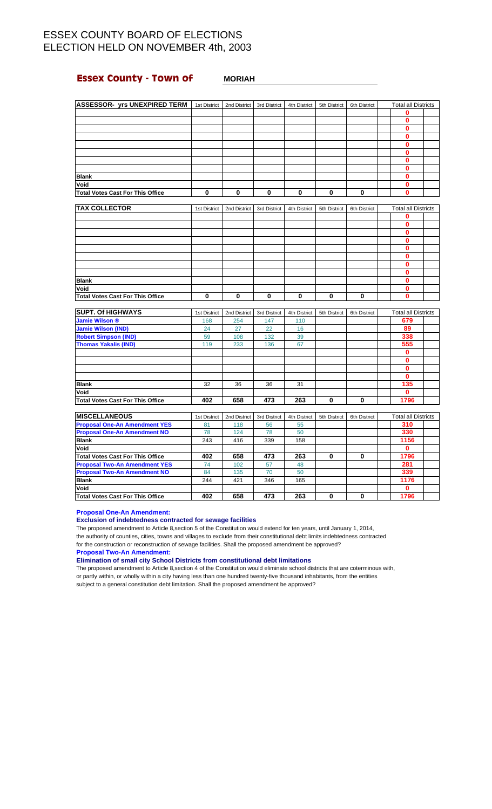## **Essex County - Town of MORIAH**

| <b>ASSESSOR- yrs UNEXPIRED TERM</b>     | 1st District | 2nd District | 3rd District | 4th District | 5th District | 6th District | <b>Total all Districts</b> |  |
|-----------------------------------------|--------------|--------------|--------------|--------------|--------------|--------------|----------------------------|--|
|                                         |              |              |              |              |              |              |                            |  |
|                                         |              |              |              |              |              |              |                            |  |
|                                         |              |              |              |              |              |              | Ω                          |  |
|                                         |              |              |              |              |              |              | Λ                          |  |
|                                         |              |              |              |              |              |              |                            |  |
|                                         |              |              |              |              |              |              |                            |  |
|                                         |              |              |              |              |              |              |                            |  |
|                                         |              |              |              |              |              |              | n                          |  |
| <b>Blank</b>                            |              |              |              |              |              |              |                            |  |
| Void                                    |              |              |              |              |              |              |                            |  |
| <b>Total Votes Cast For This Office</b> | 0            | 0            | $\mathbf{0}$ | $\bf{0}$     | 0            | 0            | ŋ                          |  |

| <b>TAX COLLECTOR</b>                    | 1st District | 2nd District | 3rd District | 4th District | 5th District | 6th District | <b>Total all Districts</b> |  |
|-----------------------------------------|--------------|--------------|--------------|--------------|--------------|--------------|----------------------------|--|
|                                         |              |              |              |              |              |              |                            |  |
|                                         |              |              |              |              |              |              |                            |  |
|                                         |              |              |              |              |              |              |                            |  |
|                                         |              |              |              |              |              |              |                            |  |
|                                         |              |              |              |              |              |              |                            |  |
|                                         |              |              |              |              |              |              |                            |  |
|                                         |              |              |              |              |              |              |                            |  |
|                                         |              |              |              |              |              |              |                            |  |
| <b>Blank</b>                            |              |              |              |              |              |              |                            |  |
| Void                                    |              |              |              |              |              |              |                            |  |
| <b>Total Votes Cast For This Office</b> |              | 0            | 0            | $\mathbf{0}$ | 0            |              |                            |  |

| <b>SUPT. Of HIGHWAYS</b>         | 1st District | 2nd District | 3rd District | 4th District | 5th District | 6th District | <b>Total all Districts</b> |  |
|----------------------------------|--------------|--------------|--------------|--------------|--------------|--------------|----------------------------|--|
| Jamie Wilson ®                   | 168          | 254          | 147          | 110          |              |              | 679                        |  |
| <b>Jamie Wilson (IND)</b>        | 24           | 27           | 22           | 16           |              |              | 89                         |  |
| <b>Robert Simpson (IND)</b>      | 59           | 108          | 132          | 39           |              |              | 338                        |  |
| <b>Thomas Yakalis (IND)</b>      | 119          | 233          | 136          | 67           |              |              | 555                        |  |
|                                  |              |              |              |              |              |              | 0                          |  |
|                                  |              |              |              |              |              |              |                            |  |
|                                  |              |              |              |              |              |              | 0                          |  |
|                                  |              |              |              |              |              |              | 0                          |  |
| <b>Blank</b>                     | 32           | 36           | 36           | 31           |              |              | 135                        |  |
| Void                             |              |              |              |              |              |              | 0                          |  |
| Total Votes Cast For This Office | 402          | 658          | 473          | 263          | 0            | O            | 1796                       |  |

| <b>MISCELLANEOUS</b>                    | 1st District | 2nd District | 3rd District | 4th District | 5th District | 6th District | <b>Total all Districts</b> |  |
|-----------------------------------------|--------------|--------------|--------------|--------------|--------------|--------------|----------------------------|--|
| <b>Proposal One-An Amendment YES</b>    | 81           | 118          | 56           | 55           |              |              | 310                        |  |
| <b>Proposal One-An Amendment NO</b>     | 78           | 124          | 78           | 50           |              |              | 330                        |  |
| <b>Blank</b>                            | 243          | 416          | 339          | 158          |              |              | 1156                       |  |
| Void                                    |              |              |              |              |              |              |                            |  |
| <b>Total Votes Cast For This Office</b> | 402          | 658          | 473          | 263          | 0            | 0            | 1796                       |  |
| <b>Proposal Two-An Amendment YES</b>    | 74           | 102          | 57           | 48           |              |              | 281                        |  |
| <b>Proposal Two-An Amendment NO</b>     | 84           | 135          | 70           | 50           |              |              | 339                        |  |
| <b>Blank</b>                            | 244          | 421          | 346          | 165          |              |              | 1176                       |  |
| Void                                    |              |              |              |              |              |              |                            |  |
| Total Votes Cast For This Office        | 402          | 658          | 473          | 263          |              |              | 1796                       |  |

**Proposal One-An Amendment:**

### **Exclusion of indebtedness contracted for sewage facilities**

The proposed amendment to Article 8,section 5 of the Constitution would extend for ten years, until January 1, 2014, the authority of counties, cities, towns and villages to exclude from their constitutional debt limits indebtedness contracted for the construction or reconstruction of sewage facilities. Shall the proposed amendment be approved?

**Proposal Two-An Amendment:**

**Elimination of small city School Districts from constitutional debt limitations**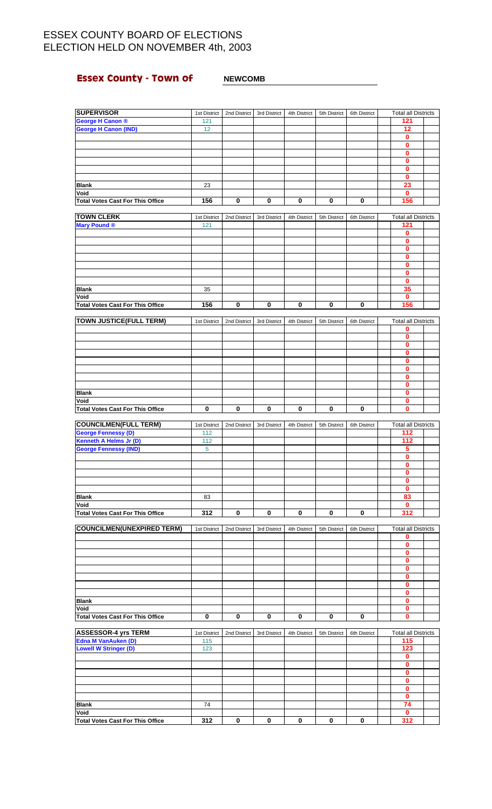## **Essex County - Town of MEWCOMB**

### **SUPERVISOR** 1st District 2nd District 3rd District 4th District 5th District 6th District Total all Districts **George H Canon ®** 121 121 121 121 121 121 **George H Canon (IND)** 12 **12 0 0 0 0 0 0 Blank** 23 **23 Void 0 Total Votes Cast For This Office 156 0 0 0 0 0 156 TOWN CLERK** 1st District 2nd District 3rd District 4th District 5th District 6th District Total all Districts **Mary Pound ®** 121 **121 0 0 0 0 0 0 0 Blank** 35 **35 Void 0 Total Votes Cast For This Office 156 0 0 0 0 0 156 TOWN JUSTICE(FULL TERM)** 1st District 2nd District 3rd District 4th District 5th District 6th District Total all Districts **0 0 0 0 0 0 0 0 Blank 0 Void 0 Total Votes Cast For This Office 000000 0 COUNCILMEN(FULL TERM)** 1st District 2nd District 3rd District 4th District 5th District 6th District Total all Districts **George Fennessy (D)** 112 **112 112 112 112 Kenneth A Helms Jr (D)** 112 **112 112 112 112 George Fennessy (IND)** 5 **5 0 0 0 0 0 Blank** 83 **83 Void 0 Total Votes Cast For This Office 312 0 0 0 0 0 312 COUNCILMEN(UNEXPIRED TERM)** 1st District 2nd District 3rd District 4th District 5th District 6th District Total all Districts **0 0 0 0 0 0 0 0 Blank 0 Void 0 Total Votes Cast For This Office 000000 0 ASSESSOR-4 yrs TERM** 1st District 2nd District 3rd District 4th District 5th District 6th District Total all Districts **Edna M VanAuken (D)** 115 **115 Lowell W Stringer (D)** 123 **0 0 0 0 0**  $\frac{0}{74}$

**Blank** 74 **74 Void 0 Total Votes Cast For This Office 312 0 0 0 0 0 312**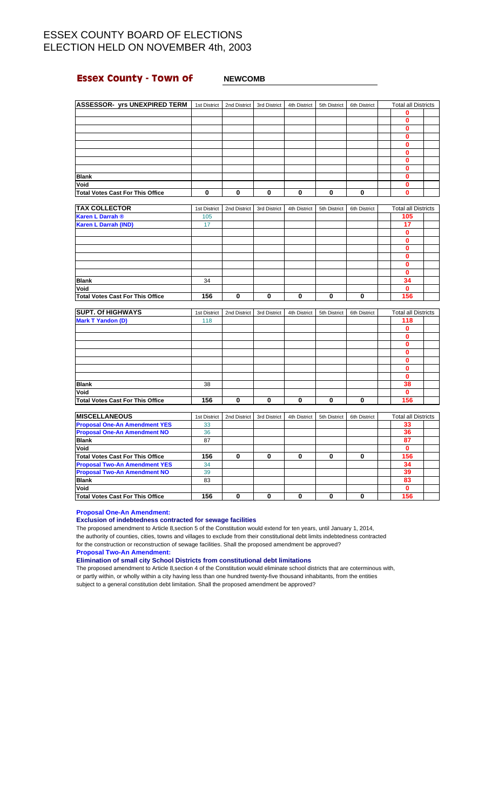## **Essex County - Town of MEWCOMB**

| <b>ASSESSOR- yrs UNEXPIRED TERM</b>     | 1st District | 2nd District | 3rd District | 4th District | 5th District | 6th District | <b>Total all Districts</b> |  |
|-----------------------------------------|--------------|--------------|--------------|--------------|--------------|--------------|----------------------------|--|
|                                         |              |              |              |              |              |              |                            |  |
|                                         |              |              |              |              |              |              |                            |  |
|                                         |              |              |              |              |              |              |                            |  |
|                                         |              |              |              |              |              |              |                            |  |
|                                         |              |              |              |              |              |              |                            |  |
|                                         |              |              |              |              |              |              |                            |  |
|                                         |              |              |              |              |              |              |                            |  |
|                                         |              |              |              |              |              |              |                            |  |
| <b>Blank</b>                            |              |              |              |              |              |              |                            |  |
| Void                                    |              |              |              |              |              |              |                            |  |
| <b>Total Votes Cast For This Office</b> | 0            | o            | 0            | 0            | 0            | o            | Λ                          |  |

| <b>TAX COLLECTOR</b>                    | 1st District | 2nd District | 3rd District | 4th District | 5th District | 6th District | <b>Total all Districts</b> |  |
|-----------------------------------------|--------------|--------------|--------------|--------------|--------------|--------------|----------------------------|--|
| <b>Karen L Darrah ®</b>                 | 105          |              |              |              |              |              | 105                        |  |
| <b>Karen L Darrah (IND)</b>             | 17           |              |              |              |              |              | 17                         |  |
|                                         |              |              |              |              |              |              | n                          |  |
|                                         |              |              |              |              |              |              | ŋ                          |  |
|                                         |              |              |              |              |              |              |                            |  |
|                                         |              |              |              |              |              |              |                            |  |
|                                         |              |              |              |              |              |              |                            |  |
|                                         |              |              |              |              |              |              |                            |  |
| <b>Blank</b>                            | 34           |              |              |              |              |              | 34                         |  |
| Void                                    |              |              |              |              |              |              | ŋ                          |  |
| <b>Total Votes Cast For This Office</b> | 156          | 0            | 0            | 0            | 0            | 0            | 156                        |  |

| <b>SUPT. Of HIGHWAYS</b>         | 1st District | 2nd District | 3rd District | 4th District | 5th District | 6th District | <b>Total all Districts</b> |  |
|----------------------------------|--------------|--------------|--------------|--------------|--------------|--------------|----------------------------|--|
| <b>Mark T Yandon (D)</b>         | 118          |              |              |              |              |              | 118                        |  |
|                                  |              |              |              |              |              |              | Λ                          |  |
|                                  |              |              |              |              |              |              |                            |  |
|                                  |              |              |              |              |              |              |                            |  |
|                                  |              |              |              |              |              |              |                            |  |
|                                  |              |              |              |              |              |              |                            |  |
|                                  |              |              |              |              |              |              |                            |  |
|                                  |              |              |              |              |              |              |                            |  |
| <b>Blank</b>                     | 38           |              |              |              |              |              | 38                         |  |
| Void                             |              |              |              |              |              |              |                            |  |
| Total Votes Cast For This Office | 156          | ŋ            | $\bf{0}$     | 0            | 0            | O            | 156                        |  |

| <b>MISCELLANEOUS</b>                 | 1st District | 2nd District | 3rd District | 4th District | 5th District | 6th District | <b>Total all Districts</b> |  |
|--------------------------------------|--------------|--------------|--------------|--------------|--------------|--------------|----------------------------|--|
| <b>Proposal One-An Amendment YES</b> | 33           |              |              |              |              |              | 33                         |  |
| <b>Proposal One-An Amendment NO</b>  | 36           |              |              |              |              |              | 36                         |  |
| <b>Blank</b>                         | 87           |              |              |              |              |              | 87                         |  |
| Void                                 |              |              |              |              |              |              |                            |  |
| Total Votes Cast For This Office     | 156          |              | 0            | 0            | 0            |              | 156                        |  |
| <b>Proposal Two-An Amendment YES</b> | 34           |              |              |              |              |              | 34                         |  |
| <b>Proposal Two-An Amendment NO</b>  | 39           |              |              |              |              |              | 39                         |  |
| <b>Blank</b>                         | 83           |              |              |              |              |              | 83                         |  |
| Void                                 |              |              |              |              |              |              |                            |  |
| Total Votes Cast For This Office     | 156          |              | 0            | 0            | 0            |              | 156                        |  |

**Proposal One-An Amendment:**

### **Exclusion of indebtedness contracted for sewage facilities**

The proposed amendment to Article 8,section 5 of the Constitution would extend for ten years, until January 1, 2014, the authority of counties, cities, towns and villages to exclude from their constitutional debt limits indebtedness contracted for the construction or reconstruction of sewage facilities. Shall the proposed amendment be approved?

**Proposal Two-An Amendment:**

**Elimination of small city School Districts from constitutional debt limitations**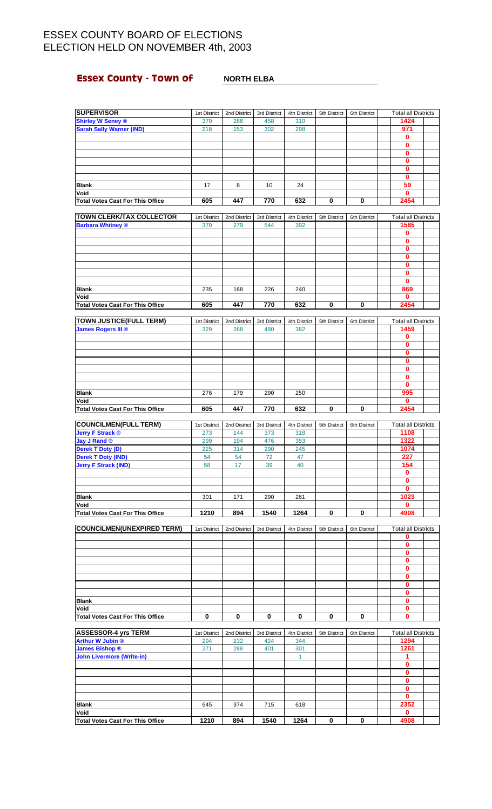## **Essex County - Town of** <br>**NORTH ELBA**

| <b>SUPERVISOR</b>                                         | 1st District        | 2nd District        | 3rd District        | 4th District        | 5th District | 6th District | <b>Total all Districts</b>         |
|-----------------------------------------------------------|---------------------|---------------------|---------------------|---------------------|--------------|--------------|------------------------------------|
| <b>Shirley W Seney ®</b>                                  | 370                 | 286                 | 458                 | 310                 |              |              | 1424                               |
| <b>Sarah Sally Warner (IND)</b>                           | 218                 | 153                 | 302                 | 298                 |              |              | 971                                |
|                                                           |                     |                     |                     |                     |              |              | 0                                  |
|                                                           |                     |                     |                     |                     |              |              | 0                                  |
|                                                           |                     |                     |                     |                     |              |              | 0                                  |
|                                                           |                     |                     |                     |                     |              |              | 0                                  |
|                                                           |                     |                     |                     |                     |              |              | 0<br>0                             |
| <b>Blank</b>                                              | 17                  | 8                   | 10                  | 24                  |              |              | 59                                 |
| Void                                                      |                     |                     |                     |                     |              |              | 0                                  |
| <b>Total Votes Cast For This Office</b>                   | 605                 | 447                 | 770                 | 632                 | 0            | 0            | 2454                               |
|                                                           |                     |                     |                     |                     |              |              |                                    |
| <b>TOWN CLERK/TAX COLLECTOR</b>                           | 1st District        | 2nd District        | 3rd District        | 4th District        | 5th District | 6th District | <b>Total all Districts</b>         |
| <b>Barbara Whitney ®</b>                                  | 370                 | 279                 | 544                 | 392                 |              |              | 1585                               |
|                                                           |                     |                     |                     |                     |              |              | 0                                  |
|                                                           |                     |                     |                     |                     |              |              | 0<br>$\bf{0}$                      |
|                                                           |                     |                     |                     |                     |              |              | 0                                  |
|                                                           |                     |                     |                     |                     |              |              | 0                                  |
|                                                           |                     |                     |                     |                     |              |              | $\bf{0}$                           |
|                                                           |                     |                     |                     |                     |              |              | 0                                  |
| <b>Blank</b>                                              | 235                 | 168                 | 226                 | 240                 |              |              | 869                                |
| Void                                                      |                     |                     |                     |                     |              |              | $\bf{0}$                           |
| <b>Total Votes Cast For This Office</b>                   | 605                 | 447                 | 770                 | 632                 | 0            | 0            | 2454                               |
|                                                           |                     |                     |                     |                     |              |              |                                    |
| <b>TOWN JUSTICE(FULL TERM)</b>                            | 1st District        | 2nd District        | 3rd District        | 4th District        | 5th District | 6th District | <b>Total all Districts</b>         |
| <b>James Rogers III</b> ®                                 | 329                 | 268                 | 480                 | 382                 |              |              | 1459                               |
|                                                           |                     |                     |                     |                     |              |              | 0<br>$\mathbf{0}$                  |
|                                                           |                     |                     |                     |                     |              |              | 0                                  |
|                                                           |                     |                     |                     |                     |              |              | 0                                  |
|                                                           |                     |                     |                     |                     |              |              | 0                                  |
|                                                           |                     |                     |                     |                     |              |              | 0                                  |
|                                                           |                     |                     |                     |                     |              |              | 0                                  |
| <b>Blank</b>                                              | 276                 | 179                 | 290                 | 250                 |              |              | 995                                |
| Void                                                      |                     |                     |                     |                     |              |              | $\bf{0}$                           |
| <b>Total Votes Cast For This Office</b>                   | 605                 | 447                 | 770                 | 632                 | 0            | 0            | 2454                               |
|                                                           |                     |                     |                     |                     |              |              |                                    |
| <b>COUNCILMEN(FULL TERM)</b>                              | 1st District        | 2nd District        | 3rd District        | 4th District        | 5th District | 6th District | <b>Total all Districts</b>         |
| <b>Jerry F Strack ®</b><br><b>Jay J Rand ®</b>            | 273<br>299          | 144<br>194          | 373<br>476          | 318<br>353          |              |              | 1108<br>1322                       |
| Derek T Doty (D)                                          | 225                 | 314                 | 290                 | 245                 |              |              | 1074                               |
| <b>Derek T Doty (IND)</b>                                 | 54                  | 54                  | 72                  | 47                  |              |              | 227                                |
| Jerry F Strack (IND)                                      | 58                  | 17                  | 39                  | 40                  |              |              | 154                                |
|                                                           |                     |                     |                     |                     |              |              | 0                                  |
|                                                           |                     |                     |                     |                     |              |              | 0                                  |
|                                                           |                     |                     |                     |                     |              |              | $\bf{0}$                           |
| <b>Blank</b>                                              | 301                 | 171                 | 290                 | 261                 |              |              | 1023                               |
| Void                                                      |                     |                     |                     |                     |              |              | $\mathbf 0$                        |
| <b>Total Votes Cast For This Office</b>                   | 1210                | 894                 | 1540                | 1264                | 0            |              |                                    |
| <b>COUNCILMEN(UNEXPIRED TERM)</b>                         |                     |                     |                     |                     |              | 0            | 4908                               |
|                                                           |                     |                     |                     |                     |              |              |                                    |
|                                                           | 1st District        | 2nd District        | 3rd District        | 4th District        | 5th District | 6th District | <b>Total all Districts</b>         |
|                                                           |                     |                     |                     |                     |              |              | 0                                  |
|                                                           |                     |                     |                     |                     |              |              | 0<br>0                             |
|                                                           |                     |                     |                     |                     |              |              | 0                                  |
|                                                           |                     |                     |                     |                     |              |              | 0                                  |
|                                                           |                     |                     |                     |                     |              |              | 0                                  |
|                                                           |                     |                     |                     |                     |              |              | 0                                  |
|                                                           |                     |                     |                     |                     |              |              | 0                                  |
| Blank                                                     |                     |                     |                     |                     |              |              | $\mathbf{0}$                       |
| Void                                                      |                     |                     |                     |                     |              |              | 0                                  |
| <b>Total Votes Cast For This Office</b>                   | 0                   | 0                   | 0                   | 0                   | 0            | 0            | 0                                  |
|                                                           |                     |                     |                     |                     |              |              |                                    |
| <b>ASSESSOR-4 yrs TERM</b><br><b>Arthur W Jubin ®</b>     | 1st District<br>294 | 2nd District<br>232 | 3rd District<br>424 | 4th District<br>344 | 5th District | 6th District | <b>Total all Districts</b><br>1294 |
|                                                           | 271                 | 288                 | 401                 | 301                 |              |              | 1261                               |
| <b>James Bishop ®</b><br><b>John Livermore (Write-in)</b> |                     |                     |                     | $\mathbf{1}$        |              |              | 1                                  |
|                                                           |                     |                     |                     |                     |              |              | 0                                  |
|                                                           |                     |                     |                     |                     |              |              | 0                                  |
|                                                           |                     |                     |                     |                     |              |              | 0                                  |
|                                                           |                     |                     |                     |                     |              |              | 0                                  |
|                                                           |                     |                     |                     |                     |              |              | $\bf{0}$                           |
| Blank                                                     | 645                 | 374                 | 715                 | 618                 |              |              | 2352                               |
| Void<br><b>Total Votes Cast For This Office</b>           | 1210                | 894                 | 1540                | 1264                | 0            | 0            | 0<br>4908                          |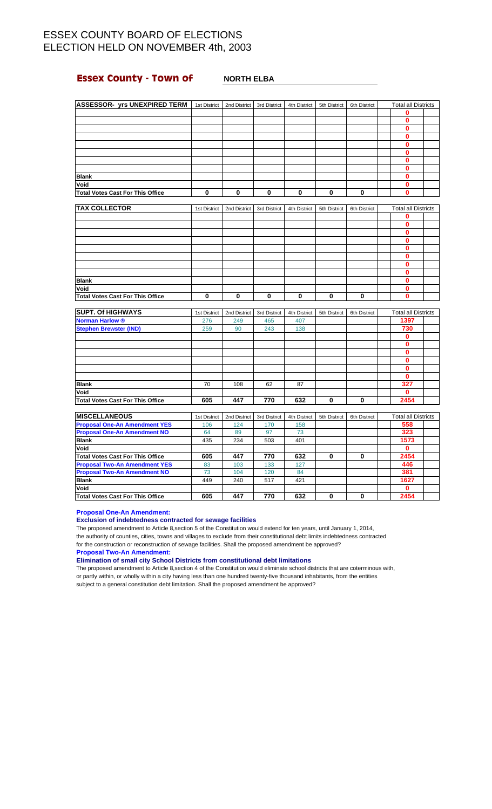## **Essex County - Town of MORTH ELBA**

| <b>ASSESSOR- yrs UNEXPIRED TERM</b>     | 1st District | 2nd District | 3rd District | 4th District | 5th District | 6th District | <b>Total all Districts</b> |  |
|-----------------------------------------|--------------|--------------|--------------|--------------|--------------|--------------|----------------------------|--|
|                                         |              |              |              |              |              |              | о                          |  |
|                                         |              |              |              |              |              |              | ŋ                          |  |
|                                         |              |              |              |              |              |              | 0                          |  |
|                                         |              |              |              |              |              |              | n                          |  |
|                                         |              |              |              |              |              |              |                            |  |
|                                         |              |              |              |              |              |              | O                          |  |
|                                         |              |              |              |              |              |              | n                          |  |
|                                         |              |              |              |              |              |              | 0                          |  |
| <b>Blank</b>                            |              |              |              |              |              |              | n                          |  |
| Void                                    |              |              |              |              |              |              | 0                          |  |
| <b>Total Votes Cast For This Office</b> | 0            | 0            | 0            | $\bf{0}$     | 0            | 0            | 0                          |  |
|                                         |              |              |              |              |              |              |                            |  |

| <b>TAX COLLECTOR</b>                    | 1st District | 2nd District | 3rd District | 4th District | 5th District | 6th District | <b>Total all Districts</b> |  |
|-----------------------------------------|--------------|--------------|--------------|--------------|--------------|--------------|----------------------------|--|
|                                         |              |              |              |              |              |              |                            |  |
|                                         |              |              |              |              |              |              | n                          |  |
|                                         |              |              |              |              |              |              |                            |  |
|                                         |              |              |              |              |              |              | ŋ                          |  |
|                                         |              |              |              |              |              |              |                            |  |
|                                         |              |              |              |              |              |              | Λ                          |  |
|                                         |              |              |              |              |              |              |                            |  |
|                                         |              |              |              |              |              |              |                            |  |
| <b>Blank</b>                            |              |              |              |              |              |              |                            |  |
| Void                                    |              |              |              |              |              |              |                            |  |
| <b>Total Votes Cast For This Office</b> | 0            |              | 0            | 0            | 0            | 0            | n                          |  |

| <b>SUPT. Of HIGHWAYS</b>         | 1st District | 2nd District | 3rd District | 4th District | 5th District | 6th District | <b>Total all Districts</b> |  |
|----------------------------------|--------------|--------------|--------------|--------------|--------------|--------------|----------------------------|--|
| <b>Norman Harlow ®</b>           | 276          | 249          | 465          | 407          |              |              | 1397                       |  |
| <b>Stephen Brewster (IND)</b>    | 259          | 90           | 243          | 138          |              |              | 730                        |  |
|                                  |              |              |              |              |              |              | 0                          |  |
|                                  |              |              |              |              |              |              | 0                          |  |
|                                  |              |              |              |              |              |              | 0                          |  |
|                                  |              |              |              |              |              |              |                            |  |
|                                  |              |              |              |              |              |              |                            |  |
|                                  |              |              |              |              |              |              |                            |  |
| <b>Blank</b>                     | 70           | 108          | 62           | 87           |              |              | 327                        |  |
| Void                             |              |              |              |              |              |              | 0                          |  |
| Total Votes Cast For This Office | 605          | 447          | 770          | 632          | 0            | O            | 2454                       |  |

| <b>MISCELLANEOUS</b>                    | 1st District | 2nd District | 3rd District | 4th District | 5th District | 6th District | <b>Total all Districts</b> |  |
|-----------------------------------------|--------------|--------------|--------------|--------------|--------------|--------------|----------------------------|--|
| <b>Proposal One-An Amendment YES</b>    | 106          | 124          | 170          | 158          |              |              | 558                        |  |
| <b>Proposal One-An Amendment NO</b>     | 64           | 89           | 97           | 73           |              |              | 323                        |  |
| <b>Blank</b>                            | 435          | 234          | 503          | 401          |              |              | 1573                       |  |
| Void                                    |              |              |              |              |              |              |                            |  |
| <b>Total Votes Cast For This Office</b> | 605          | 447          | 770          | 632          | 0            | 0            | 2454                       |  |
| <b>Proposal Two-An Amendment YES</b>    | 83           | 103          | 133          | 127          |              |              | 446                        |  |
| <b>Proposal Two-An Amendment NO</b>     | 73           | 104          | 120          | 84           |              |              | 381                        |  |
| <b>Blank</b>                            | 449          | 240          | 517          | 421          |              |              | 1627                       |  |
| Void                                    |              |              |              |              |              |              |                            |  |
| Total Votes Cast For This Office        | 605          | 447          | 770          | 632          |              | 0            | 2454                       |  |

**Proposal One-An Amendment:**

### **Exclusion of indebtedness contracted for sewage facilities**

The proposed amendment to Article 8,section 5 of the Constitution would extend for ten years, until January 1, 2014, the authority of counties, cities, towns and villages to exclude from their constitutional debt limits indebtedness contracted for the construction or reconstruction of sewage facilities. Shall the proposed amendment be approved?

**Proposal Two-An Amendment:**

**Elimination of small city School Districts from constitutional debt limitations**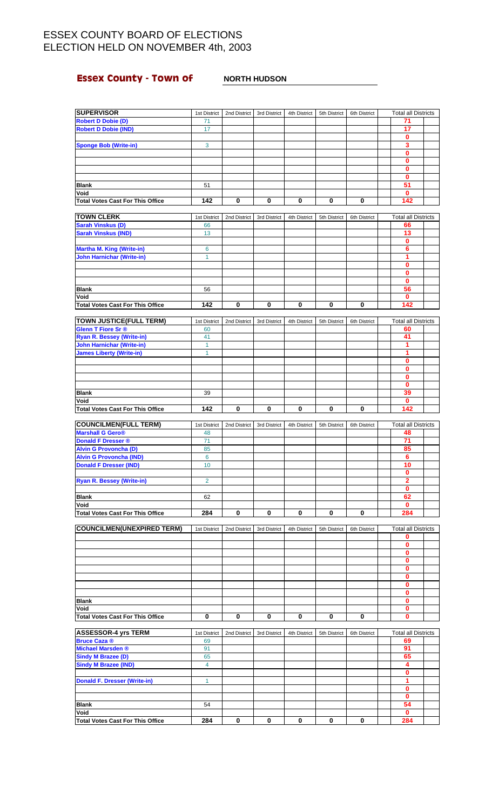# **Essex County - Town of** <br>NORTH HUDSON

| <b>SUPERVISOR</b>                               | 1st District | 2nd District | 3rd District | 4th District | 5th District | 6th District | <b>Total all Districts</b> |  |
|-------------------------------------------------|--------------|--------------|--------------|--------------|--------------|--------------|----------------------------|--|
| <b>Robert D Dobie (D)</b>                       | 71           |              |              |              |              |              | 71                         |  |
| <b>Robert D Dobie (IND)</b>                     | 17           |              |              |              |              |              | 17                         |  |
|                                                 |              |              |              |              |              |              | 0                          |  |
| <b>Sponge Bob (Write-in)</b>                    | $\mathbf{3}$ |              |              |              |              |              | 3                          |  |
|                                                 |              |              |              |              |              |              | 0                          |  |
|                                                 |              |              |              |              |              |              | $\mathbf{0}$               |  |
|                                                 |              |              |              |              |              |              | 0                          |  |
|                                                 |              |              |              |              |              |              | $\mathbf{0}$<br>51         |  |
| <b>Blank</b>                                    | 51           |              |              |              |              |              |                            |  |
| Void                                            | 142          | $\bf{0}$     | $\pmb{0}$    | $\mathbf 0$  | 0            | 0            | 0<br>142                   |  |
| <b>Total Votes Cast For This Office</b>         |              |              |              |              |              |              |                            |  |
| <b>TOWN CLERK</b>                               | 1st District | 2nd District | 3rd District | 4th District | 5th District | 6th District | <b>Total all Districts</b> |  |
| <b>Sarah Vinskus (D)</b>                        | 66           |              |              |              |              |              | 66                         |  |
| <b>Sarah Vinskus (IND)</b>                      | 13           |              |              |              |              |              | 13                         |  |
|                                                 |              |              |              |              |              |              | 0                          |  |
| <b>Martha M. King (Write-in)</b>                | 6            |              |              |              |              |              | 6                          |  |
| <b>John Harnichar (Write-in)</b>                | $\mathbf{1}$ |              |              |              |              |              | 1                          |  |
|                                                 |              |              |              |              |              |              | 0                          |  |
|                                                 |              |              |              |              |              |              | 0                          |  |
|                                                 |              |              |              |              |              |              | $\mathbf{0}$               |  |
| <b>Blank</b>                                    | 56           |              |              |              |              |              | 56                         |  |
| Void                                            |              |              |              |              |              |              | 0                          |  |
| <b>Total Votes Cast For This Office</b>         | 142          | 0            | 0            | 0            | 0            | 0            | 142                        |  |
|                                                 |              |              |              |              |              |              |                            |  |
| <b>TOWN JUSTICE(FULL TERM)</b>                  | 1st District | 2nd District | 3rd District | 4th District | 5th District | 6th District | <b>Total all Districts</b> |  |
| <b>Glenn T Fiore Sr®</b>                        | 60           |              |              |              |              |              | 60                         |  |
| Ryan R. Bessey (Write-in)                       | 41           |              |              |              |              |              | 41                         |  |
| <b>John Harnichar (Write-in)</b>                | $\mathbf{1}$ |              |              |              |              |              | 1<br>1                     |  |
| <b>James Liberty (Write-in)</b>                 | 1            |              |              |              |              |              |                            |  |
|                                                 |              |              |              |              |              |              | 0<br>$\mathbf{0}$          |  |
|                                                 |              |              |              |              |              |              | $\mathbf 0$                |  |
|                                                 |              |              |              |              |              |              | $\bf{0}$                   |  |
| <b>Blank</b>                                    | 39           |              |              |              |              |              | 39                         |  |
| Void                                            |              |              |              |              |              |              | 0                          |  |
| <b>Total Votes Cast For This Office</b>         | 142          | 0            | 0            | 0            | 0            | 0            | 142                        |  |
|                                                 |              |              |              |              |              |              |                            |  |
| <b>COUNCILMEN(FULL TERM)</b>                    | 1st District | 2nd District | 3rd District | 4th District | 5th District | 6th District | <b>Total all Districts</b> |  |
| <b>Marshall G Gero®</b>                         | 48           |              |              |              |              |              | 48                         |  |
| <b>Donald F Dresser ®</b>                       | 71           |              |              |              |              |              | 71                         |  |
| <b>Alvin G Provoncha (D)</b>                    | 85           |              |              |              |              |              | 85                         |  |
| <b>Alvin G Provoncha (IND)</b>                  | 6            |              |              |              |              |              | 6                          |  |
| <b>Donald F Dresser (IND)</b>                   | 10           |              |              |              |              |              | 10                         |  |
|                                                 |              |              |              |              |              |              | 0                          |  |
| <b>Ryan R. Bessey (Write-in)</b>                | 2            |              |              |              |              |              | $\overline{2}$             |  |
|                                                 |              |              |              |              |              |              | $\mathbf{0}$               |  |
| <b>Blank</b>                                    | 62           |              |              |              |              |              | 62                         |  |
| Void<br><b>Total Votes Cast For This Office</b> | 284          | $\bf{0}$     | 0            | 0            | 0            | 0            | 0<br>284                   |  |
|                                                 |              |              |              |              |              |              |                            |  |
| <b>COUNCILMEN(UNEXPIRED TERM)</b>               | 1st District | 2nd District | 3rd District | 4th District | 5th District | 6th District | <b>Total all Districts</b> |  |
|                                                 |              |              |              |              |              |              | 0                          |  |
|                                                 |              |              |              |              |              |              | 0                          |  |
|                                                 |              |              |              |              |              |              | 0                          |  |
|                                                 |              |              |              |              |              |              | 0                          |  |
|                                                 |              |              |              |              |              |              | 0                          |  |
|                                                 |              |              |              |              |              |              | $\mathbf{0}$               |  |
|                                                 |              |              |              |              |              |              | $\mathbf{0}$               |  |
|                                                 |              |              |              |              |              |              | 0                          |  |
| <b>Blank</b>                                    |              |              |              |              |              |              | $\mathbf{0}$               |  |
| Void                                            |              |              |              |              |              |              | 0                          |  |
| <b>Total Votes Cast For This Office</b>         |              |              |              | 0            | 0            | 0            | 0                          |  |
|                                                 | 0            | 0            | 0            |              |              |              |                            |  |
|                                                 |              |              |              |              |              |              |                            |  |
| <b>ASSESSOR-4 yrs TERM</b>                      | 1st District | 2nd District | 3rd District | 4th District | 5th District | 6th District | <b>Total all Districts</b> |  |
| <b>Bruce Caza ®</b>                             | 69           |              |              |              |              |              | 69                         |  |
| <b>Michael Marsden</b> ®                        | 91           |              |              |              |              |              | 91                         |  |
| <b>Sindy M Brazee (D)</b>                       | 65           |              |              |              |              |              | 65                         |  |
| <b>Sindy M Brazee (IND)</b>                     | 4            |              |              |              |              |              | 4                          |  |
|                                                 |              |              |              |              |              |              | 0                          |  |
| <b>Donald F. Dresser (Write-in)</b>             | 1            |              |              |              |              |              | 1                          |  |
|                                                 |              |              |              |              |              |              | 0<br>0                     |  |
| <b>Blank</b>                                    | 54           |              |              |              |              |              | 54                         |  |
| Void                                            |              |              |              |              |              |              | 0                          |  |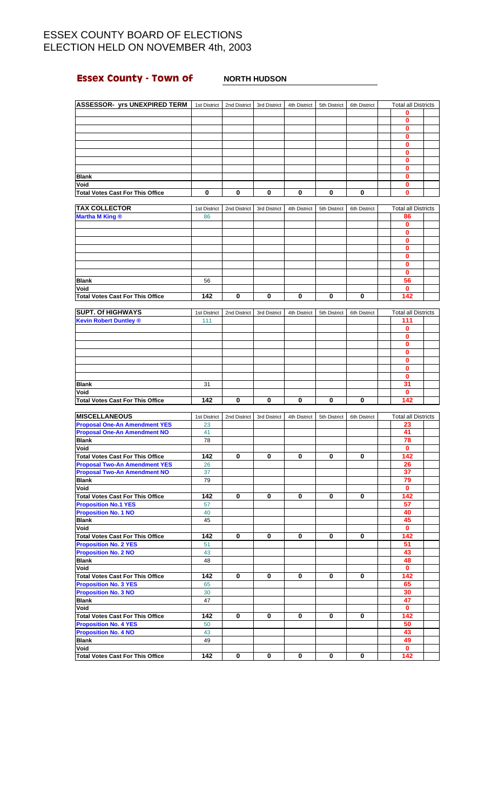# **Essex County - Town of** <br>NORTH HUDSON

| <b>ASSESSOR- yrs UNEXPIRED TERM</b>                                         | 1st District | 2nd District | 3rd District | 4th District | 5th District | 6th District | <b>Total all Districts</b> |  |
|-----------------------------------------------------------------------------|--------------|--------------|--------------|--------------|--------------|--------------|----------------------------|--|
|                                                                             |              |              |              |              |              |              | 0                          |  |
|                                                                             |              |              |              |              |              |              | 0                          |  |
|                                                                             |              |              |              |              |              |              | $\mathbf{0}$               |  |
|                                                                             |              |              |              |              |              |              | 0<br>0                     |  |
|                                                                             |              |              |              |              |              |              | 0                          |  |
|                                                                             |              |              |              |              |              |              | 0                          |  |
|                                                                             |              |              |              |              |              |              | 0                          |  |
| <b>Blank</b>                                                                |              |              |              |              |              |              | 0                          |  |
| Void                                                                        |              |              |              |              |              |              | 0                          |  |
| <b>Total Votes Cast For This Office</b>                                     | 0            | 0            | 0            | 0            | 0            | 0            | $\bf{0}$                   |  |
|                                                                             |              |              |              |              |              |              |                            |  |
| <b>TAX COLLECTOR</b>                                                        | 1st District | 2nd District | 3rd District | 4th District | 5th District | 6th District | <b>Total all Districts</b> |  |
| <b>Martha M King ®</b>                                                      | 86           |              |              |              |              |              | 86                         |  |
|                                                                             |              |              |              |              |              |              | 0                          |  |
|                                                                             |              |              |              |              |              |              | 0                          |  |
|                                                                             |              |              |              |              |              |              | 0                          |  |
|                                                                             |              |              |              |              |              |              | 0                          |  |
|                                                                             |              |              |              |              |              |              | 0                          |  |
|                                                                             |              |              |              |              |              |              | 0                          |  |
|                                                                             |              |              |              |              |              |              | 0                          |  |
| <b>Blank</b><br>Void                                                        | 56           |              |              |              |              |              | 56<br>0                    |  |
| <b>Total Votes Cast For This Office</b>                                     | 142          | 0            | 0            | 0            | 0            | 0            | 142                        |  |
|                                                                             |              |              |              |              |              |              |                            |  |
| <b>SUPT. Of HIGHWAYS</b>                                                    | 1st District | 2nd District | 3rd District | 4th District | 5th District | 6th District | <b>Total all Districts</b> |  |
| <b>Kevin Robert Duntley ®</b>                                               | 111          |              |              |              |              |              | 111                        |  |
|                                                                             |              |              |              |              |              |              | 0                          |  |
|                                                                             |              |              |              |              |              |              | 0                          |  |
|                                                                             |              |              |              |              |              |              | 0                          |  |
|                                                                             |              |              |              |              |              |              | 0                          |  |
|                                                                             |              |              |              |              |              |              | 0                          |  |
|                                                                             |              |              |              |              |              |              | 0                          |  |
|                                                                             |              |              |              |              |              |              | 0                          |  |
| <b>Blank</b>                                                                | 31           |              |              |              |              |              | 31                         |  |
| Void                                                                        |              |              |              |              |              |              | 0                          |  |
| <b>Total Votes Cast For This Office</b>                                     | 142          | 0            | 0            | 0            | 0            | 0            | 142                        |  |
|                                                                             |              |              |              |              |              |              |                            |  |
| <b>MISCELLANEOUS</b>                                                        | 1st District | 2nd District | 3rd District | 4th District | 5th District | 6th District | <b>Total all Districts</b> |  |
| <b>Proposal One-An Amendment YES</b><br><b>Proposal One-An Amendment NO</b> | 23<br>41     |              |              |              |              |              | 23<br>41                   |  |
| <b>Blank</b>                                                                | 78           |              |              |              |              |              | 78                         |  |
| Void                                                                        |              |              |              |              |              |              | 0                          |  |
| <b>Total Votes Cast For This Office</b>                                     | 142          | 0            | 0            | 0            | 0            | 0            | 142                        |  |
| <b>Proposal Two-An Amendment YES</b>                                        | 26           |              |              |              |              |              | 26                         |  |
| <b>Proposal Two-An Amendment NO</b>                                         | 37           |              |              |              |              |              | 37                         |  |
| <b>Blank</b>                                                                | 79           |              |              |              |              |              | 79                         |  |
| Void                                                                        |              |              |              |              |              |              | 0                          |  |
| <b>Total Votes Cast For This Office</b>                                     | 142          | 0            | 0            | 0            | 0            | 0            | 142                        |  |
| <b>Proposition No.1 YES</b>                                                 | 57           |              |              |              |              |              | 57                         |  |
| <b>Proposition No. 1 NO</b>                                                 | 40           |              |              |              |              |              | 40                         |  |
| <b>Blank</b>                                                                | 45           |              |              |              |              |              | 45                         |  |
| Void                                                                        |              |              |              |              |              |              | $\mathbf{0}$               |  |
| <b>Total Votes Cast For This Office</b>                                     | 142          | 0            | 0            | 0            | 0            | 0            | 142                        |  |
| <b>Proposition No. 2 YES</b>                                                | 51           |              |              |              |              |              | 51                         |  |
| <b>Proposition No. 2 NO</b>                                                 | 43           |              |              |              |              |              | 43                         |  |
| <b>Blank</b>                                                                | 48           |              |              |              |              |              | 48                         |  |
| Void                                                                        |              |              |              |              |              |              | $\mathbf{0}$               |  |
| <b>Total Votes Cast For This Office</b>                                     | 142          | 0            | 0            | $\mathbf 0$  | 0            | 0            | 142                        |  |
| <b>Proposition No. 3 YES</b><br><b>Proposition No. 3 NO</b>                 | 65<br>30     |              |              |              |              |              | 65<br>30                   |  |
| <b>Blank</b>                                                                | 47           |              |              |              |              |              | 47                         |  |
| Void                                                                        |              |              |              |              |              |              | $\mathbf 0$                |  |
| <b>Total Votes Cast For This Office</b>                                     | 142          | 0            | 0            | 0            | 0            | 0            | 142                        |  |
| <b>Proposition No. 4 YES</b>                                                | 50           |              |              |              |              |              | 50                         |  |
| <b>Proposition No. 4 NO</b>                                                 | 43           |              |              |              |              |              | 43                         |  |
| <b>Blank</b>                                                                | 49           |              |              |              |              |              | 49                         |  |
| Void                                                                        |              |              |              |              |              |              | $\mathbf 0$                |  |
| <b>Total Votes Cast For This Office</b>                                     | 142          | 0            | 0            | 0            | 0            | 0            | 142                        |  |
|                                                                             |              |              |              |              |              |              |                            |  |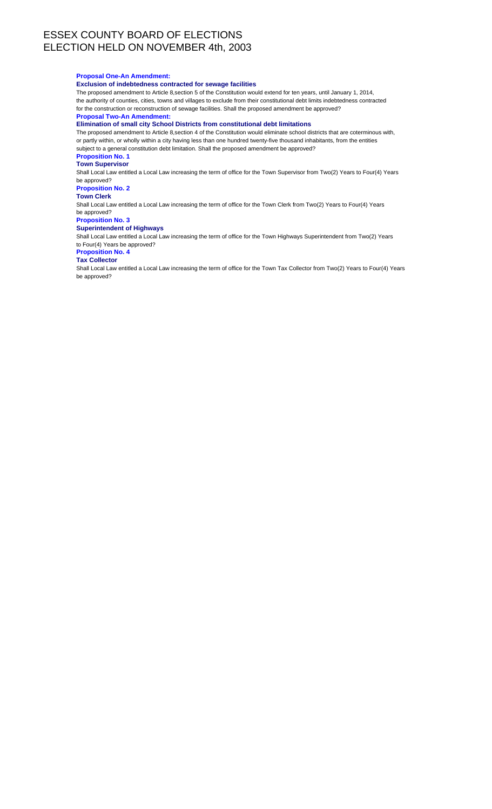### **Proposal One-An Amendment:**

### **Exclusion of indebtedness contracted for sewage facilities**

The proposed amendment to Article 8,section 5 of the Constitution would extend for ten years, until January 1, 2014, the authority of counties, cities, towns and villages to exclude from their constitutional debt limits indebtedness contracted for the construction or reconstruction of sewage facilities. Shall the proposed amendment be approved?

## **Proposal Two-An Amendment:**

**Elimination of small city School Districts from constitutional debt limitations**

The proposed amendment to Article 8,section 4 of the Constitution would eliminate school districts that are coterminous with, or partly within, or wholly within a city having less than one hundred twenty-five thousand inhabitants, from the entities subject to a general constitution debt limitation. Shall the proposed amendment be approved?

**Proposition No. 1**

## **Town Supervisor**

Shall Local Law entitled a Local Law increasing the term of office for the Town Supervisor from Two(2) Years to Four(4) Years be approved?

### **Proposition No. 2**

**Town Clerk**

Shall Local Law entitled a Local Law increasing the term of office for the Town Clerk from Two(2) Years to Four(4) Years be approved?

### **Proposition No. 3**

**Superintendent of Highways**

Shall Local Law entitled a Local Law increasing the term of office for the Town Highways Superintendent from Two(2) Years to Four(4) Years be approved?

### **Proposition No. 4 Tax Collector**

Shall Local Law entitled a Local Law increasing the term of office for the Town Tax Collector from Two(2) Years to Four(4) Years be approved?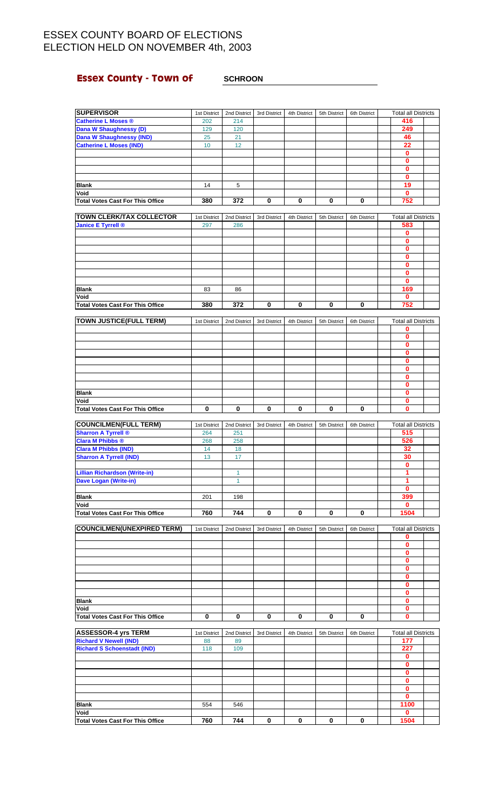# **Essex County - Town of** <br>**<u>SCHROON</u>**

| <b>SUPERVISOR</b>                               | 1st District | 2nd District | 3rd District | 4th District | 5th District | 6th District | <b>Total all Districts</b> |  |
|-------------------------------------------------|--------------|--------------|--------------|--------------|--------------|--------------|----------------------------|--|
| <b>Catherine L Moses ®</b>                      | 202          | 214          |              |              |              |              | 416                        |  |
| Dana W Shaughnessy (D)                          | 129          | 120          |              |              |              |              | 249                        |  |
| <b>Dana W Shaughnessy (IND)</b>                 | 25           | 21           |              |              |              |              | 46                         |  |
| <b>Catherine L Moses (IND)</b>                  | 10           | 12           |              |              |              |              | 22                         |  |
|                                                 |              |              |              |              |              |              | $\bf{0}$                   |  |
|                                                 |              |              |              |              |              |              | 0                          |  |
|                                                 |              |              |              |              |              |              | $\mathbf{0}$               |  |
|                                                 |              |              |              |              |              |              | $\bf{0}$                   |  |
| <b>Blank</b>                                    | 14           | 5            |              |              |              |              | 19                         |  |
| Void                                            |              |              |              |              |              |              | $\mathbf 0$                |  |
| <b>Total Votes Cast For This Office</b>         | 380          | 372          | 0            | 0            | 0            | $\bf{0}$     | 752                        |  |
|                                                 |              |              |              |              |              |              |                            |  |
| <b>TOWN CLERK/TAX COLLECTOR</b>                 | 1st District | 2nd District | 3rd District | 4th District | 5th District | 6th District | <b>Total all Districts</b> |  |
| <b>Janice E Tyrrell ®</b>                       | 297          | 286          |              |              |              |              | 583                        |  |
|                                                 |              |              |              |              |              |              | 0                          |  |
|                                                 |              |              |              |              |              |              | 0                          |  |
|                                                 |              |              |              |              |              |              | 0                          |  |
|                                                 |              |              |              |              |              |              | 0                          |  |
|                                                 |              |              |              |              |              |              | $\mathbf 0$                |  |
|                                                 |              |              |              |              |              |              | 0                          |  |
|                                                 |              |              |              |              |              |              | $\mathbf 0$                |  |
| <b>Blank</b>                                    | 83           | 86           |              |              |              |              | 169                        |  |
| Void                                            |              |              |              |              |              |              | 0                          |  |
| <b>Total Votes Cast For This Office</b>         | 380          | 372          | 0            | 0            | 0            | 0            | 752                        |  |
|                                                 |              |              |              |              |              |              |                            |  |
| <b>TOWN JUSTICE(FULL TERM)</b>                  | 1st District | 2nd District | 3rd District | 4th District |              | 6th District | <b>Total all Districts</b> |  |
|                                                 |              |              |              |              | 5th District |              |                            |  |
|                                                 |              |              |              |              |              |              | 0                          |  |
|                                                 |              |              |              |              |              |              | 0                          |  |
|                                                 |              |              |              |              |              |              | $\mathbf{0}$               |  |
|                                                 |              |              |              |              |              |              | 0                          |  |
|                                                 |              |              |              |              |              |              | 0                          |  |
|                                                 |              |              |              |              |              |              | $\mathbf{0}$               |  |
|                                                 |              |              |              |              |              |              | 0                          |  |
|                                                 |              |              |              |              |              |              | 0                          |  |
| <b>Blank</b>                                    |              |              |              |              |              |              | $\mathbf{0}$               |  |
| Void                                            |              |              |              |              |              |              | 0                          |  |
| <b>Total Votes Cast For This Office</b>         | 0            | 0            | 0            | 0            | 0            | 0            | $\bf{0}$                   |  |
|                                                 |              |              |              |              |              |              |                            |  |
|                                                 |              |              |              |              |              |              |                            |  |
| <b>COUNCILMEN(FULL TERM)</b>                    | 1st District | 2nd District | 3rd District | 4th District | 5th District | 6th District | <b>Total all Districts</b> |  |
| <b>Sharron A Tyrrell ®</b>                      | 264          | 251          |              |              |              |              | 515                        |  |
| <b>Clara M Phibbs ®</b>                         | 268          | 258          |              |              |              |              | 526                        |  |
| <b>Clara M Phibbs (IND)</b>                     | 14           | 18           |              |              |              |              | 32                         |  |
|                                                 | 13           | 17           |              |              |              |              | 30                         |  |
| <b>Sharron A Tyrrell (IND)</b>                  |              |              |              |              |              |              | $\mathbf{0}$               |  |
|                                                 |              |              |              |              |              |              |                            |  |
| <b>Lillian Richardson (Write-in)</b>            |              | 1            |              |              |              |              | 1<br>1                     |  |
| <b>Dave Logan (Write-in)</b>                    |              | 1            |              |              |              |              |                            |  |
|                                                 |              |              |              |              |              |              | $\bf{0}$                   |  |
| <b>Blank</b>                                    | 201          | 198          |              |              |              |              | 399                        |  |
| Void                                            |              |              |              |              |              |              | $\mathbf{0}$               |  |
| <b>Total Votes Cast For This Office</b>         | 760          | 744          | 0            | 0            | 0            | $\mathbf 0$  | 1504                       |  |
|                                                 |              |              |              |              |              |              |                            |  |
| <b>COUNCILMEN(UNEXPIRED TERM)</b>               | 1st District | 2nd District | 3rd District | 4th District | 5th District | 6th District | <b>Total all Districts</b> |  |
|                                                 |              |              |              |              |              |              | 0                          |  |
|                                                 |              |              |              |              |              |              | $\pmb{0}$<br>0             |  |
|                                                 |              |              |              |              |              |              |                            |  |
|                                                 |              |              |              |              |              |              | $\mathbf 0$                |  |
|                                                 |              |              |              |              |              |              | 0                          |  |
|                                                 |              |              |              |              |              |              | $\mathbf{0}$               |  |
|                                                 |              |              |              |              |              |              | 0                          |  |
|                                                 |              |              |              |              |              |              | $\mathbf 0$                |  |
| <b>Blank</b>                                    |              |              |              |              |              |              | 0                          |  |
| Void                                            |              |              |              |              |              |              | $\mathbf 0$                |  |
| <b>Total Votes Cast For This Office</b>         | 0            | 0            | 0            | 0            | 0            | 0            | $\mathbf{0}$               |  |
|                                                 |              |              |              |              |              |              |                            |  |
| <b>ASSESSOR-4 yrs TERM</b>                      | 1st District | 2nd District | 3rd District | 4th District | 5th District | 6th District | <b>Total all Districts</b> |  |
| <b>Richard V Newell (IND)</b>                   | 88           | 89           |              |              |              |              | 177                        |  |
| <b>Richard S Schoenstadt (IND)</b>              | 118          | 109          |              |              |              |              | 227                        |  |
|                                                 |              |              |              |              |              |              | 0                          |  |
|                                                 |              |              |              |              |              |              | $\mathbf 0$                |  |
|                                                 |              |              |              |              |              |              | 0                          |  |
|                                                 |              |              |              |              |              |              | 0                          |  |
|                                                 |              |              |              |              |              |              | $\mathbf{0}$               |  |
|                                                 |              |              |              |              |              |              | $\mathbf{0}$               |  |
| <b>Blank</b>                                    | 554          | 546          |              |              |              |              | 1100                       |  |
| Void<br><b>Total Votes Cast For This Office</b> | 760          | 744          | 0            | 0            | 0            | 0            | $\mathbf 0$<br>1504        |  |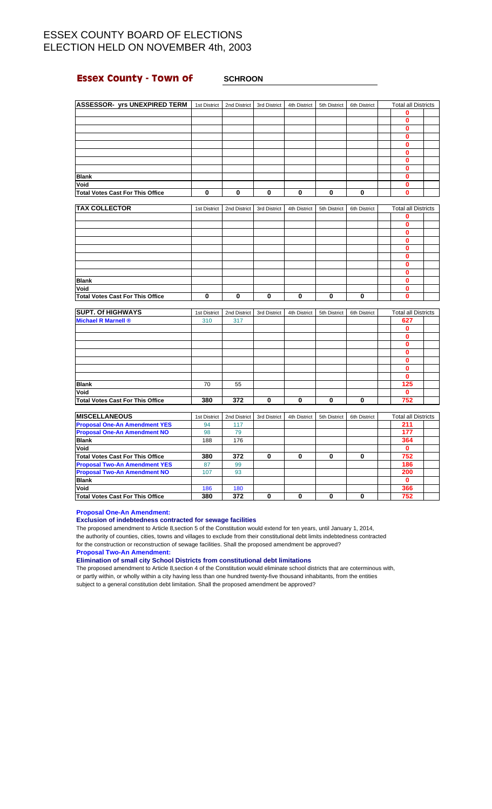## **Essex County - Town of SCHROON**

| <b>ASSESSOR- yrs UNEXPIRED TERM</b>     | 1st District | 2nd District | 3rd District | 4th District | 5th District | 6th District | <b>Total all Districts</b> |  |
|-----------------------------------------|--------------|--------------|--------------|--------------|--------------|--------------|----------------------------|--|
|                                         |              |              |              |              |              |              | $\bf{0}$                   |  |
|                                         |              |              |              |              |              |              | $\bf{0}$                   |  |
|                                         |              |              |              |              |              |              | $\mathbf 0$                |  |
|                                         |              |              |              |              |              |              | $\bf{0}$                   |  |
|                                         |              |              |              |              |              |              | $\bf{0}$                   |  |
|                                         |              |              |              |              |              |              | $\bf{0}$                   |  |
|                                         |              |              |              |              |              |              | 0                          |  |
|                                         |              |              |              |              |              |              | 0                          |  |
| <b>Blank</b>                            |              |              |              |              |              |              | 0                          |  |
| Void                                    |              |              |              |              |              |              | 0                          |  |
| <b>Total Votes Cast For This Office</b> | 0            | 0            | 0            | 0            | 0            | 0            | $\bf{0}$                   |  |
|                                         |              |              |              |              |              |              |                            |  |
| <b>TAX COLLECTOR</b>                    | 1st District | 2nd District | 3rd District | 4th District | 5th District | 6th District | <b>Total all Districts</b> |  |
|                                         |              |              |              |              |              |              | $\mathbf 0$                |  |
|                                         |              |              |              |              |              |              | $\bf{0}$                   |  |
|                                         |              |              |              |              |              |              | $\bf{0}$                   |  |
|                                         |              |              |              |              |              |              | 0                          |  |
|                                         |              |              |              |              |              |              | 0                          |  |

| <b>Blank</b>                            |  |  |  |  |  |
|-----------------------------------------|--|--|--|--|--|
| Void                                    |  |  |  |  |  |
| <b>Total Votes Cast For This Office</b> |  |  |  |  |  |

| <b>SUPT. Of HIGHWAYS</b>                | 1st District | 2nd District | 3rd District | 4th District | 5th District | 6th District | <b>Total all Districts</b> |  |
|-----------------------------------------|--------------|--------------|--------------|--------------|--------------|--------------|----------------------------|--|
| <b>Michael R Marnell ®</b>              | 310          | 317          |              |              |              |              | 627                        |  |
|                                         |              |              |              |              |              |              |                            |  |
|                                         |              |              |              |              |              |              |                            |  |
|                                         |              |              |              |              |              |              |                            |  |
|                                         |              |              |              |              |              |              |                            |  |
|                                         |              |              |              |              |              |              |                            |  |
|                                         |              |              |              |              |              |              |                            |  |
|                                         |              |              |              |              |              |              |                            |  |
| <b>Blank</b>                            | 70           | 55           |              |              |              |              | 125                        |  |
| Void                                    |              |              |              |              |              |              |                            |  |
| <b>Total Votes Cast For This Office</b> | 380          | 372          | O            | 0            | 0            |              | 752                        |  |

| <b>MISCELLANEOUS</b>                    | 1st District | 2nd District | 3rd District | 4th District | 5th District | 6th District | <b>Total all Districts</b> |  |
|-----------------------------------------|--------------|--------------|--------------|--------------|--------------|--------------|----------------------------|--|
| <b>Proposal One-An Amendment YES</b>    | 94           | 117          |              |              |              |              | 211                        |  |
| <b>Proposal One-An Amendment NO</b>     | 98           | 79           |              |              |              |              | 177                        |  |
| <b>Blank</b>                            | 188          | 176          |              |              |              |              | 364                        |  |
| Void                                    |              |              |              |              |              |              |                            |  |
| Total Votes Cast For This Office        | 380          | 372          | 0            | 0            | 0            |              | 752                        |  |
| <b>Proposal Two-An Amendment YES</b>    | 87           | 99           |              |              |              |              | 186                        |  |
| <b>Proposal Two-An Amendment NO</b>     | 107          | 93           |              |              |              |              | 200                        |  |
| <b>Blank</b>                            |              |              |              |              |              |              |                            |  |
| Void                                    | 186          | 180          |              |              |              |              | 366                        |  |
| <b>Total Votes Cast For This Office</b> | 380          | 372          | 0            | 0            |              |              | 752                        |  |

**Proposal One-An Amendment:**

### **Exclusion of indebtedness contracted for sewage facilities**

The proposed amendment to Article 8,section 5 of the Constitution would extend for ten years, until January 1, 2014, the authority of counties, cities, towns and villages to exclude from their constitutional debt limits indebtedness contracted for the construction or reconstruction of sewage facilities. Shall the proposed amendment be approved?

**Proposal Two-An Amendment:**

**Elimination of small city School Districts from constitutional debt limitations**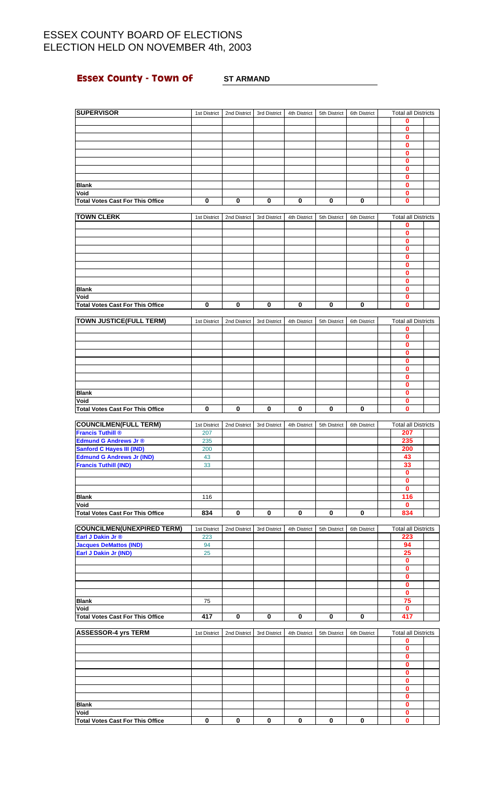# **Essex County - Town of ST ARMAND**

| <b>SUPERVISOR</b>                       | 1st District | 2nd District | 3rd District | 4th District | 5th District | 6th District | <b>Total all Districts</b>          |  |
|-----------------------------------------|--------------|--------------|--------------|--------------|--------------|--------------|-------------------------------------|--|
|                                         |              |              |              |              |              |              | 0                                   |  |
|                                         |              |              |              |              |              |              | $\bf{0}$                            |  |
|                                         |              |              |              |              |              |              | 0                                   |  |
|                                         |              |              |              |              |              |              | 0                                   |  |
|                                         |              |              |              |              |              |              | 0                                   |  |
|                                         |              |              |              |              |              |              | $\mathbf{0}$                        |  |
|                                         |              |              |              |              |              |              | 0                                   |  |
|                                         |              |              |              |              |              |              | 0                                   |  |
| <b>Blank</b>                            |              |              |              |              |              |              | 0                                   |  |
| Void                                    |              |              |              |              |              |              | 0                                   |  |
| <b>Total Votes Cast For This Office</b> | 0            | 0            | 0            | 0            | 0            | 0            | 0                                   |  |
| <b>TOWN CLERK</b>                       | 1st District | 2nd District | 3rd District | 4th District | 5th District | 6th District | <b>Total all Districts</b>          |  |
|                                         |              |              |              |              |              |              | 0                                   |  |
|                                         |              |              |              |              |              |              | 0                                   |  |
|                                         |              |              |              |              |              |              | 0                                   |  |
|                                         |              |              |              |              |              |              | $\mathbf{0}$                        |  |
|                                         |              |              |              |              |              |              | 0                                   |  |
|                                         |              |              |              |              |              |              | 0                                   |  |
|                                         |              |              |              |              |              |              | 0                                   |  |
|                                         |              |              |              |              |              |              | 0                                   |  |
| <b>Blank</b>                            |              |              |              |              |              |              | 0                                   |  |
| Void                                    |              |              |              |              |              |              | 0                                   |  |
| <b>Total Votes Cast For This Office</b> | $\bf{0}$     | 0            | 0            | $\bf{0}$     | 0            | 0            | $\mathbf{0}$                        |  |
|                                         |              |              |              |              |              |              |                                     |  |
| <b>TOWN JUSTICE(FULL TERM)</b>          | 1st District | 2nd District | 3rd District | 4th District | 5th District | 6th District | <b>Total all Districts</b>          |  |
|                                         |              |              |              |              |              |              | 0                                   |  |
|                                         |              |              |              |              |              |              | 0                                   |  |
|                                         |              |              |              |              |              |              | 0                                   |  |
|                                         |              |              |              |              |              |              | $\mathbf{0}$                        |  |
|                                         |              |              |              |              |              |              | 0                                   |  |
|                                         |              |              |              |              |              |              | 0                                   |  |
|                                         |              |              |              |              |              |              | 0                                   |  |
|                                         |              |              |              |              |              |              | 0                                   |  |
| <b>Blank</b>                            |              |              |              |              |              |              | $\mathbf{0}$                        |  |
| Void                                    |              |              |              |              |              |              | $\mathbf{0}$                        |  |
| <b>Total Votes Cast For This Office</b> | 0            | 0            | 0            | 0            | 0            | 0            | 0                                   |  |
| <b>COUNCILMEN(FULL TERM)</b>            | 1st District | 2nd District | 3rd District | 4th District | 5th District | 6th District | <b>Total all Districts</b>          |  |
| Francis Tuthill <sup>®</sup>            | 207          |              |              |              |              |              | 207                                 |  |
| Edmund G Andrews Jr ®                   | 235          |              |              |              |              |              | 235                                 |  |
| <b>Sanford C Hayes III (IND)</b>        | 200          |              |              |              |              |              | 200                                 |  |
| <b>Edmund G Andrews Jr (IND)</b>        | 43           |              |              |              |              |              | 43                                  |  |
| <b>Francis Tuthill (IND)</b>            | 33           |              |              |              |              |              | 33                                  |  |
|                                         |              |              |              |              |              |              | $\mathbf{0}$                        |  |
|                                         |              |              |              |              |              |              | 0                                   |  |
|                                         |              |              |              |              |              |              | $\mathbf{0}$                        |  |
| <b>Blank</b>                            | 116          |              |              |              |              |              | 116                                 |  |
| Void                                    |              |              |              |              |              |              | 0                                   |  |
| <b>Total Votes Cast For This Office</b> | 834          | 0            | 0            | 0            | 0            | 0            | 834                                 |  |
|                                         |              |              |              |              |              |              |                                     |  |
| <b>COUNCILMEN(UNEXPIRED TERM)</b>       | 1st District | 2nd District | 3rd District | 4th District | 5th District | 6th District | <b>Total all Districts</b>          |  |
| Earl J Dakin Jr ®                       | 223          |              |              |              |              |              | 223                                 |  |
| <b>Jacques DeMattos (IND)</b>           | 94           |              |              |              |              |              | 94                                  |  |
| Earl J Dakin Jr (IND)                   | 25           |              |              |              |              |              | 25                                  |  |
|                                         |              |              |              |              |              |              | $\mathbf 0$                         |  |
|                                         |              |              |              |              |              |              | 0                                   |  |
|                                         |              |              |              |              |              |              | $\bf{0}$<br>$\overline{\mathbf{0}}$ |  |
|                                         |              |              |              |              |              |              | $\pmb{0}$                           |  |
| Blank                                   | 75           |              |              |              |              |              | 75                                  |  |
| Void                                    |              |              |              |              |              |              | $\mathbf 0$                         |  |
| <b>Total Votes Cast For This Office</b> | 417          | $\mathbf 0$  | $\bf{0}$     | $\bf{0}$     | $\bf{0}$     | $\mathbf 0$  | 417                                 |  |
|                                         |              |              |              |              |              |              |                                     |  |
| <b>ASSESSOR-4 yrs TERM</b>              | 1st District | 2nd District | 3rd District | 4th District | 5th District | 6th District | <b>Total all Districts</b>          |  |
|                                         |              |              |              |              |              |              | 0                                   |  |
|                                         |              |              |              |              |              |              | 0                                   |  |
|                                         |              |              |              |              |              |              | 0                                   |  |
|                                         |              |              |              |              |              |              | 0                                   |  |
|                                         |              |              |              |              |              |              | 0                                   |  |
|                                         |              |              |              |              |              |              | $\bf{0}$                            |  |
|                                         |              |              |              |              |              |              | 0                                   |  |
|                                         |              |              |              |              |              |              | 0                                   |  |
| <b>Blank</b>                            |              |              |              |              |              |              | $\pmb{0}$                           |  |
| Void                                    |              |              |              |              |              |              | 0                                   |  |
| <b>Total Votes Cast For This Office</b> | 0            | 0            | 0            | 0            | 0            | 0            | 0                                   |  |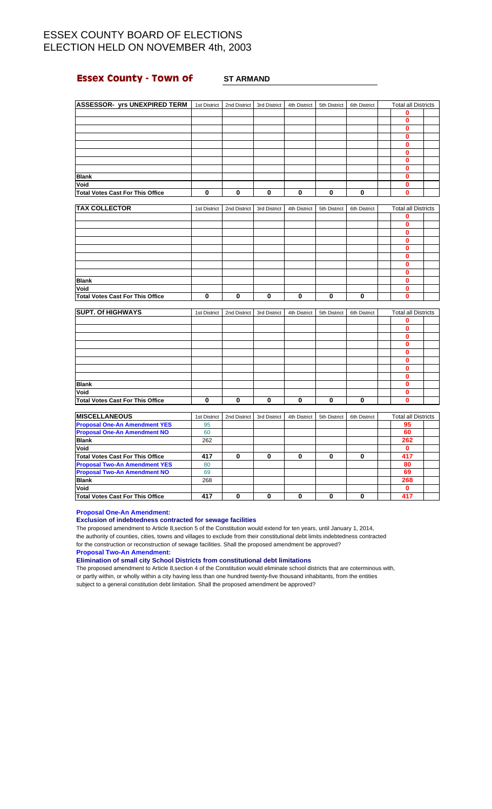## **Essex County - Town of ST ARMAND**

| ASSESSOR- yrs UNEXPIRED TERM   1st District |              | 2nd District | 3rd District            | 4th District | 5th District | 6th District            | <b>Total all Districts</b> |  |
|---------------------------------------------|--------------|--------------|-------------------------|--------------|--------------|-------------------------|----------------------------|--|
|                                             |              |              |                         |              |              |                         | 0                          |  |
|                                             |              |              |                         |              |              |                         | 0                          |  |
|                                             |              |              |                         |              |              |                         | $\bf{0}$                   |  |
|                                             |              |              |                         |              |              |                         | $\bf{0}$                   |  |
|                                             |              |              |                         |              |              |                         | 0                          |  |
|                                             |              |              |                         |              |              |                         | 0                          |  |
|                                             |              |              |                         |              |              |                         | $\mathbf 0$                |  |
|                                             |              |              |                         |              |              |                         | $\bf{0}$                   |  |
| <b>Blank</b>                                |              |              |                         |              |              |                         | $\bf{0}$                   |  |
| Void                                        |              |              |                         |              |              |                         | 0                          |  |
| <b>Total Votes Cast For This Office</b>     | $\mathbf 0$  | $\mathbf 0$  | $\overline{\mathbf{0}}$ | $\bf{0}$     | 0            | $\overline{\mathbf{0}}$ | $\bf{0}$                   |  |
| <b>TAX COLLECTOR</b>                        | 1st District | 2nd District | 3rd District            | 4th District | 5th District | 6th District            | <b>Total all Districts</b> |  |
|                                             |              |              |                         |              |              |                         | 0                          |  |
|                                             |              |              |                         |              |              |                         | $\bf{0}$                   |  |
|                                             |              |              |                         |              |              |                         | $\bf{0}$                   |  |
|                                             |              |              |                         |              |              |                         | $\bf{0}$                   |  |
|                                             |              |              |                         |              |              |                         | 0                          |  |
|                                             |              |              |                         |              |              |                         | 0                          |  |
|                                             |              |              |                         |              |              |                         | $\mathbf 0$                |  |
|                                             |              |              |                         |              |              |                         | $\bf{0}$                   |  |
| <b>Blank</b>                                |              |              |                         |              |              |                         | $\mathbf 0$                |  |
| Void                                        |              |              |                         |              |              |                         | 0                          |  |
| <b>Total Votes Cast For This Office</b>     | $\bf{0}$     | $\mathbf 0$  | $\bf{0}$                | 0            | 0            | $\bf{0}$                | $\bf{0}$                   |  |
|                                             |              |              |                         |              |              |                         |                            |  |
| <b>SUPT. Of HIGHWAYS</b>                    | 1st District | 2nd District | 3rd District            | 4th District | 5th District | 6th District            | <b>Total all Districts</b> |  |
|                                             |              |              |                         |              |              |                         | 0                          |  |
|                                             |              |              |                         |              |              |                         | $\bf{0}$                   |  |
|                                             |              |              |                         |              |              |                         | $\mathbf{0}$               |  |
|                                             |              |              |                         |              |              |                         | $\mathbf{0}$               |  |
|                                             |              |              |                         |              |              |                         | $\mathbf 0$                |  |
|                                             |              |              |                         |              |              |                         | 0                          |  |
|                                             |              |              |                         |              |              |                         | $\bf{0}$                   |  |
|                                             |              |              |                         |              |              |                         | $\bf{0}$                   |  |
| <b>Blank</b>                                |              |              |                         |              |              |                         | $\bf{0}$                   |  |
| Void                                        |              |              |                         |              |              |                         | 0                          |  |
| <b>Total Votes Cast For This Office</b>     | $\bf{0}$     | $\mathbf 0$  | $\bf{0}$                | $\bf{0}$     | $\bf{0}$     | $\mathbf 0$             | $\bf{0}$                   |  |
| <b>MISCELLANEOUS</b>                        | 1st District | 2nd District | 3rd District            | 4th District | 5th District | 6th District            | <b>Total all Districts</b> |  |
| <b>Proposal One-An Amendment YES</b>        | 95           |              |                         |              |              |                         | 95                         |  |
| <b>Proposal One-An Amendment NO</b>         | 60           |              |                         |              |              |                         | 60                         |  |

| <b>Proposal One-An Amendment YES</b>    | 95  |   |   |   | 95  |
|-----------------------------------------|-----|---|---|---|-----|
| <b>Proposal One-An Amendment NO</b>     | 60  |   |   |   | 60  |
| <b>Blank</b>                            | 262 |   |   |   | 262 |
| Void                                    |     |   |   |   |     |
| <b>Total Votes Cast For This Office</b> | 417 | 0 | 0 | o | 417 |
| <b>Proposal Two-An Amendment YES</b>    | 80  |   |   |   | 80  |
| <b>Proposal Two-An Amendment NO</b>     | 69  |   |   |   | 69  |
| <b>Blank</b>                            | 268 |   |   |   | 268 |
| Void                                    |     |   |   |   |     |
| <b>Total Votes Cast For This Office</b> | 417 | ŋ |   |   | 417 |

**Proposal One-An Amendment:**

### **Exclusion of indebtedness contracted for sewage facilities**

The proposed amendment to Article 8,section 5 of the Constitution would extend for ten years, until January 1, 2014, the authority of counties, cities, towns and villages to exclude from their constitutional debt limits indebtedness contracted for the construction or reconstruction of sewage facilities. Shall the proposed amendment be approved?

**Proposal Two-An Amendment:**

**Elimination of small city School Districts from constitutional debt limitations**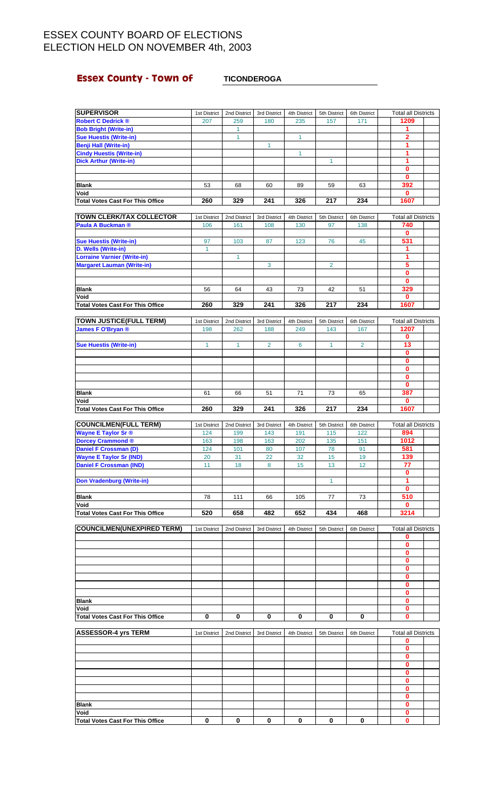## **Essex County - Town of FILL TICONDEROGA**

| <b>SUPERVISOR</b>                                               | 1st District | 2nd District | 3rd District   | 4th District | 5th District   | 6th District   | <b>Total all Districts</b>      |  |
|-----------------------------------------------------------------|--------------|--------------|----------------|--------------|----------------|----------------|---------------------------------|--|
| <b>Robert C Dedrick ®</b>                                       | 207          | 259          | 180            | 235          | 157            | 171            | 1209                            |  |
| <b>Bob Bright (Write-in)</b>                                    |              | 1            |                |              |                |                | 1                               |  |
| <b>Sue Huestis (Write-in)</b>                                   |              | 1            |                | $\mathbf{1}$ |                |                | $\overline{\mathbf{2}}$<br>1    |  |
| <b>Benji Hall (Write-in)</b><br><b>Cindy Huestis (Write-in)</b> |              |              | $\mathbf{1}$   | $\mathbf{1}$ |                |                | 1                               |  |
| <b>Dick Arthur (Write-in)</b>                                   |              |              |                |              | $\mathbf{1}$   |                | 1                               |  |
|                                                                 |              |              |                |              |                |                | 0                               |  |
|                                                                 |              |              |                |              |                |                | $\mathbf{0}$                    |  |
| <b>Blank</b>                                                    | 53           | 68           | 60             | 89           | 59             | 63             | 392                             |  |
| Void                                                            |              |              |                |              |                |                | 0                               |  |
| <b>Total Votes Cast For This Office</b>                         | 260          | 329          | 241            | 326          | 217            | 234            | 1607                            |  |
| <b>TOWN CLERK/TAX COLLECTOR</b>                                 | 1st District | 2nd District | 3rd District   | 4th District | 5th District   | 6th District   | <b>Total all Districts</b>      |  |
| <b>Paula A Buckman ®</b>                                        | 106          | 161          | 108            | 130          | 97             | 138            | 740                             |  |
|                                                                 |              |              |                |              |                |                | 0                               |  |
| <b>Sue Huestis (Write-in)</b>                                   | 97           | 103          | 87             | 123          | 76             | 45             | 531                             |  |
| D. Wells (Write-in)                                             | 1            |              |                |              |                |                | 1                               |  |
| <b>Lorraine Varnier (Write-in)</b>                              |              | 1            |                |              |                |                | 1                               |  |
| <b>Margaret Lauman (Write-in)</b>                               |              |              | 3              |              | $\overline{2}$ |                | 5                               |  |
|                                                                 |              |              |                |              |                |                | 0<br>$\mathbf{0}$               |  |
| <b>Blank</b>                                                    | 56           | 64           | 43             | 73           | 42             | 51             | 329                             |  |
| Void                                                            |              |              |                |              |                |                | 0                               |  |
| <b>Total Votes Cast For This Office</b>                         | 260          | 329          | 241            | 326          | 217            | 234            | 1607                            |  |
|                                                                 |              |              |                |              |                |                |                                 |  |
| <b>TOWN JUSTICE(FULL TERM)</b>                                  | 1st District | 2nd District | 3rd District   | 4th District | 5th District   | 6th District   | <b>Total all Districts</b>      |  |
| James F O'Bryan ®                                               | 198          | 262          | 188            | 249          | 143            | 167            | 1207                            |  |
|                                                                 |              |              |                |              |                |                | $\bf{0}$                        |  |
| <b>Sue Huestis (Write-in)</b>                                   | $\mathbf{1}$ | 1            | $\overline{2}$ | 6            | 1              | $\overline{2}$ | 13<br>$\mathbf 0$               |  |
|                                                                 |              |              |                |              |                |                | 0                               |  |
|                                                                 |              |              |                |              |                |                | 0                               |  |
|                                                                 |              |              |                |              |                |                | $\mathbf{0}$                    |  |
|                                                                 |              |              |                |              |                |                | $\bf{0}$                        |  |
| <b>Blank</b>                                                    | 61           | 66           | 51             | 71           | 73             | 65             | 387                             |  |
| Void                                                            |              |              |                |              |                |                | 0                               |  |
| <b>Total Votes Cast For This Office</b>                         | 260          | 329          | 241            | 326          | 217            | 234            | 1607                            |  |
|                                                                 |              |              |                |              |                |                |                                 |  |
| <b>COUNCILMEN(FULL TERM)</b>                                    | 1st District | 2nd District | 3rd District   | 4th District | 5th District   | 6th District   | <b>Total all Districts</b>      |  |
| Wayne E Taylor Sr ®                                             | 124          | 199          | 143            | 191          | 115            | 122            | 894                             |  |
| <b>Dorcey Crammond ®</b>                                        | 163          | 198          | 163            | 202          | 135            | 151            | 1012                            |  |
| <b>Daniel F Crossman (D)</b>                                    | 124          | 101          | 80             | 107          | 78             | 91             | 581                             |  |
| <b>Wayne E Taylor Sr (IND)</b>                                  | 20           | 31           | 22             | 32           | 15             | 19             | 139                             |  |
| <b>Daniel F Crossman (IND)</b>                                  | 11           | 18           | 8              | 15           | 13             | 12             | 77                              |  |
|                                                                 |              |              |                |              |                |                | 0                               |  |
| <b>Don Vradenburg (Write-in)</b>                                |              |              |                |              | 1              |                | 1<br>0                          |  |
| <b>Blank</b>                                                    | 78           | 111          | 66             | 105          | 77             | 73             | 510                             |  |
| Void                                                            |              |              |                |              |                |                | 0                               |  |
| <b>Total Votes Cast For This Office</b>                         | 520          | 658          | 482            | 652          | 434            | 468            | 3214                            |  |
|                                                                 |              |              |                |              |                |                |                                 |  |
| <b>COUNCILMEN(UNEXPIRED TERM)</b>                               | 1st District | 2nd District | 3rd District   | 4th District | 5th District   | 6th District   | <b>Total all Districts</b><br>0 |  |
|                                                                 |              |              |                |              |                |                | 0                               |  |
|                                                                 |              |              |                |              |                |                | 0                               |  |
|                                                                 |              |              |                |              |                |                | 0                               |  |
|                                                                 |              |              |                |              |                |                | 0                               |  |
|                                                                 |              |              |                |              |                |                | 0                               |  |
|                                                                 |              |              |                |              |                |                | 0                               |  |
| Blank                                                           |              |              |                |              |                |                | 0<br>0                          |  |
| Void                                                            |              |              |                |              |                |                | 0                               |  |
| <b>Total Votes Cast For This Office</b>                         | 0            | 0            | 0              | 0            | 0              | 0              | 0                               |  |
|                                                                 |              |              |                |              |                |                |                                 |  |
| <b>ASSESSOR-4 yrs TERM</b>                                      | 1st District | 2nd District | 3rd District   | 4th District | 5th District   | 6th District   | <b>Total all Districts</b>      |  |
|                                                                 |              |              |                |              |                |                | 0                               |  |
|                                                                 |              |              |                |              |                |                | 0<br>0                          |  |
|                                                                 |              |              |                |              |                |                | 0                               |  |
|                                                                 |              |              |                |              |                |                | 0                               |  |
|                                                                 |              |              |                |              |                |                | 0                               |  |
|                                                                 |              |              |                |              |                |                | 0                               |  |
|                                                                 |              |              |                |              |                |                | 0                               |  |
| Blank                                                           |              |              |                |              |                |                | 0                               |  |
| Void<br><b>Total Votes Cast For This Office</b>                 | 0            | 0            | 0              | 0            | 0              | 0              | 0<br>0                          |  |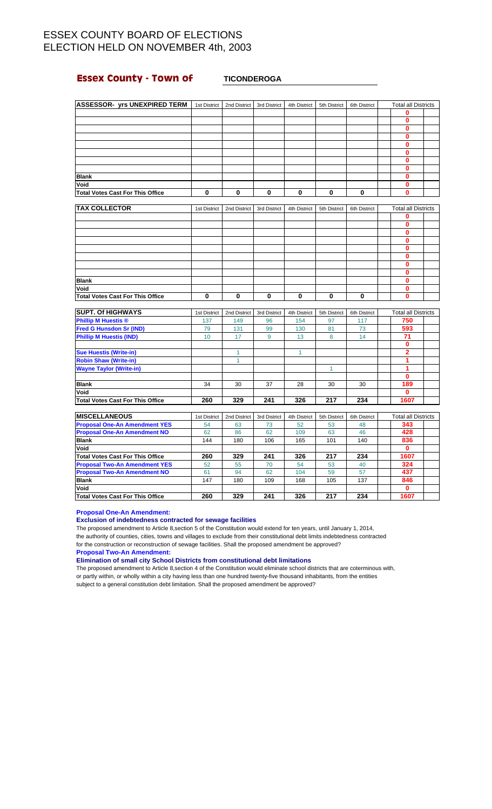## **Essex County - Town of <b>TICONDEROGA**

| 1st District | 2nd District                        | 3rd District | 4th District | 5th District | 6th District | <b>Total all Districts</b> |  |
|--------------|-------------------------------------|--------------|--------------|--------------|--------------|----------------------------|--|
|              |                                     |              |              |              |              | 0                          |  |
|              |                                     |              |              |              |              | 0                          |  |
|              |                                     |              |              |              |              | 0                          |  |
|              |                                     |              |              |              |              | Ω                          |  |
|              |                                     |              |              |              |              |                            |  |
|              |                                     |              |              |              |              | о                          |  |
|              |                                     |              |              |              |              | 0                          |  |
|              |                                     |              |              |              |              | 0                          |  |
|              |                                     |              |              |              |              | n                          |  |
|              |                                     |              |              |              |              | 0                          |  |
| 0            | 0                                   | 0            | $\bf{0}$     | 0            | 0            | 0                          |  |
|              | <b>ASSESSOR- yrs UNEXPIRED TERM</b> |              |              |              |              |                            |  |

| <b>TAX COLLECTOR</b>                    | 1st District | 2nd District | 3rd District | 4th District | 5th District | 6th District | <b>Total all Districts</b> |  |
|-----------------------------------------|--------------|--------------|--------------|--------------|--------------|--------------|----------------------------|--|
|                                         |              |              |              |              |              |              |                            |  |
|                                         |              |              |              |              |              |              |                            |  |
|                                         |              |              |              |              |              |              |                            |  |
|                                         |              |              |              |              |              |              | ŋ                          |  |
|                                         |              |              |              |              |              |              | n                          |  |
|                                         |              |              |              |              |              |              | n                          |  |
|                                         |              |              |              |              |              |              |                            |  |
|                                         |              |              |              |              |              |              |                            |  |
| <b>Blank</b>                            |              |              |              |              |              |              |                            |  |
| Void                                    |              |              |              |              |              |              |                            |  |
| <b>Total Votes Cast For This Office</b> | 0            | ŋ            | 0            | 0            | 0            | 0            | ŋ                          |  |

| <b>SUPT. Of HIGHWAYS</b>         | 1st District | 2nd District | 3rd District | 4th District | 5th District | 6th District | <b>Total all Districts</b> |  |
|----------------------------------|--------------|--------------|--------------|--------------|--------------|--------------|----------------------------|--|
| <b>Phillip M Huestis ®</b>       | 137          | 149          | 96           | 154          | 97           | 117          | 750                        |  |
| <b>Fred G Hunsdon Sr (IND)</b>   | 79           | 131          | 99           | 130          | 81           | 73           | 593                        |  |
| <b>Phillip M Huestis (IND)</b>   | 10           | 17           | 9            | 13           | 8            | 14           | 71                         |  |
|                                  |              |              |              |              |              |              | 0                          |  |
| <b>Sue Huestis (Write-in)</b>    |              |              |              |              |              |              | 2                          |  |
| <b>Robin Shaw (Write-in)</b>     |              |              |              |              |              |              |                            |  |
| <b>Wayne Taylor (Write-in)</b>   |              |              |              |              |              |              |                            |  |
|                                  |              |              |              |              |              |              | 0                          |  |
| <b>Blank</b>                     | 34           | 30           | 37           | 28           | 30           | 30           | 189                        |  |
| Void                             |              |              |              |              |              |              | 0                          |  |
| Total Votes Cast For This Office | 260          | 329          | 241          | 326          | 217          | 234          | 1607                       |  |

| <b>IMISCELLANEOUS</b>                   | 1st District | 2nd District | 3rd District | 4th District | 5th District | 6th District | <b>Total all Districts</b> |
|-----------------------------------------|--------------|--------------|--------------|--------------|--------------|--------------|----------------------------|
| <b>Proposal One-An Amendment YES</b>    | 54           | 63           | 73           | 52           | 53           | 48           | 343                        |
| <b>Proposal One-An Amendment NO</b>     | 62           | 86           | 62           | 109          | 63           | 46           | 428                        |
| <b>Blank</b>                            | 144          | 180          | 106          | 165          | 101          | 140          | 836                        |
| <b>Void</b>                             |              |              |              |              |              |              | 0                          |
| <b>Total Votes Cast For This Office</b> | 260          | 329          | 241          | 326          | 217          | 234          | 1607                       |
| <b>Proposal Two-An Amendment YES</b>    | 52           | 55           | 70           | 54           | 53           | 40           | 324                        |
| <b>Proposal Two-An Amendment NO</b>     | 61           | 94           | 62           | 104          | 59           | 57           | 437                        |
| <b>Blank</b>                            | 147          | 180          | 109          | 168          | 105          | 137          | 846                        |
| Void                                    |              |              |              |              |              |              | 0                          |
| Total Votes Cast For This Office        | 260          | 329          | 241          | 326          | 217          | 234          | 1607                       |

**Proposal One-An Amendment:**

### **Exclusion of indebtedness contracted for sewage facilities**

The proposed amendment to Article 8,section 5 of the Constitution would extend for ten years, until January 1, 2014, the authority of counties, cities, towns and villages to exclude from their constitutional debt limits indebtedness contracted for the construction or reconstruction of sewage facilities. Shall the proposed amendment be approved? **Proposal Two-An Amendment:**

**Elimination of small city School Districts from constitutional debt limitations**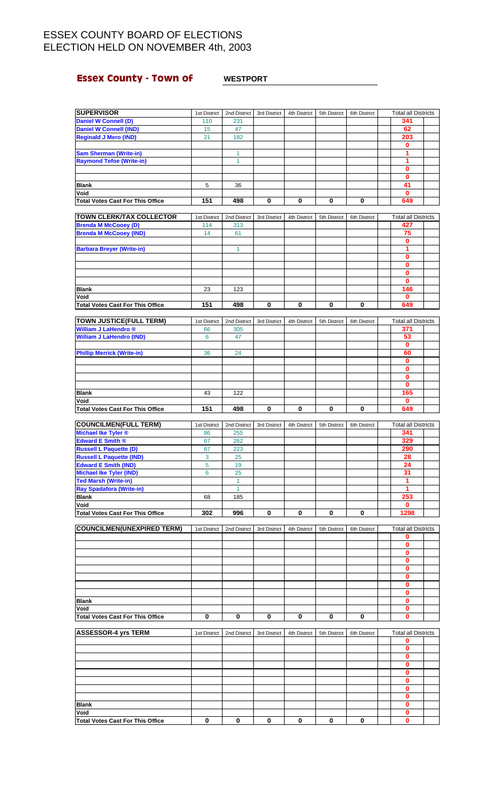# **Essex County - Town of WESTPORT**

| <b>SUPERVISOR</b>                                             | 1st District        | 2nd District        | 3rd District | 4th District | 5th District | 6th District | <b>Total all Districts</b>        |  |
|---------------------------------------------------------------|---------------------|---------------------|--------------|--------------|--------------|--------------|-----------------------------------|--|
| <b>Daniel W Connell (D)</b>                                   | 110                 | 231                 |              |              |              |              | 341                               |  |
| <b>Daniel W Connell (IND)</b>                                 | 15                  | 47                  |              |              |              |              | 62                                |  |
| <b>Reginald J Mero (IND)</b>                                  | 21                  | 182                 |              |              |              |              | 203                               |  |
|                                                               |                     |                     |              |              |              |              | $\mathbf{0}$                      |  |
| <b>Sam Sherman (Write-in)</b>                                 |                     | 1                   |              |              |              |              | 1                                 |  |
| <b>Raymond Tefoe (Write-in)</b>                               |                     | 1                   |              |              |              |              | 1                                 |  |
|                                                               |                     |                     |              |              |              |              | $\overline{\mathbf{0}}$           |  |
|                                                               |                     |                     |              |              |              |              | $\mathbf 0$                       |  |
| Blank                                                         | 5                   | 36                  |              |              |              |              | 41                                |  |
| Void                                                          |                     |                     |              |              |              |              | $\mathbf{0}$                      |  |
| <b>Total Votes Cast For This Office</b>                       | 151                 | 498                 | 0            | 0            | 0            | 0            | 649                               |  |
| TOWN CLERK/TAX COLLECTOR                                      |                     |                     |              |              |              |              | <b>Total all Districts</b>        |  |
| <b>Brenda M McCooey (D)</b>                                   | 1st District<br>114 | 2nd District<br>313 | 3rd District | 4th District | 5th District | 6th District | 427                               |  |
| <b>Brenda M McCooey (IND)</b>                                 | 14                  | 61                  |              |              |              |              | 75                                |  |
|                                                               |                     |                     |              |              |              |              | $\mathbf{0}$                      |  |
| <b>Barbara Breyer (Write-in)</b>                              |                     | $\mathbf{1}$        |              |              |              |              | 1                                 |  |
|                                                               |                     |                     |              |              |              |              | $\mathbf{0}$                      |  |
|                                                               |                     |                     |              |              |              |              | $\mathbf{0}$                      |  |
|                                                               |                     |                     |              |              |              |              | 0                                 |  |
|                                                               |                     |                     |              |              |              |              | $\mathbf{0}$                      |  |
| <b>Blank</b>                                                  | 23                  | 123                 |              |              |              |              | 146                               |  |
| Void                                                          |                     |                     |              |              |              |              | $\mathbf 0$                       |  |
| <b>Total Votes Cast For This Office</b>                       | 151                 | 498                 | 0            | 0            | 0            | 0            | 649                               |  |
|                                                               |                     |                     |              |              |              |              |                                   |  |
| <b>TOWN JUSTICE(FULL TERM)</b><br><b>William J LaHendro</b> ® | 1st District        | 2nd District        | 3rd District | 4th District | 5th District | 6th District | <b>Total all Districts</b><br>371 |  |
|                                                               | 66<br>6             | 305                 |              |              |              |              | 53                                |  |
| <b>William J LaHendro (IND)</b>                               |                     | 47                  |              |              |              |              | 0                                 |  |
| <b>Phillip Merrick (Write-in)</b>                             | 36                  | 24                  |              |              |              |              | 60                                |  |
|                                                               |                     |                     |              |              |              |              | $\mathbf 0$                       |  |
|                                                               |                     |                     |              |              |              |              | $\mathbf 0$                       |  |
|                                                               |                     |                     |              |              |              |              | $\mathbf 0$                       |  |
|                                                               |                     |                     |              |              |              |              | $\mathbf{0}$                      |  |
| <b>Blank</b>                                                  | 43                  | 122                 |              |              |              |              | 165                               |  |
| Void                                                          |                     |                     |              |              |              |              | $\bf{0}$                          |  |
| <b>Total Votes Cast For This Office</b>                       | 151                 | 498                 | 0            | 0            | 0            | 0            | 649                               |  |
|                                                               |                     |                     |              |              |              |              |                                   |  |
|                                                               |                     |                     |              |              |              |              |                                   |  |
| <b>COUNCILMEN(FULL TERM)</b>                                  | 1st District        | 2nd District        | 3rd District | 4th District | 5th District | 6th District | <b>Total all Districts</b>        |  |
| Michael Ike Tyler ®                                           | 86                  | 255                 |              |              |              |              | 341                               |  |
| Edward E Smith ®                                              | 67                  | 262                 |              |              |              |              | 329                               |  |
| <b>Russell L Paquette (D)</b>                                 | 67                  | 223                 |              |              |              |              | 290                               |  |
| <b>Russell L Paquette (IND)</b>                               | 3                   | 25                  |              |              |              |              | 28                                |  |
| <b>Edward E Smith (IND)</b>                                   | 5                   | 19                  |              |              |              |              | 24                                |  |
| <b>Michael Ike Tyler (IND)</b>                                | 6                   | 25<br>$\mathbf{1}$  |              |              |              |              | 31<br>1                           |  |
| <b>Ted Marsh (Write-in)</b>                                   |                     | 1                   |              |              |              |              | 1                                 |  |
| <b>Ray Spadafora (Write-in)</b><br><b>Blank</b>               | 68                  | 185                 |              |              |              |              | 253                               |  |
| Void                                                          |                     |                     |              |              |              |              | $\mathbf 0$                       |  |
| <b>Total Votes Cast For This Office</b>                       | 302                 | 996                 | 0            | 0            | 0            | 0            | 1298                              |  |
|                                                               |                     |                     |              |              |              |              |                                   |  |
| <b>COUNCILMEN(UNEXPIRED TERM)</b>                             | 1st District        | 2nd District        | 3rd District | 4th District | 5th District | 6th District | <b>Total all Districts</b>        |  |
|                                                               |                     |                     |              |              |              |              | 0                                 |  |
|                                                               |                     |                     |              |              |              |              | $\mathbf{0}$                      |  |
|                                                               |                     |                     |              |              |              |              | 0                                 |  |
|                                                               |                     |                     |              |              |              |              | 0                                 |  |
|                                                               |                     |                     |              |              |              |              | $\mathbf{0}$                      |  |
|                                                               |                     |                     |              |              |              |              | 0<br>$\mathbf{0}$                 |  |
|                                                               |                     |                     |              |              |              |              | 0                                 |  |
| <b>Blank</b>                                                  |                     |                     |              |              |              |              | 0                                 |  |
| Void                                                          |                     |                     |              |              |              |              | 0                                 |  |
| <b>Total Votes Cast For This Office</b>                       | 0                   | 0                   | 0            | 0            | 0            | 0            | $\mathbf{0}$                      |  |
|                                                               |                     |                     |              |              |              |              |                                   |  |
| <b>ASSESSOR-4 yrs TERM</b>                                    | 1st District        | 2nd District        | 3rd District | 4th District | 5th District | 6th District | <b>Total all Districts</b>        |  |
|                                                               |                     |                     |              |              |              |              | $\mathbf 0$                       |  |
|                                                               |                     |                     |              |              |              |              | 0                                 |  |
|                                                               |                     |                     |              |              |              |              | $\mathbf{0}$                      |  |
|                                                               |                     |                     |              |              |              |              | 0                                 |  |
|                                                               |                     |                     |              |              |              |              | 0                                 |  |
|                                                               |                     |                     |              |              |              |              | $\mathbf{0}$<br>$\mathbf{0}$      |  |
|                                                               |                     |                     |              |              |              |              | 0                                 |  |
| <b>Blank</b>                                                  |                     |                     |              |              |              |              | $\bf{0}$                          |  |
| Void                                                          |                     |                     |              |              |              |              | $\mathbf 0$                       |  |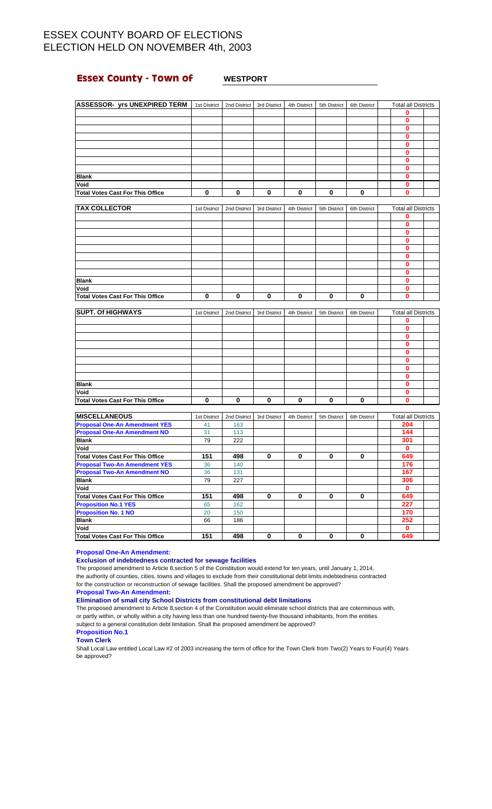## **Essex County - Town of WESTPORT**

| <b>ASSESSOR- yrs UNEXPIRED TERM</b>     | 1st District | 2nd District | 3rd District | 4th District | 5th District | 6th District | <b>Total all Districts</b> |  |
|-----------------------------------------|--------------|--------------|--------------|--------------|--------------|--------------|----------------------------|--|
|                                         |              |              |              |              |              |              | $\mathbf{0}$               |  |
|                                         |              |              |              |              |              |              | $\mathbf{0}$               |  |
|                                         |              |              |              |              |              |              | $\mathbf{0}$               |  |
|                                         |              |              |              |              |              |              | 0                          |  |
|                                         |              |              |              |              |              |              | $\bf{0}$                   |  |
|                                         |              |              |              |              |              |              | 0                          |  |
|                                         |              |              |              |              |              |              | 0                          |  |
|                                         |              |              |              |              |              |              | 0                          |  |
| <b>Blank</b>                            |              |              |              |              |              |              | $\bf{0}$                   |  |
| Void                                    |              |              |              |              |              |              | 0                          |  |
| <b>Total Votes Cast For This Office</b> | 0            | 0            | 0            | 0            | 0            | 0            | $\mathbf{0}$               |  |
|                                         |              |              |              |              |              |              |                            |  |
| <b>TAX COLLECTOR</b>                    | 1st District | 2nd District | 3rd District | 4th District | 5th District | 6th District | <b>Total all Districts</b> |  |
|                                         |              |              |              |              |              |              | 0                          |  |
|                                         |              |              |              |              |              |              | $\mathbf{0}$               |  |
|                                         |              |              |              |              |              |              | 0                          |  |
|                                         |              |              |              |              |              |              | $\bf{0}$                   |  |
|                                         |              |              |              |              |              |              | 0                          |  |
|                                         |              |              |              |              |              |              | $\bf{0}$                   |  |
|                                         |              |              |              |              |              |              | 0                          |  |
|                                         |              |              |              |              |              |              | 0                          |  |
| <b>Blank</b>                            |              |              |              |              |              |              | 0                          |  |
| Void                                    |              |              |              |              |              |              | 0                          |  |
| <b>Total Votes Cast For This Office</b> | 0            | 0            | 0            | 0            | 0            | 0            | $\mathbf{0}$               |  |
|                                         |              |              |              |              |              |              |                            |  |
| <b>SUPT. Of HIGHWAYS</b>                | 1st District | 2nd District | 3rd District | 4th District | 5th District | 6th District | <b>Total all Districts</b> |  |
|                                         |              |              |              |              |              |              | 0                          |  |
|                                         |              |              |              |              |              |              | $\mathbf{0}$               |  |
|                                         |              |              |              |              |              |              | 0                          |  |
|                                         |              |              |              |              |              |              | $\mathbf{0}$               |  |
|                                         |              |              |              |              |              |              | 0                          |  |
|                                         |              |              |              |              |              |              | $\bf{0}$                   |  |
|                                         |              |              |              |              |              |              | 0                          |  |
|                                         |              |              |              |              |              |              | $\mathbf{0}$               |  |
| <b>Blank</b>                            |              |              |              |              |              |              | $\bf{0}$                   |  |
| Void                                    |              |              |              |              |              |              | $\bf{0}$                   |  |
| <b>Total Votes Cast For This Office</b> | 0            | 0            | 0            | 0            | 0            | 0            | 0                          |  |
|                                         |              |              |              |              |              |              |                            |  |
| <b>MISCELLANEOUS</b>                    | 1st District | 2nd District | 3rd District | 4th District | 5th District | 6th District | <b>Total all Districts</b> |  |
| <b>Proposal One-An Amendment YES</b>    | 41           | 163          |              |              |              |              | 204                        |  |
| <b>Proposal One-An Amendment NO</b>     | 31           | 113          |              |              |              |              | 144                        |  |
| <b>Blank</b>                            | 79           | 222          |              |              |              |              | 301                        |  |
| Void                                    |              |              |              |              |              |              | $\mathbf{0}$               |  |
| <b>Total Votes Cast For This Office</b> | 151          | 498          | 0            | 0            | 0            | 0            | 649                        |  |
| <b>Proposal Two-An Amendment YES</b>    | 36           | 140          |              |              |              |              | 176                        |  |
| <b>Proposal Two-An Amendment NO</b>     | 36           | 131          |              |              |              |              | 167                        |  |
| <b>Blank</b>                            | 79           | 227          |              |              |              |              | 306                        |  |
| Void                                    |              |              |              |              |              |              | $\mathbf{0}$               |  |

### **Proposal One-An Amendment:**

**Exclusion of indebtedness contracted for sewage facilities**

The proposed amendment to Article 8,section 5 of the Constitution would extend for ten years, until January 1, 2014, the authority of counties, cities, towns and villages to exclude from their constitutional debt limits indebtedness contracted for the construction or reconstruction of sewage facilities. Shall the proposed amendment be approved?

**Total Votes Cast For This Office 151 498 0 0 0 0 649**

**Proposition No.1 YES** 65 162 **227 Proposition No. 1 NO** 20 150 **170 Blank** 66 186 **252 Void 0 Total Votes Cast For This Office 151 498 0 0 0 0 649**

**Proposal Two-An Amendment:**

### **Elimination of small city School Districts from constitutional debt limitations**

The proposed amendment to Article 8,section 4 of the Constitution would eliminate school districts that are coterminous with, or partly within, or wholly within a city having less than one hundred twenty-five thousand inhabitants, from the entities subject to a general constitution debt limitation. Shall the proposed amendment be approved?

**Proposition No.1**

### **Town Clerk**

Shall Local Law entitled Local Law #2 of 2003 increasing the term of office for the Town Clerk from Two(2) Years to Four(4) Years be approved?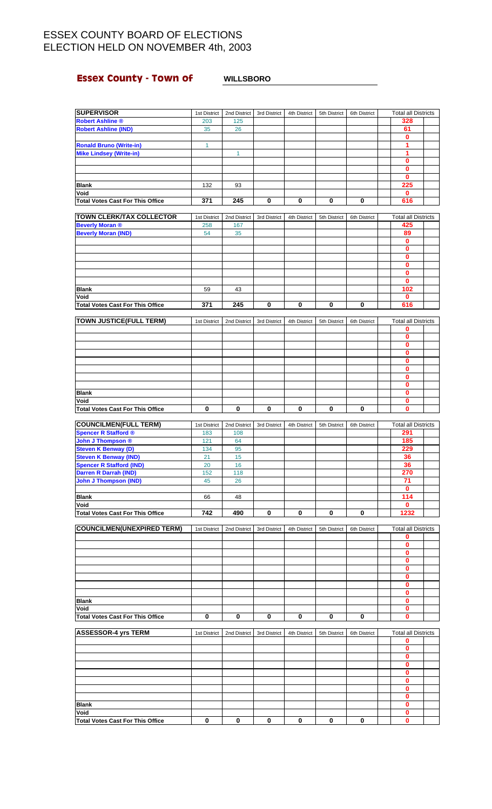# **Essex County - Town of WILLSBORO**

| <b>SUPERVISOR</b>                                           | 1st District        | 2nd District        | 3rd District | 4th District | 5th District | 6th District | <b>Total all Districts</b>      |  |
|-------------------------------------------------------------|---------------------|---------------------|--------------|--------------|--------------|--------------|---------------------------------|--|
| <b>Robert Ashline ®</b>                                     | 203                 | 125                 |              |              |              |              | 328                             |  |
| <b>Robert Ashline (IND)</b>                                 | 35                  | 26                  |              |              |              |              | 61                              |  |
|                                                             |                     |                     |              |              |              |              | $\bf{0}$                        |  |
| <b>Ronald Bruno (Write-in)</b>                              | $\mathbf{1}$        |                     |              |              |              |              | 1                               |  |
| <b>Mike Lindsey (Write-in)</b>                              |                     | 1                   |              |              |              |              | 1                               |  |
|                                                             |                     |                     |              |              |              |              | $\bf{0}$                        |  |
|                                                             |                     |                     |              |              |              |              | $\bf{0}$                        |  |
|                                                             |                     |                     |              |              |              |              | $\mathbf{0}$                    |  |
| <b>Blank</b>                                                | 132                 | 93                  |              |              |              |              | 225                             |  |
| Void                                                        |                     |                     |              |              |              |              | $\mathbf 0$                     |  |
| <b>Total Votes Cast For This Office</b>                     | 371                 | 245                 | $\pmb{0}$    | $\pmb{0}$    | 0            | 0            | 616                             |  |
| <b>TOWN CLERK/TAX COLLECTOR</b>                             |                     |                     |              |              |              |              | <b>Total all Districts</b>      |  |
| <b>Beverly Moran ®</b>                                      | 1st District<br>258 | 2nd District<br>167 | 3rd District | 4th District | 5th District | 6th District | 425                             |  |
| <b>Beverly Moran (IND)</b>                                  | 54                  | 35                  |              |              |              |              | 89                              |  |
|                                                             |                     |                     |              |              |              |              | $\mathbf 0$                     |  |
|                                                             |                     |                     |              |              |              |              | 0                               |  |
|                                                             |                     |                     |              |              |              |              | $\mathbf{0}$                    |  |
|                                                             |                     |                     |              |              |              |              | 0                               |  |
|                                                             |                     |                     |              |              |              |              | $\bf{0}$                        |  |
|                                                             |                     |                     |              |              |              |              | $\mathbf{0}$                    |  |
| <b>Blank</b>                                                | 59                  | 43                  |              |              |              |              | 102                             |  |
| Void                                                        |                     |                     |              |              |              |              | 0                               |  |
| <b>Total Votes Cast For This Office</b>                     | 371                 | 245                 | 0            | 0            | 0            | 0            | 616                             |  |
|                                                             |                     |                     |              |              |              |              |                                 |  |
| <b>TOWN JUSTICE(FULL TERM)</b>                              | 1st District        | 2nd District        | 3rd District | 4th District | 5th District | 6th District | <b>Total all Districts</b>      |  |
|                                                             |                     |                     |              |              |              |              | $\bf{0}$                        |  |
|                                                             |                     |                     |              |              |              |              | 0                               |  |
|                                                             |                     |                     |              |              |              |              | $\mathbf{0}$                    |  |
|                                                             |                     |                     |              |              |              |              | $\mathbf 0$                     |  |
|                                                             |                     |                     |              |              |              |              | $\bf{0}$                        |  |
|                                                             |                     |                     |              |              |              |              | $\bf{0}$<br>$\mathbf{0}$        |  |
|                                                             |                     |                     |              |              |              |              | 0                               |  |
| <b>Blank</b>                                                |                     |                     |              |              |              |              | $\bf{0}$                        |  |
| Void                                                        |                     |                     |              |              |              |              | $\mathbf 0$                     |  |
| <b>Total Votes Cast For This Office</b>                     | 0                   | 0                   | 0            | 0            | 0            | 0            | $\bf{0}$                        |  |
|                                                             |                     |                     |              |              |              |              |                                 |  |
|                                                             |                     |                     |              |              |              |              |                                 |  |
|                                                             | 1st District        | 2nd District        | 3rd District | 4th District | 5th District | 6th District | <b>Total all Districts</b>      |  |
| <b>COUNCILMEN(FULL TERM)</b><br><b>Spencer R Stafford ®</b> | 183                 | 108                 |              |              |              |              | 291                             |  |
| <b>John J Thompson ®</b>                                    | 121                 | 64                  |              |              |              |              | 185                             |  |
| <b>Steven K Benway (D)</b>                                  | 134                 | 95                  |              |              |              |              | 229                             |  |
| <b>Steven K Benway (IND)</b>                                | 21                  | 15                  |              |              |              |              | 36                              |  |
| <b>Spencer R Stafford (IND)</b>                             | 20                  | 16                  |              |              |              |              | 36                              |  |
| <b>Darren R Darrah (IND)</b>                                | 152                 | 118                 |              |              |              |              | 270                             |  |
| <b>John J Thompson (IND)</b>                                | 45                  | 26                  |              |              |              |              | 71                              |  |
|                                                             |                     |                     |              |              |              |              | $\mathbf{0}$                    |  |
| <b>Blank</b>                                                | 66                  | 48                  |              |              |              |              | 114                             |  |
| Void                                                        |                     |                     |              |              |              |              | 0                               |  |
| <b>Total Votes Cast For This Office</b>                     | 742                 | 490                 | 0            | 0            | 0            | 0            | 1232                            |  |
|                                                             |                     |                     |              |              |              |              |                                 |  |
| <b>COUNCILMEN(UNEXPIRED TERM)</b>                           | 1st District        | 2nd District        | 3rd District | 4th District | 5th District | 6th District | <b>Total all Districts</b><br>0 |  |
|                                                             |                     |                     |              |              |              |              | $\mathbf 0$                     |  |
|                                                             |                     |                     |              |              |              |              | 0                               |  |
|                                                             |                     |                     |              |              |              |              | $\bf{0}$                        |  |
|                                                             |                     |                     |              |              |              |              | $\mathbf 0$                     |  |
|                                                             |                     |                     |              |              |              |              | 0                               |  |
|                                                             |                     |                     |              |              |              |              | 0                               |  |
|                                                             |                     |                     |              |              |              |              | 0                               |  |
| <b>Blank</b>                                                |                     |                     |              |              |              |              | $\mathbf 0$                     |  |
| Void                                                        |                     |                     |              |              |              |              | 0                               |  |
| <b>Total Votes Cast For This Office</b>                     | 0                   | 0                   | 0            | 0            | 0            | 0            | $\mathbf 0$                     |  |
|                                                             |                     |                     |              |              |              |              |                                 |  |
| <b>ASSESSOR-4 yrs TERM</b>                                  | 1st District        | 2nd District        | 3rd District | 4th District | 5th District | 6th District | <b>Total all Districts</b>      |  |
|                                                             |                     |                     |              |              |              |              | 0                               |  |
|                                                             |                     |                     |              |              |              |              | $\mathbf 0$                     |  |
|                                                             |                     |                     |              |              |              |              | $\mathbf 0$                     |  |
|                                                             |                     |                     |              |              |              |              | $\bf{0}$                        |  |
|                                                             |                     |                     |              |              |              |              | 0<br>$\mathbf 0$                |  |
|                                                             |                     |                     |              |              |              |              | $\bf{0}$                        |  |
|                                                             |                     |                     |              |              |              |              | 0                               |  |
| <b>Blank</b>                                                |                     |                     |              |              |              |              | $\mathbf 0$                     |  |
| Void                                                        |                     |                     |              |              |              |              | 0                               |  |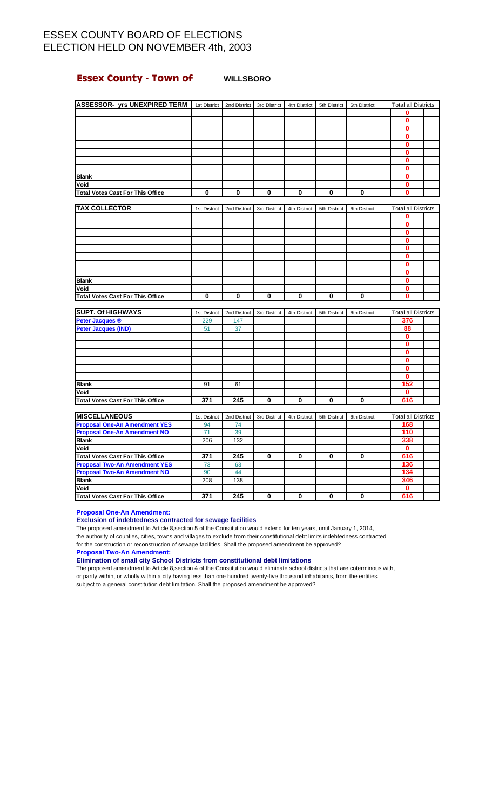## **Essex County - Town of WILLSBORO**

| <b>ASSESSOR- yrs UNEXPIRED TERM</b>     | 1st District | 2nd District | 3rd District | 4th District | 5th District | 6th District | <b>Total all Districts</b> |  |
|-----------------------------------------|--------------|--------------|--------------|--------------|--------------|--------------|----------------------------|--|
|                                         |              |              |              |              |              |              | 0                          |  |
|                                         |              |              |              |              |              |              | 0                          |  |
|                                         |              |              |              |              |              |              | 0                          |  |
|                                         |              |              |              |              |              |              | 0                          |  |
|                                         |              |              |              |              |              |              | ŋ                          |  |
|                                         |              |              |              |              |              |              | 0                          |  |
|                                         |              |              |              |              |              |              | 0                          |  |
|                                         |              |              |              |              |              |              | 0                          |  |
| <b>Blank</b>                            |              |              |              |              |              |              | 0                          |  |
| Void                                    |              |              |              |              |              |              | 0                          |  |
| <b>Total Votes Cast For This Office</b> | 0            | $\bf{0}$     | 0            | 0            | 0            | 0            | 0                          |  |
|                                         |              |              |              |              |              |              |                            |  |
| <b>TAX COLLECTOR</b>                    | 1st District | 2nd District | 3rd District | 4th District | 5th District | 6th District | <b>Total all Districts</b> |  |

| .                                       | $\frac{1}{2}$ |  |  |  |  |
|-----------------------------------------|---------------|--|--|--|--|
|                                         |               |  |  |  |  |
|                                         |               |  |  |  |  |
|                                         |               |  |  |  |  |
|                                         |               |  |  |  |  |
|                                         |               |  |  |  |  |
|                                         |               |  |  |  |  |
|                                         |               |  |  |  |  |
|                                         |               |  |  |  |  |
| <b>Blank</b>                            |               |  |  |  |  |
| Void                                    |               |  |  |  |  |
| <b>Total Votes Cast For This Office</b> |               |  |  |  |  |

| <b>SUPT. Of HIGHWAYS</b>         | 1st District | 2nd District | 3rd District | 4th District | 5th District | 6th District | <b>Total all Districts</b> |  |
|----------------------------------|--------------|--------------|--------------|--------------|--------------|--------------|----------------------------|--|
| <b>Peter Jacques ®</b>           | 229          | 147          |              |              |              |              | 376                        |  |
| <b>Peter Jacques (IND)</b>       | 51           | 37           |              |              |              |              | 88                         |  |
|                                  |              |              |              |              |              |              | Λ                          |  |
|                                  |              |              |              |              |              |              |                            |  |
|                                  |              |              |              |              |              |              |                            |  |
|                                  |              |              |              |              |              |              |                            |  |
|                                  |              |              |              |              |              |              |                            |  |
|                                  |              |              |              |              |              |              |                            |  |
| <b>Blank</b>                     | 91           | 61           |              |              |              |              | 152                        |  |
| Void                             |              |              |              |              |              |              |                            |  |
| Total Votes Cast For This Office | 371          | 245          | $\bf{0}$     | 0            | 0            | O            | 616                        |  |

| <b>MISCELLANEOUS</b>                    | 1st District | 2nd District | 3rd District | 4th District | 5th District | 6th District | <b>Total all Districts</b> |  |
|-----------------------------------------|--------------|--------------|--------------|--------------|--------------|--------------|----------------------------|--|
| <b>Proposal One-An Amendment YES</b>    | 94           | 74           |              |              |              |              | 168                        |  |
| <b>Proposal One-An Amendment NO</b>     | 71           | 39           |              |              |              |              | 110                        |  |
| <b>Blank</b>                            | 206          | 132          |              |              |              |              | 338                        |  |
| Void                                    |              |              |              |              |              |              |                            |  |
| Total Votes Cast For This Office        | 371          | 245          | 0            | 0            | 0            |              | 616                        |  |
| <b>Proposal Two-An Amendment YES</b>    | 73           | 63           |              |              |              |              | 136                        |  |
| <b>Proposal Two-An Amendment NO</b>     | 90           | 44           |              |              |              |              | 134                        |  |
| <b>Blank</b>                            | 208          | 138          |              |              |              |              | 346                        |  |
| Void                                    |              |              |              |              |              |              |                            |  |
| <b>Total Votes Cast For This Office</b> | 371          | 245          | 0            | 0            | 0            | 0            | 616                        |  |

**Proposal One-An Amendment:**

### **Exclusion of indebtedness contracted for sewage facilities**

The proposed amendment to Article 8,section 5 of the Constitution would extend for ten years, until January 1, 2014, the authority of counties, cities, towns and villages to exclude from their constitutional debt limits indebtedness contracted for the construction or reconstruction of sewage facilities. Shall the proposed amendment be approved?

**Proposal Two-An Amendment:**

**Elimination of small city School Districts from constitutional debt limitations**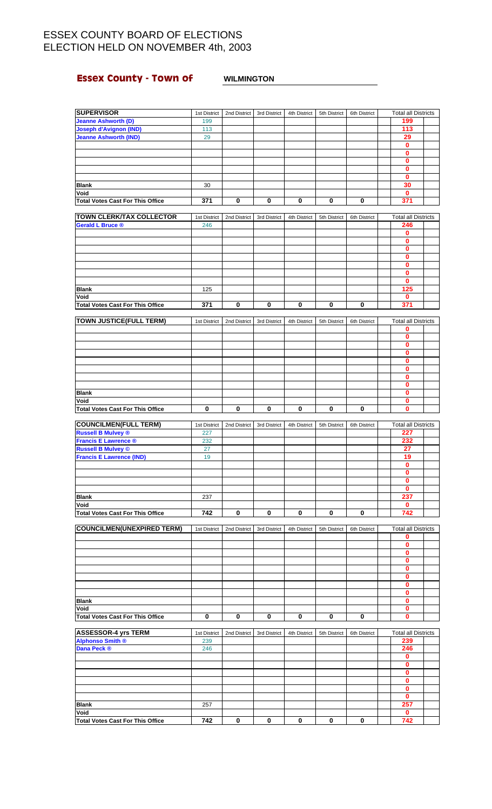## **Essex County - Town of WILMINGTON**

| <b>SUPERVISOR</b>                               | 1st District |              | 2nd District 3rd District | 4th District | 5th District | 6th District | <b>Total all Districts</b> |  |
|-------------------------------------------------|--------------|--------------|---------------------------|--------------|--------------|--------------|----------------------------|--|
| <b>Jeanne Ashworth (D)</b>                      | 199          |              |                           |              |              |              | 199                        |  |
| <b>Joseph d'Avignon (IND)</b>                   | 113          |              |                           |              |              |              | 113                        |  |
| <b>Jeanne Ashworth (IND)</b>                    | 29           |              |                           |              |              |              | 29                         |  |
|                                                 |              |              |                           |              |              |              | $\mathbf{0}$               |  |
|                                                 |              |              |                           |              |              |              | 0                          |  |
|                                                 |              |              |                           |              |              |              | $\pmb{0}$                  |  |
|                                                 |              |              |                           |              |              |              | 0                          |  |
|                                                 |              |              |                           |              |              |              | 0                          |  |
| <b>Blank</b>                                    | 30           |              |                           |              |              |              | 30                         |  |
| Void                                            |              |              |                           |              |              |              | $\mathbf{0}$               |  |
| <b>Total Votes Cast For This Office</b>         | 371          | 0            | 0                         | 0            | 0            | 0            | 371                        |  |
| <b>TOWN CLERK/TAX COLLECTOR</b>                 | 1st District | 2nd District | 3rd District              | 4th District | 5th District | 6th District | Total all Districts        |  |
| <b>Gerald L Bruce ®</b>                         | 246          |              |                           |              |              |              | 246                        |  |
|                                                 |              |              |                           |              |              |              | 0                          |  |
|                                                 |              |              |                           |              |              |              | $\mathbf 0$                |  |
|                                                 |              |              |                           |              |              |              | 0                          |  |
|                                                 |              |              |                           |              |              |              | $\bf{0}$                   |  |
|                                                 |              |              |                           |              |              |              | $\mathbf 0$                |  |
|                                                 |              |              |                           |              |              |              | 0                          |  |
|                                                 |              |              |                           |              |              |              | $\bf{0}$                   |  |
| <b>Blank</b>                                    | 125          |              |                           |              |              |              | 125                        |  |
| Void                                            |              |              |                           |              |              |              | $\mathbf 0$                |  |
| <b>Total Votes Cast For This Office</b>         | 371          | 0            | 0                         | 0            | 0            | 0            | 371                        |  |
| <b>TOWN JUSTICE(FULL TERM)</b>                  | 1st District | 2nd District | 3rd District              | 4th District | 5th District | 6th District | <b>Total all Districts</b> |  |
|                                                 |              |              |                           |              |              |              | 0                          |  |
|                                                 |              |              |                           |              |              |              | 0                          |  |
|                                                 |              |              |                           |              |              |              | 0                          |  |
|                                                 |              |              |                           |              |              |              | $\bf{0}$                   |  |
|                                                 |              |              |                           |              |              |              | $\mathbf 0$                |  |
|                                                 |              |              |                           |              |              |              | $\mathbf{0}$               |  |
|                                                 |              |              |                           |              |              |              | 0                          |  |
|                                                 |              |              |                           |              |              |              | 0                          |  |
| <b>Blank</b>                                    |              |              |                           |              |              |              | $\mathbf{0}$               |  |
| Void                                            |              |              |                           |              |              |              | 0                          |  |
| <b>Total Votes Cast For This Office</b>         | 0            | 0            | 0                         | 0            | 0            | $\bf{0}$     | $\mathbf{0}$               |  |
| <b>COUNCILMEN(FULL TERM)</b>                    | 1st District | 2nd District | 3rd District              | 4th District | 5th District | 6th District | <b>Total all Districts</b> |  |
| <b>Russell B Mulvey ®</b>                       | 227          |              |                           |              |              |              | 227                        |  |
| <b>Francis E Lawrence ®</b>                     | 232          |              |                           |              |              |              | 232                        |  |
| <b>Russell B Mulvey ©</b>                       | 27           |              |                           |              |              |              | 27                         |  |
| <b>Francis E Lawrence (IND)</b>                 | 19           |              |                           |              |              |              | 19                         |  |
|                                                 |              |              |                           |              |              |              | $\overline{\mathbf{0}}$    |  |
|                                                 |              |              |                           |              |              |              | 0                          |  |
|                                                 |              |              |                           |              |              |              | 0                          |  |
|                                                 |              |              |                           |              |              |              | 0                          |  |
| <b>Blank</b>                                    | 237          |              |                           |              |              |              | 237                        |  |
| Void                                            |              |              |                           |              |              |              | $\mathbf 0$                |  |
| <b>Total Votes Cast For This Office</b>         | 742          | 0            | 0                         | 0            | 0            | 0            | 742                        |  |
| <b>COUNCILMEN(UNEXPIRED TERM)</b>               | 1st District | 2nd District | 3rd District              | 4th District | 5th District | 6th District | <b>Total all Districts</b> |  |
|                                                 |              |              |                           |              |              |              | 0                          |  |
|                                                 |              |              |                           |              |              |              | 0                          |  |
|                                                 |              |              |                           |              |              |              | 0                          |  |
|                                                 |              |              |                           |              |              |              | $\mathbf{0}$               |  |
|                                                 |              |              |                           |              |              |              | 0                          |  |
|                                                 |              |              |                           |              |              |              | 0                          |  |
|                                                 |              |              |                           |              |              |              | 0                          |  |
|                                                 |              |              |                           |              |              |              | $\mathbf{0}$               |  |
| <b>Blank</b>                                    |              |              |                           |              |              |              | 0                          |  |
| Void<br><b>Total Votes Cast For This Office</b> | 0            | 0            | 0                         | 0            | 0            | 0            | 0<br>$\mathbf{0}$          |  |
|                                                 |              |              |                           |              |              |              |                            |  |
| <b>ASSESSOR-4 yrs TERM</b>                      | 1st District | 2nd District | 3rd District              | 4th District | 5th District | 6th District | <b>Total all Districts</b> |  |
| <b>Alphonso Smith ®</b>                         | 239          |              |                           |              |              |              | 239                        |  |
| Dana Peck <sup>®</sup>                          | 246          |              |                           |              |              |              | 246                        |  |
|                                                 |              |              |                           |              |              |              | 0                          |  |
|                                                 |              |              |                           |              |              |              | $\mathbf 0$                |  |
|                                                 |              |              |                           |              |              |              | 0                          |  |
|                                                 |              |              |                           |              |              |              | 0                          |  |
|                                                 |              |              |                           |              |              |              | 0                          |  |
|                                                 |              |              |                           |              |              |              | 0<br>257                   |  |
| <b>Blank</b><br>Void                            | 257          |              |                           |              |              |              |                            |  |
|                                                 |              |              |                           |              |              |              | 0                          |  |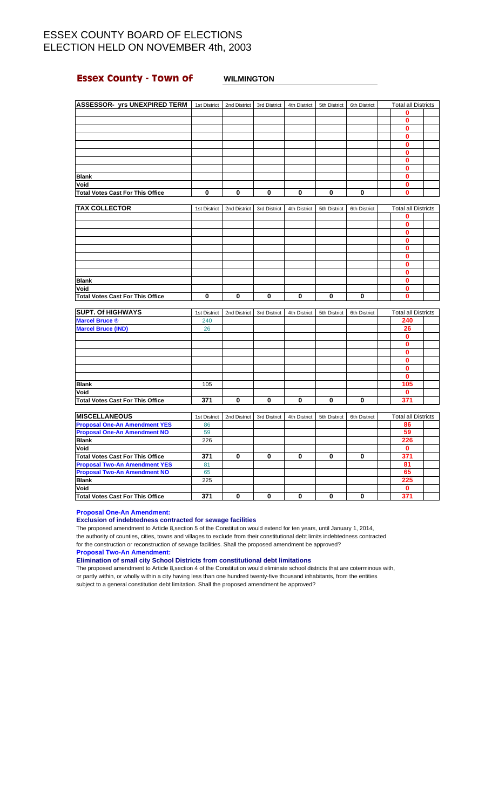## **Essex County - Town of WILMINGTON**

| <b>ASSESSOR- yrs UNEXPIRED TERM</b>     | 1st District | 2nd District | 3rd District | 4th District | 5th District | 6th District | <b>Total all Districts</b> |  |
|-----------------------------------------|--------------|--------------|--------------|--------------|--------------|--------------|----------------------------|--|
|                                         |              |              |              |              |              |              | $\mathbf 0$                |  |
|                                         |              |              |              |              |              |              | 0                          |  |
|                                         |              |              |              |              |              |              | 0                          |  |
|                                         |              |              |              |              |              |              | 0                          |  |
|                                         |              |              |              |              |              |              | 0                          |  |
|                                         |              |              |              |              |              |              | 0                          |  |
|                                         |              |              |              |              |              |              | $\bf{0}$                   |  |
|                                         |              |              |              |              |              |              | 0                          |  |
| <b>Blank</b>                            |              |              |              |              |              |              | 0                          |  |
| Void                                    |              |              |              |              |              |              | 0                          |  |
| <b>Total Votes Cast For This Office</b> | 0            | $\mathbf 0$  | $\mathbf 0$  | $\mathbf 0$  | 0            | 0            | 0                          |  |
|                                         |              |              |              |              |              |              |                            |  |
| <b>TAX COLLECTOR</b>                    | 1st District | 2nd District | 3rd District | 4th District | 5th District | 6th District | <b>Total all Districts</b> |  |
|                                         |              |              |              |              |              |              | 0                          |  |
|                                         |              |              |              |              |              |              | 0                          |  |
|                                         |              |              |              |              |              |              | 0                          |  |
|                                         |              |              |              |              |              |              | 0                          |  |
|                                         |              |              |              |              |              |              | 0                          |  |
|                                         |              |              |              |              |              |              | 0                          |  |
|                                         |              |              |              |              |              |              |                            |  |

| Void                                    |              |              |              |              |              |              | 0                          |  |
|-----------------------------------------|--------------|--------------|--------------|--------------|--------------|--------------|----------------------------|--|
| <b>Total Votes Cast For This Office</b> | 0            | 0            | 0            | 0            | 0            | 0            | 0                          |  |
|                                         |              |              |              |              |              |              |                            |  |
| <b>SUPT. Of HIGHWAYS</b>                | 1st District | 2nd District | 3rd District | 4th District | 5th District | 6th District | <b>Total all Districts</b> |  |
| <b>Marcel Bruce ®</b>                   | 240          |              |              |              |              |              | 240                        |  |
| <b>Marcel Bruce (IND)</b>               | 26           |              |              |              |              |              | 26                         |  |
|                                         |              |              |              |              |              |              | 0                          |  |
|                                         |              |              |              |              |              |              | n                          |  |
|                                         |              |              |              |              |              |              | 0                          |  |
|                                         |              |              |              |              |              |              | o                          |  |
|                                         |              |              |              |              |              |              | 0                          |  |
|                                         |              |              |              |              |              |              | 0                          |  |
| <b>Blank</b>                            | 105          |              |              |              |              |              | 105                        |  |
| Void                                    |              |              |              |              |              |              | 0                          |  |

**Blank 0**

**0**

| <b>IMISCELLANEOUS</b>                   | 1st District | 2nd District | 3rd District | 4th District | 5th District | 6th District | <b>Total all Districts</b> |  |
|-----------------------------------------|--------------|--------------|--------------|--------------|--------------|--------------|----------------------------|--|
| <b>Proposal One-An Amendment YES</b>    | 86           |              |              |              |              |              | 86                         |  |
| <b>Proposal One-An Amendment NO</b>     | 59           |              |              |              |              |              | 59                         |  |
| <b>Blank</b>                            | 226          |              |              |              |              |              | 226                        |  |
| Void                                    |              |              |              |              |              |              |                            |  |
| Total Votes Cast For This Office        | 371          |              | 0            | 0            | 0            |              | 371                        |  |
| <b>Proposal Two-An Amendment YES</b>    | 81           |              |              |              |              |              | 81                         |  |
| <b>Proposal Two-An Amendment NO</b>     | 65           |              |              |              |              |              | 65                         |  |
| <b>Blank</b>                            | 225          |              |              |              |              |              | 225                        |  |
| Void                                    |              |              |              |              |              |              |                            |  |
| <b>Total Votes Cast For This Office</b> | 371          |              | 0            | 0            | 0            |              | 371                        |  |

**Total Votes Cast For This Office 371 0 0 0 0 0 371**

**Proposal One-An Amendment:**

### **Exclusion of indebtedness contracted for sewage facilities**

The proposed amendment to Article 8,section 5 of the Constitution would extend for ten years, until January 1, 2014, the authority of counties, cities, towns and villages to exclude from their constitutional debt limits indebtedness contracted for the construction or reconstruction of sewage facilities. Shall the proposed amendment be approved?

**Proposal Two-An Amendment:**

**Elimination of small city School Districts from constitutional debt limitations**